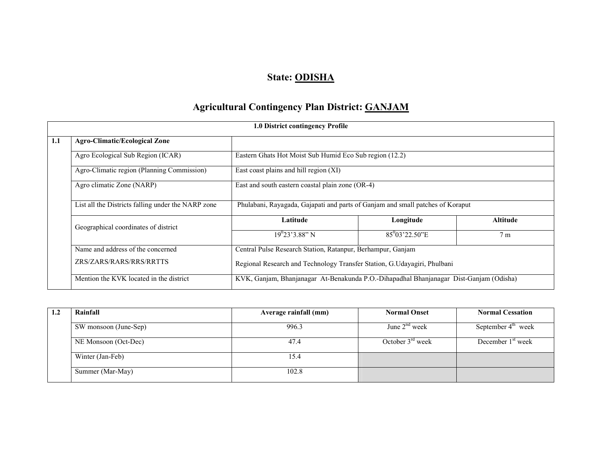# State: ODISHA

# Agricultural Contingency Plan District: GANJAM

|     | 1.0 District contingency Profile                   |                                                                                |                                                                                        |                |  |  |  |
|-----|----------------------------------------------------|--------------------------------------------------------------------------------|----------------------------------------------------------------------------------------|----------------|--|--|--|
| 1.1 | <b>Agro-Climatic/Ecological Zone</b>               |                                                                                |                                                                                        |                |  |  |  |
|     | Agro Ecological Sub Region (ICAR)                  | Eastern Ghats Hot Moist Sub Humid Eco Sub region (12.2)                        |                                                                                        |                |  |  |  |
|     | Agro-Climatic region (Planning Commission)         | East coast plains and hill region (XI)                                         |                                                                                        |                |  |  |  |
|     | Agro climatic Zone (NARP)                          | East and south eastern coastal plain zone (OR-4)                               |                                                                                        |                |  |  |  |
|     | List all the Districts falling under the NARP zone | Phulabani, Rayagada, Gajapati and parts of Ganjam and small patches of Koraput |                                                                                        |                |  |  |  |
|     | Geographical coordinates of district               | Latitude                                                                       | Longitude                                                                              | Altitude       |  |  |  |
|     |                                                    | $19^{0}23'3.88"$ N                                                             | $85^{0}$ 03'22.50"E                                                                    | 7 <sub>m</sub> |  |  |  |
|     | Name and address of the concerned                  | Central Pulse Research Station, Ratanpur, Berhampur, Ganjam                    |                                                                                        |                |  |  |  |
|     | ZRS/ZARS/RARS/RRS/RRTTS                            | Regional Research and Technology Transfer Station, G.Udayagiri, Phulbani       |                                                                                        |                |  |  |  |
|     | Mention the KVK located in the district            |                                                                                | KVK, Ganjam, Bhanjanagar At-Benakunda P.O.-Dihapadhal Bhanjanagar Dist-Ganjam (Odisha) |                |  |  |  |

| Rainfall              | Average rainfall (mm) | <b>Normal Onset</b>   | <b>Normal Cessation</b> |
|-----------------------|-----------------------|-----------------------|-------------------------|
| SW monsoon (June-Sep) | 996.3                 | June $2nd$ week       | September $4th$ week    |
| NE Monsoon (Oct-Dec)  | 47.4                  | October $3^{rd}$ week | December $1st$ week     |
| Winter (Jan-Feb)      | 15.4                  |                       |                         |
| Summer (Mar-May)      | 102.8                 |                       |                         |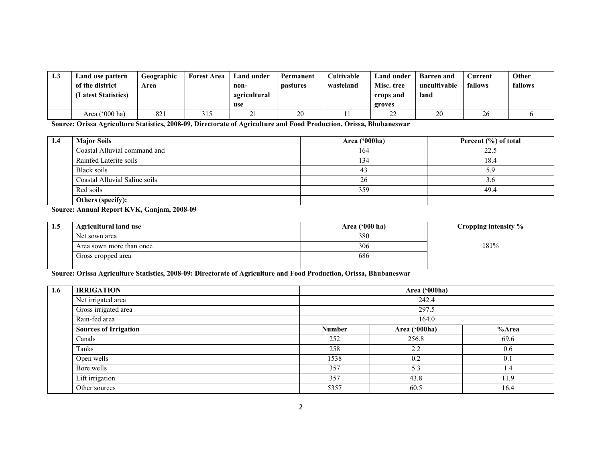| 1.3 | Land use pattern<br>of the district<br>(Latest Statistics) | Geographic<br>Area | <b>Forest Area</b> | Land under<br>non-<br>agricultural<br>use | Permanent<br><b>pastures</b> | <b>Cultivable</b><br>wasteland | Land under<br>Misc. tree<br>crops and<br>groves | <b>Barren</b> and<br>uncultivable<br>land | ∕urrent<br>fallows | Other<br>fallows |
|-----|------------------------------------------------------------|--------------------|--------------------|-------------------------------------------|------------------------------|--------------------------------|-------------------------------------------------|-------------------------------------------|--------------------|------------------|
|     |                                                            |                    |                    |                                           |                              |                                |                                                 |                                           |                    |                  |
|     | Area $('000 ha)$                                           | 82                 |                    | 41                                        | 20                           |                                | $\sim$<br>∠∠                                    | 20                                        | 26                 |                  |

Source: Orissa Agriculture Statistics, 2008-09, Directorate of Agriculture and Food Production, Orissa, Bhubaneswar

| 1.4 | <b>Major Soils</b>            | Area ('000ha) | Percent $(\% )$ of total |
|-----|-------------------------------|---------------|--------------------------|
|     | Coastal Alluvial command and  | 164           | 22 <sub>1</sub>          |
|     | Rainfed Laterite soils        | 134           | 18.4                     |
|     | Black soils                   | 43            | 5.9                      |
|     | Coastal Alluvial Saline soils | 26            | 3.6                      |
|     | Red soils                     | 359           | 49.4                     |
|     | Others (specify):             |               |                          |

#### Source: Annual Report KVK, Ganjam, 2008-09

| 1.5 | <b>Agricultural land use</b> | Area $(900 \text{ ha})$ | Cropping intensity % |
|-----|------------------------------|-------------------------|----------------------|
|     | Net sown area                | 380                     |                      |
|     | Area sown more than once     | 306                     | 181%                 |
|     | Gross cropped area           | 686                     |                      |

### Source: Orissa Agriculture Statistics, 2008-09: Directorate of Agriculture and Food Production, Orissa, Bhubaneswar

| 1.6 | <b>IRRIGATION</b>            | Area ('000ha) |               |       |  |  |
|-----|------------------------------|---------------|---------------|-------|--|--|
|     | Net irrigated area           | 242.4         |               |       |  |  |
|     | Gross irrigated area         | 297.5         |               |       |  |  |
|     | Rain-fed area                | 164.0         |               |       |  |  |
|     | <b>Sources of Irrigation</b> | <b>Number</b> | Area ('000ha) | %Area |  |  |
|     | Canals                       | 252           | 256.8         | 69.6  |  |  |
|     | Tanks                        | 258           | 2.2           | 0.6   |  |  |
|     | Open wells                   | 1538          | 0.2           | 0.1   |  |  |
|     | Bore wells                   | 357           | 5.3           | 1.4   |  |  |
|     | Lift irrigation              | 357           | 43.8          | 11.9  |  |  |
|     | Other sources                | 5357          | 60.5          | 16.4  |  |  |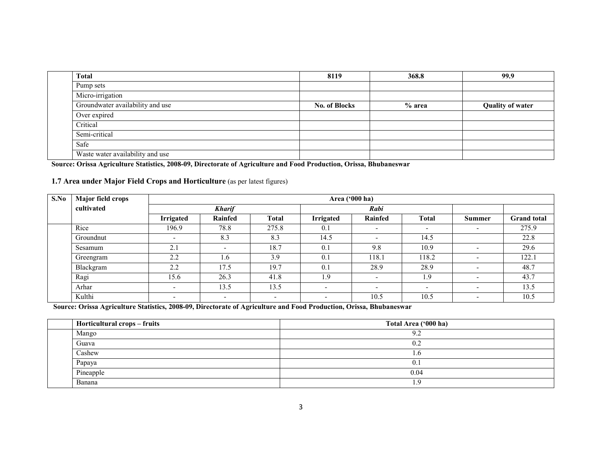| Total                            | 8119                 | 368.8  | 99.9                    |
|----------------------------------|----------------------|--------|-------------------------|
| Pump sets                        |                      |        |                         |
| Micro-irrigation                 |                      |        |                         |
| Groundwater availability and use | <b>No. of Blocks</b> | % area | <b>Quality of water</b> |
| Over expired                     |                      |        |                         |
| Critical                         |                      |        |                         |
| Semi-critical                    |                      |        |                         |
| Safe                             |                      |        |                         |
| Waste water availability and use |                      |        |                         |

Source: Orissa Agriculture Statistics, 2008-09, Directorate of Agriculture and Food Production, Orissa, Bhubaneswar

#### 1.7 Area under Major Field Crops and Horticulture (as per latest figures)

| S.No | Major field crops |                          | Area ('000 ha)           |              |                          |                          |              |                          |                    |
|------|-------------------|--------------------------|--------------------------|--------------|--------------------------|--------------------------|--------------|--------------------------|--------------------|
|      | cultivated        |                          | <b>Kharif</b>            |              |                          | Rabi                     |              |                          |                    |
|      |                   | <b>Irrigated</b>         | Rainfed                  | <b>Total</b> | <b>Irrigated</b>         | Rainfed                  | <b>Total</b> | <b>Summer</b>            | <b>Grand</b> total |
|      | Rice              | 196.9                    | 78.8                     | 275.8        | 0.1                      | $\overline{\phantom{a}}$ | -            | -                        | 275.9              |
|      | Groundnut         | $\overline{\phantom{0}}$ | 8.3                      | 8.3          | 14.5                     | $\overline{\phantom{a}}$ | 14.5         |                          | 22.8               |
|      | Sesamum           | 2.1                      | $\overline{\phantom{a}}$ | 18.7         | 0.1                      | 9.8                      | 10.9         | $\overline{\phantom{a}}$ | 29.6               |
|      | Greengram         | 2.2                      | 1.6                      | 3.9          | 0.1                      | 118.1                    | 118.2        | $\overline{\phantom{0}}$ | 122.1              |
|      | Blackgram         | 2.2                      | 17.5                     | 19.7         | 0.1                      | 28.9                     | 28.9         | $\sim$                   | 48.7               |
|      | Ragi              | 15.6                     | 26.3                     | 41.8         | 1.9                      | $\overline{\phantom{0}}$ | 1.9          | $\overline{\phantom{0}}$ | 43.7               |
|      | Arhar             |                          | 13.5                     | 13.5         | $\overline{\phantom{a}}$ | $\overline{\phantom{a}}$ | -            | $\overline{\phantom{0}}$ | 13.5               |
|      | Kulthi            | $\overline{\phantom{a}}$ | $\overline{\phantom{0}}$ | -            | $\overline{\phantom{a}}$ | 10.5                     | 10.5         | $\overline{\phantom{0}}$ | 10.5               |

Source: Orissa Agriculture Statistics, 2008-09, Directorate of Agriculture and Food Production, Orissa, Bhubaneswar

| Horticultural crops – fruits | Total Area ('000 ha) |
|------------------------------|----------------------|
| Mango                        | 9.2                  |
| Guava                        | 0.2                  |
| Cashew                       | $\cdot$ .0           |
| Papaya                       | 0.1                  |
| Pineapple                    | 0.04                 |
| Banana                       |                      |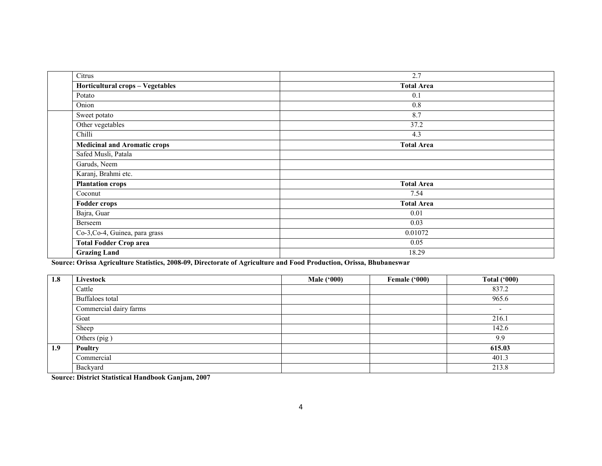| Citrus                              | 2.7               |
|-------------------------------------|-------------------|
| Horticultural crops - Vegetables    | <b>Total Area</b> |
| Potato                              | 0.1               |
| Onion                               | 0.8               |
| Sweet potato                        | 8.7               |
| Other vegetables                    | 37.2              |
| Chilli                              | 4.3               |
| <b>Medicinal and Aromatic crops</b> | <b>Total Area</b> |
| Safed Musli, Patala                 |                   |
| Garuds, Neem                        |                   |
| Karanj, Brahmi etc.                 |                   |
| <b>Plantation crops</b>             | <b>Total Area</b> |
| Coconut                             | 7.54              |
| <b>Fodder crops</b>                 | <b>Total Area</b> |
| Bajra, Guar                         | 0.01              |
| Berseem                             | 0.03              |
| Co-3, Co-4, Guinea, para grass      | 0.01072           |
| <b>Total Fodder Crop area</b>       | 0.05              |
| <b>Grazing Land</b>                 | 18.29             |

Source: Orissa Agriculture Statistics, 2008-09, Directorate of Agriculture and Food Production, Orissa, Bhubaneswar

| 1.8 | Livestock              | Male $(900)$ | Female ('000) | <b>Total ('000)</b>      |
|-----|------------------------|--------------|---------------|--------------------------|
|     | Cattle                 |              |               | 837.2                    |
|     | Buffaloes total        |              |               | 965.6                    |
|     | Commercial dairy farms |              |               | $\overline{\phantom{0}}$ |
|     | Goat                   |              |               | 216.1                    |
|     | Sheep                  |              |               | 142.6                    |
|     | Others (pig)           |              |               | 9.9                      |
| 1.9 | Poultry                |              |               | 615.03                   |
|     | Commercial             |              |               | 401.3                    |
|     | Backyard               |              |               | 213.8                    |

Source: District Statistical Handbook Ganjam, 2007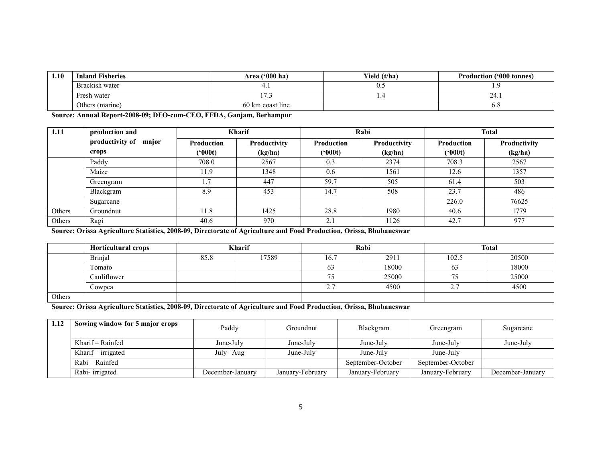| 1.10 | <b>Inland Fisheries</b> | Area $(900)$ ha)<br>Yield (t/ha) |                | <b>Production ('000 tonnes)</b> |
|------|-------------------------|----------------------------------|----------------|---------------------------------|
|      | Brackish water          |                                  | $\mathsf{U}$ . |                                 |
|      | Fresh water             |                                  |                | Z4. I                           |
|      | Others (marine)         | 60 km coast line                 |                | $0.\delta$                      |

Source: Annual Report-2008-09; DFO-cum-CEO, FFDA, Ganjam, Berhampur

| 1.11   | production and           |                   | <b>Kharif</b> |                            | Rabi                |                   | <b>Total</b> |  |
|--------|--------------------------|-------------------|---------------|----------------------------|---------------------|-------------------|--------------|--|
|        | productivity of<br>major | <b>Production</b> | Productivity  | Production                 | <b>Productivity</b> | <b>Production</b> | Productivity |  |
|        | crops                    | (*000t)           | (kg/ha)       | (*000t)                    | (kg/ha)             | (900t)            | (kg/ha)      |  |
|        | Paddy                    | 708.0             | 2567          | 0.3                        | 2374                | 708.3             | 2567         |  |
|        | Maize                    | 11.9              | 1348          | 0.6                        | 1561                | 12.6              | 1357         |  |
|        | Greengram                |                   | 447           | 59.7                       | 505                 | 61.4              | 503          |  |
|        | Blackgram                | 8.9               | 453           | 14.7                       | 508                 | 23.7              | 486          |  |
|        | Sugarcane                |                   |               |                            |                     | 226.0             | 76625        |  |
| Others | Groundnut                | 11.8              | 1425          | 28.8                       | 1980                | 40.6              | 1779         |  |
| Others | Ragi                     | 40.6              | 970           | $\bigcap$ 1<br>$\angle$ .1 | 1126                | 42.7              | 977          |  |

Source: Orissa Agriculture Statistics, 2008-09, Directorate of Agriculture and Food Production, Orissa, Bhubaneswar

|        | <b>Horticultural crops</b> |      | <b>Kharif</b> |               | Rabi  |                     | <b>Total</b> |
|--------|----------------------------|------|---------------|---------------|-------|---------------------|--------------|
|        | <b>Brinjal</b>             | 85.8 | 17589         | 16.7          | 2911  | 102.5               | 20500        |
|        | Fomato                     |      |               | 03            | 18000 | 63                  | 18000        |
|        | Cauliflower                |      |               | $\mathcal{L}$ | 25000 | L)                  | 25000        |
|        | Cowpea                     |      |               | <b>، ،</b>    | 4500  | $\sim$ $\sim$<br>,. | 4500         |
| Others |                            |      |               |               |       |                     |              |

Source: Orissa Agriculture Statistics, 2008-09, Directorate of Agriculture and Food Production, Orissa, Bhubaneswar

| 1.12 | Sowing window for 5 major crops | Paddy            | Groundnut        | Blackgram         | Greengram         | Sugarcane        |
|------|---------------------------------|------------------|------------------|-------------------|-------------------|------------------|
|      | Kharif – Rainfed                | June-July        | June-July        | June-July         | June-July         | June-July        |
|      | Kharif – irrigated              | July – Aug       | June-July        | June-July         | June-July         |                  |
|      | Rabi – Rainfed                  |                  |                  | September-October | September-October |                  |
|      | Rabi-irrigated                  | December-January | January-February | January-February  | January-February  | December-January |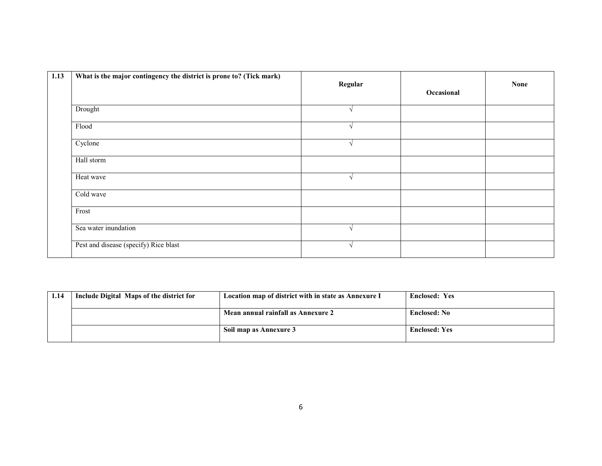| 1.13 | What is the major contingency the district is prone to? (Tick mark) | Regular       | Occasional | <b>None</b> |
|------|---------------------------------------------------------------------|---------------|------------|-------------|
|      | Drought                                                             | $\lambda$     |            |             |
|      | Flood                                                               | $\sqrt{ }$    |            |             |
|      | Cyclone                                                             | $\mathcal{L}$ |            |             |
|      | Hall storm                                                          |               |            |             |
|      | Heat wave                                                           | $\sqrt{ }$    |            |             |
|      | Cold wave                                                           |               |            |             |
|      | Frost                                                               |               |            |             |
|      | Sea water inundation                                                | $\lambda$     |            |             |
|      | Pest and disease (specify) Rice blast                               |               |            |             |

| 1.14 | Include Digital Maps of the district for | Location map of district with in state as Annexure I | <b>Enclosed: Yes</b> |
|------|------------------------------------------|------------------------------------------------------|----------------------|
|      |                                          | Mean annual rainfall as Annexure 2                   | <b>Enclosed: No</b>  |
|      |                                          | Soil map as Annexure 3                               | <b>Enclosed: Yes</b> |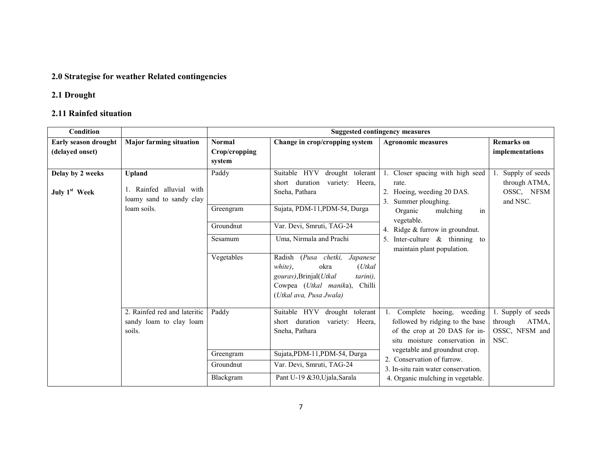### 2.0 Strategise for weather Related contingencies

### 2.1 Drought

### 2.11 Rainfed situation

| Condition                                     |                                                                    |                                          | <b>Suggested contingency measures</b>                                                                                                                                             |                                                                                                                                         |                                                                  |  |  |
|-----------------------------------------------|--------------------------------------------------------------------|------------------------------------------|-----------------------------------------------------------------------------------------------------------------------------------------------------------------------------------|-----------------------------------------------------------------------------------------------------------------------------------------|------------------------------------------------------------------|--|--|
| Early season drought<br>(delayed onset)       | <b>Major farming situation</b>                                     | <b>Normal</b><br>Crop/cropping<br>system | Change in crop/cropping system                                                                                                                                                    | <b>Agronomic measures</b>                                                                                                               | <b>Remarks</b> on<br>implementations                             |  |  |
| Delay by 2 weeks<br>July 1 <sup>st</sup> Week | <b>Upland</b><br>Rainfed alluvial with<br>loamy sand to sandy clay | Paddy                                    | drought tolerant<br>Suitable HYV<br>duration<br>variety: Heera,<br>short<br>Sneha, Pathara                                                                                        | 1. Closer spacing with high seed<br>rate.<br>2. Hoeing, weeding 20 DAS.<br>3. Summer ploughing.                                         | Supply of seeds<br>through ATMA,<br>OSSC, NFSM<br>and NSC.       |  |  |
|                                               | loam soils.                                                        | Greengram<br>Groundnut                   | Sujata, PDM-11, PDM-54, Durga<br>Var. Devi, Smruti, TAG-24                                                                                                                        | mulching<br>in<br>Organic<br>vegetable.<br>4. Ridge $&$ furrow in ground nut.                                                           |                                                                  |  |  |
|                                               |                                                                    | Sesamum                                  | Uma, Nirmala and Prachi                                                                                                                                                           | 5. Inter-culture $\&$ thinning to<br>maintain plant population.                                                                         |                                                                  |  |  |
|                                               |                                                                    | Vegetables                               | (Pusa chetki,<br>Radish<br>Japanese<br>white),<br>okra<br>$(U$ tkal<br>gourav), Brinjal(Utkal<br>tarini),<br>Chilli<br>Cowpea ( <i>Utkal manika</i> ),<br>(Utkal ava, Pusa Jwala) |                                                                                                                                         |                                                                  |  |  |
|                                               | 2. Rainfed red and lateritic<br>sandy loam to clay loam<br>soils.  | Paddy                                    | Suitable HYV<br>drought tolerant<br>short duration<br>variety:<br>Heera,<br>Sneha, Pathara                                                                                        | 1. Complete<br>hoeing, weeding<br>followed by ridging to the base<br>of the crop at 20 DAS for in-<br>situ moisture conservation in     | 1. Supply of seeds<br>ATMA,<br>through<br>OSSC, NFSM and<br>NSC. |  |  |
|                                               |                                                                    | Greengram<br>Groundnut<br>Blackgram      | Sujata, PDM-11, PDM-54, Durga<br>Var. Devi, Smruti, TAG-24<br>Pant U-19 & 30, Ujala, Sarala                                                                                       | vegetable and groundnut crop.<br>2. Conservation of furrow.<br>3. In-situ rain water conservation.<br>4. Organic mulching in vegetable. |                                                                  |  |  |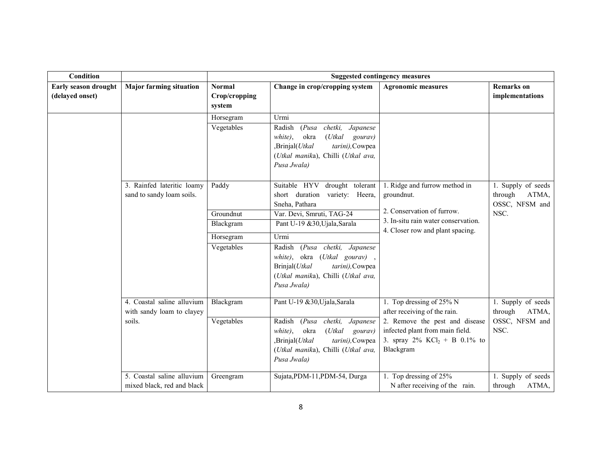| <b>Condition</b>                        |                                                                   |                                                            |                                                                                                                                                                                                                                                                                                                              | <b>Suggested contingency measures</b>                                                                                                                                                     |                                                                  |
|-----------------------------------------|-------------------------------------------------------------------|------------------------------------------------------------|------------------------------------------------------------------------------------------------------------------------------------------------------------------------------------------------------------------------------------------------------------------------------------------------------------------------------|-------------------------------------------------------------------------------------------------------------------------------------------------------------------------------------------|------------------------------------------------------------------|
| Early season drought<br>(delayed onset) | <b>Major farming situation</b>                                    | <b>Normal</b><br>Crop/cropping<br>system                   | Change in crop/cropping system                                                                                                                                                                                                                                                                                               | <b>Agronomic measures</b>                                                                                                                                                                 | <b>Remarks</b> on<br>implementations                             |
|                                         |                                                                   | Horsegram<br>Vegetables                                    | Urmi<br>(Pusa)<br>chetki,<br>Radish<br>Japanese<br>white),<br>okra<br>$(U$ tkal<br>gourav)<br>,Brinjal(Utkal<br>tarini), Cowpea<br>(Utkal manika), Chilli (Utkal ava,<br>Pusa Jwala)                                                                                                                                         |                                                                                                                                                                                           |                                                                  |
|                                         | 3. Rainfed lateritic loamy<br>sand to sandy loam soils.           | Paddy<br>Groundnut<br>Blackgram<br>Horsegram<br>Vegetables | drought tolerant<br>Suitable HYV<br>short duration<br>variety: Heera,<br>Sneha, Pathara<br>Var. Devi, Smruti, TAG-24<br>Pant U-19 &30, Ujala, Sarala<br>Urmi<br>Radish<br>(Pusa chetki,<br>Japanese<br>white), okra (Utkal gourav),<br>Brinjal(Utkal<br>tarini), Cowpea<br>(Utkal manika), Chilli (Utkal ava,<br>Pusa Jwala) | 1. Ridge and furrow method in<br>groundnut.<br>2. Conservation of furrow.<br>3. In-situ rain water conservation.<br>4. Closer row and plant spacing.                                      | 1. Supply of seeds<br>through<br>ATMA,<br>OSSC, NFSM and<br>NSC. |
|                                         | 4. Coastal saline alluvium<br>with sandy loam to clayey<br>soils. | Blackgram<br>Vegetables                                    | Pant U-19 &30, Ujala, Sarala<br>chetki,<br>Radish<br>(Pusa)<br>Japanese<br>okra<br>$(U$ tkal<br>white),<br>gourav)<br>,Brinjal(Utkal<br>tarini), Cowpea<br>(Utkal manika), Chilli (Utkal ava,<br>Pusa Jwala)                                                                                                                 | 1. Top dressing of 25% N<br>after receiving of the rain.<br>2. Remove the pest and disease<br>infected plant from main field.<br>3. spray $2\%$ KCl <sub>2</sub> + B 0.1% to<br>Blackgram | 1. Supply of seeds<br>through<br>ATMA,<br>OSSC, NFSM and<br>NSC. |
|                                         | 5. Coastal saline alluvium<br>mixed black, red and black          | Greengram                                                  | Sujata, PDM-11, PDM-54, Durga                                                                                                                                                                                                                                                                                                | 1. Top dressing of $25%$<br>N after receiving of the rain.                                                                                                                                | 1. Supply of seeds<br>through<br>ATMA,                           |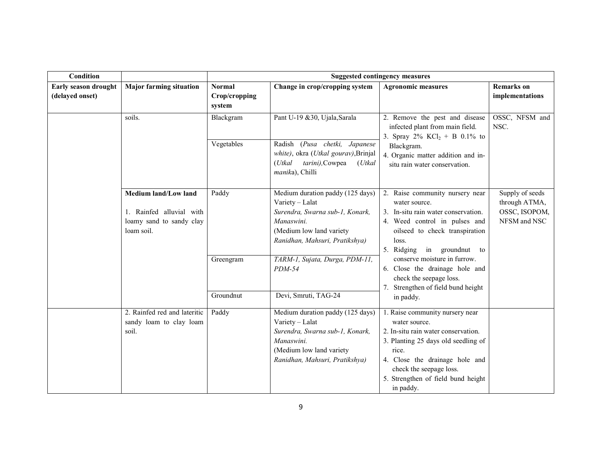| Condition                               |                                                                    |                                |                                                                                                                                                                    | <b>Suggested contingency measures</b>                                                                                                                                                                |                                      |
|-----------------------------------------|--------------------------------------------------------------------|--------------------------------|--------------------------------------------------------------------------------------------------------------------------------------------------------------------|------------------------------------------------------------------------------------------------------------------------------------------------------------------------------------------------------|--------------------------------------|
| Early season drought<br>(delayed onset) | <b>Major farming situation</b>                                     | <b>Normal</b><br>Crop/cropping | Change in crop/cropping system                                                                                                                                     | <b>Agronomic measures</b>                                                                                                                                                                            | <b>Remarks</b> on<br>implementations |
|                                         |                                                                    | system                         |                                                                                                                                                                    |                                                                                                                                                                                                      |                                      |
|                                         | soils.                                                             | Blackgram                      | Pant U-19 &30, Ujala, Sarala                                                                                                                                       | 2. Remove the pest and disease<br>infected plant from main field.<br>3. Spray $2\%$ KCl <sub>2</sub> + B 0.1% to                                                                                     | OSSC, NFSM and<br>NSC.               |
|                                         |                                                                    | Vegetables                     | Radish (Pusa chetki, Japanese<br>white), okra (Utkal gourav), Brinjal<br>tarini), Cowpea<br>$(U$ tkal<br>(Utkal<br>manika), Chilli                                 | Blackgram.<br>4. Organic matter addition and in-<br>situ rain water conservation.                                                                                                                    |                                      |
|                                         | Medium land/Low land                                               | Paddy                          | Medium duration paddy (125 days)<br>Variety - Lalat                                                                                                                | 2. Raise community nursery near<br>water source.                                                                                                                                                     | Supply of seeds<br>through ATMA,     |
|                                         | 1. Rainfed alluvial with<br>loamy sand to sandy clay<br>loam soil. |                                | Surendra, Swarna sub-1, Konark,<br>Manaswini.<br>(Medium low land variety<br>Ranidhan, Mahsuri, Pratikshya)                                                        | 3. In-situ rain water conservation.<br>4. Weed control in pulses and<br>oilseed to check transpiration<br>loss.<br>5. Ridging in groundnut to                                                        | OSSC, ISOPOM,<br>NFSM and NSC        |
|                                         |                                                                    | Greengram                      | TARM-1, Sujata, Durga, PDM-11,<br>$PDM-54$                                                                                                                         | conserve moisture in furrow.<br>6. Close the drainage hole and<br>check the seepage loss.<br>7. Strengthen of field bund height                                                                      |                                      |
|                                         |                                                                    | Groundnut                      | Devi, Smruti, TAG-24                                                                                                                                               | in paddy.                                                                                                                                                                                            |                                      |
|                                         | 2. Rainfed red and lateritic<br>sandy loam to clay loam<br>soil.   | Paddy                          | Medium duration paddy (125 days)<br>Variety - Lalat<br>Surendra, Swarna sub-1, Konark,<br>Manaswini.<br>(Medium low land variety<br>Ranidhan, Mahsuri, Pratikshya) | 1. Raise community nursery near<br>water source.<br>2. In-situ rain water conservation.<br>3. Planting 25 days old seedling of<br>rice.<br>4. Close the drainage hole and<br>check the seepage loss. |                                      |
|                                         |                                                                    |                                |                                                                                                                                                                    | 5. Strengthen of field bund height<br>in paddy.                                                                                                                                                      |                                      |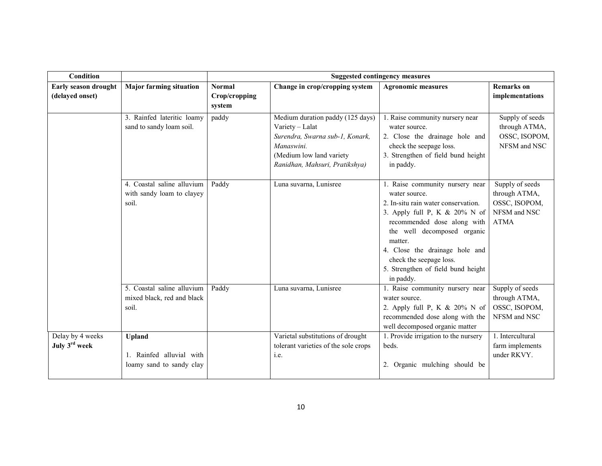| <b>Condition</b>                              |                                                                       |                         |                                                                                                                                                                    | <b>Suggested contingency measures</b>                                                                                                                                                                                                                                                                                |                                                                                  |
|-----------------------------------------------|-----------------------------------------------------------------------|-------------------------|--------------------------------------------------------------------------------------------------------------------------------------------------------------------|----------------------------------------------------------------------------------------------------------------------------------------------------------------------------------------------------------------------------------------------------------------------------------------------------------------------|----------------------------------------------------------------------------------|
| Early season drought                          | <b>Major farming situation</b>                                        | <b>Normal</b>           | Change in crop/cropping system                                                                                                                                     | <b>Agronomic measures</b>                                                                                                                                                                                                                                                                                            | <b>Remarks</b> on                                                                |
| (delayed onset)                               |                                                                       | Crop/cropping<br>system |                                                                                                                                                                    |                                                                                                                                                                                                                                                                                                                      | implementations                                                                  |
|                                               | 3. Rainfed lateritic loamy<br>sand to sandy loam soil.                | paddy                   | Medium duration paddy (125 days)<br>Variety - Lalat<br>Surendra, Swarna sub-1, Konark,<br>Manaswini.<br>(Medium low land variety<br>Ranidhan, Mahsuri, Pratikshya) | 1. Raise community nursery near<br>water source.<br>2. Close the drainage hole and<br>check the seepage loss.<br>3. Strengthen of field bund height<br>in paddy.                                                                                                                                                     | Supply of seeds<br>through ATMA,<br>OSSC, ISOPOM,<br>NFSM and NSC                |
|                                               | 4. Coastal saline alluvium<br>with sandy loam to clayey<br>soil.      | Paddy                   | Luna suvarna, Lunisree                                                                                                                                             | 1. Raise community nursery near<br>water source.<br>2. In-situ rain water conservation.<br>3. Apply full P, K $& 20\%$ N of<br>recommended dose along with<br>the well decomposed organic<br>matter.<br>4. Close the drainage hole and<br>check the seepage loss.<br>5. Strengthen of field bund height<br>in paddy. | Supply of seeds<br>through ATMA,<br>OSSC, ISOPOM,<br>NFSM and NSC<br><b>ATMA</b> |
|                                               | 5. Coastal saline alluvium<br>mixed black, red and black<br>soil.     | Paddy                   | Luna suvarna, Lunisree                                                                                                                                             | 1. Raise community nursery near<br>water source.<br>2. Apply full P, K & 20% N of<br>recommended dose along with the<br>well decomposed organic matter                                                                                                                                                               | Supply of seeds<br>through ATMA,<br>OSSC, ISOPOM,<br>NFSM and NSC                |
| Delay by 4 weeks<br>July 3 <sup>rd</sup> week | <b>Upland</b><br>1. Rainfed alluvial with<br>loamy sand to sandy clay |                         | Varietal substitutions of drought<br>tolerant varieties of the sole crops<br>i.e.                                                                                  | 1. Provide irrigation to the nursery<br>beds.<br>2. Organic mulching should be                                                                                                                                                                                                                                       | 1. Intercultural<br>farm implements<br>under RKVY.                               |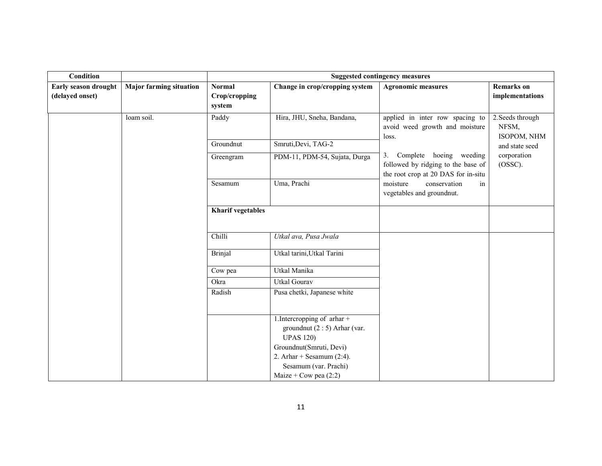| Condition                               |                                |                                          | <b>Suggested contingency measures</b>                                            |                                                                                                                                                                           |                                          |  |  |
|-----------------------------------------|--------------------------------|------------------------------------------|----------------------------------------------------------------------------------|---------------------------------------------------------------------------------------------------------------------------------------------------------------------------|------------------------------------------|--|--|
| Early season drought<br>(delayed onset) | <b>Major farming situation</b> | <b>Normal</b><br>Crop/cropping<br>system | Change in crop/cropping system                                                   | <b>Agronomic measures</b>                                                                                                                                                 | <b>Remarks</b> on<br>implementations     |  |  |
|                                         | loam soil.                     | Paddy                                    | Hira, JHU, Sneha, Bandana,                                                       | applied in inter row spacing to<br>avoid weed growth and moisture<br>loss.                                                                                                | 2. Seeds through<br>NFSM,<br>ISOPOM, NHM |  |  |
|                                         |                                | Groundnut                                | Smruti, Devi, TAG-2                                                              |                                                                                                                                                                           | and state seed                           |  |  |
|                                         |                                | Greengram                                | PDM-11, PDM-54, Sujata, Durga                                                    | Complete hoeing weeding<br>3.<br>followed by ridging to the base of<br>the root crop at 20 DAS for in-situ<br>moisture<br>conservation<br>in<br>vegetables and groundnut. | corporation<br>$(OSSC)$ .                |  |  |
|                                         |                                | Sesamum                                  | Uma, Prachi                                                                      |                                                                                                                                                                           |                                          |  |  |
|                                         |                                | <b>Kharif vegetables</b>                 |                                                                                  |                                                                                                                                                                           |                                          |  |  |
|                                         |                                | Chilli                                   | Utkal ava, Pusa Jwala                                                            |                                                                                                                                                                           |                                          |  |  |
|                                         |                                | <b>Brinjal</b>                           | Utkal tarini, Utkal Tarini                                                       |                                                                                                                                                                           |                                          |  |  |
|                                         |                                | Cow pea                                  | Utkal Manika                                                                     |                                                                                                                                                                           |                                          |  |  |
|                                         |                                | Okra                                     | <b>Utkal Gourav</b>                                                              |                                                                                                                                                                           |                                          |  |  |
|                                         |                                | Radish                                   | Pusa chetki, Japanese white                                                      |                                                                                                                                                                           |                                          |  |  |
|                                         |                                |                                          | 1. Intercropping of arhar +<br>groundnut $(2:5)$ Arhar (var.<br><b>UPAS 120)</b> |                                                                                                                                                                           |                                          |  |  |
|                                         |                                |                                          | Groundnut(Smruti, Devi)                                                          |                                                                                                                                                                           |                                          |  |  |
|                                         |                                |                                          | 2. Arhar + Sesamum $(2:4)$ .                                                     |                                                                                                                                                                           |                                          |  |  |
|                                         |                                |                                          | Sesamum (var. Prachi)                                                            |                                                                                                                                                                           |                                          |  |  |
|                                         |                                |                                          | Maize + Cow pea $(2:2)$                                                          |                                                                                                                                                                           |                                          |  |  |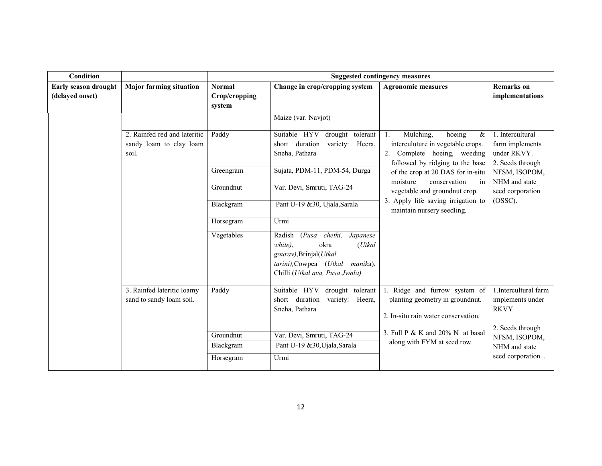| Condition                               |                                                                  |                                          | <b>Suggested contingency measures</b>                                                                                                                              |                                                                                                                                                   |                                                                        |  |  |
|-----------------------------------------|------------------------------------------------------------------|------------------------------------------|--------------------------------------------------------------------------------------------------------------------------------------------------------------------|---------------------------------------------------------------------------------------------------------------------------------------------------|------------------------------------------------------------------------|--|--|
| Early season drought<br>(delayed onset) | <b>Major farming situation</b>                                   | <b>Normal</b><br>Crop/cropping<br>system | Change in crop/cropping system                                                                                                                                     | <b>Agronomic measures</b>                                                                                                                         | <b>Remarks</b> on<br>implementations                                   |  |  |
|                                         |                                                                  |                                          | Maize (var. Navjot)                                                                                                                                                |                                                                                                                                                   |                                                                        |  |  |
|                                         | 2. Rainfed red and lateritic<br>sandy loam to clay loam<br>soil. | Paddy                                    | Suitable HYV<br>drought tolerant<br>short duration<br>variety: Heera,<br>Sneha, Pathara                                                                            | Mulching,<br>hoeing<br>$\&$<br>$1_{\cdot}$<br>interculuture in vegetable crops.<br>2. Complete hoeing, weeding<br>followed by ridging to the base | 1. Intercultural<br>farm implements<br>under RKVY.<br>2. Seeds through |  |  |
|                                         |                                                                  | Greengram                                | Sujata, PDM-11, PDM-54, Durga                                                                                                                                      | of the crop at 20 DAS for in-situ<br>moisture<br>conservation<br>in                                                                               | NFSM, ISOPOM,<br>NHM and state                                         |  |  |
|                                         |                                                                  | Groundnut                                | Var. Devi, Smruti, TAG-24                                                                                                                                          | vegetable and groundnut crop.                                                                                                                     | seed corporation                                                       |  |  |
|                                         |                                                                  | Blackgram                                | Pant U-19 &30, Ujala, Sarala                                                                                                                                       | 3. Apply life saving irrigation to<br>maintain nursery seedling.                                                                                  | (OSSC).                                                                |  |  |
|                                         |                                                                  | Horsegram                                | Urmi                                                                                                                                                               |                                                                                                                                                   |                                                                        |  |  |
|                                         |                                                                  | Vegetables                               | (Pusa chetki,<br>Japanese<br>Radish<br>okra<br>white),<br>$(U$ tkal<br>gourav), Brinjal(Utkal<br>tarini), Cowpea (Utkal manika),<br>Chilli (Utkal ava, Pusa Jwala) |                                                                                                                                                   |                                                                        |  |  |
|                                         | 3. Rainfed lateritic loamy<br>sand to sandy loam soil.           | Paddy                                    | Suitable HYV drought tolerant<br>short duration<br>variety: Heera,<br>Sneha, Pathara                                                                               | 1. Ridge and furrow system of<br>planting geometry in groundnut.<br>2. In-situ rain water conservation.                                           | 1. Intercultural farm<br>implements under<br>RKVY.                     |  |  |
|                                         |                                                                  | Groundnut<br>Blackgram                   | Var. Devi, Smruti, TAG-24<br>Pant U-19 &30, Ujala, Sarala                                                                                                          | 3. Full P & K and $20\%$ N at basal<br>along with FYM at seed row.                                                                                | 2. Seeds through<br>NFSM, ISOPOM,<br>NHM and state                     |  |  |
|                                         |                                                                  | Horsegram                                | Urmi                                                                                                                                                               |                                                                                                                                                   | seed corporation                                                       |  |  |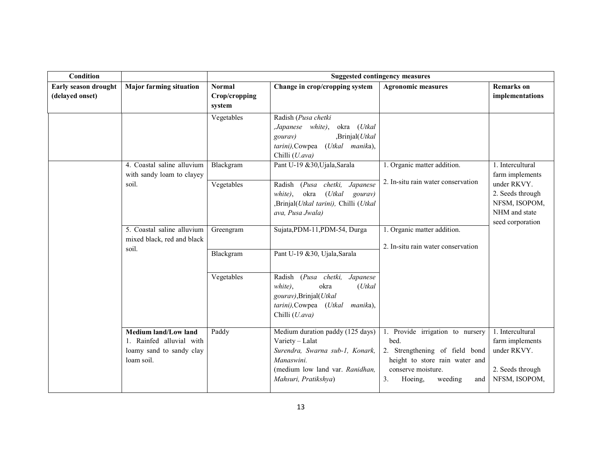| <b>Condition</b>     |                                                                                            |                         |                                                                                                                                                                 | <b>Suggested contingency measures</b>                                                                                                                                 |                                                                                         |
|----------------------|--------------------------------------------------------------------------------------------|-------------------------|-----------------------------------------------------------------------------------------------------------------------------------------------------------------|-----------------------------------------------------------------------------------------------------------------------------------------------------------------------|-----------------------------------------------------------------------------------------|
| Early season drought | <b>Major farming situation</b>                                                             | <b>Normal</b>           | Change in crop/cropping system                                                                                                                                  | <b>Agronomic measures</b>                                                                                                                                             | <b>Remarks</b> on                                                                       |
| (delayed onset)      |                                                                                            | Crop/cropping<br>system |                                                                                                                                                                 |                                                                                                                                                                       | implementations                                                                         |
|                      |                                                                                            | Vegetables              | Radish (Pusa chetki<br>,Japanese white),<br>okra (Utkal<br>,Brinjal(Utkal<br>gourav)<br>tarini), Cowpea (Utkal manika),<br>Chilli (U.ava)                       |                                                                                                                                                                       |                                                                                         |
|                      | 4. Coastal saline alluvium<br>with sandy loam to clayey                                    | Blackgram               | Pant U-19 &30, Ujala, Sarala                                                                                                                                    | 1. Organic matter addition.                                                                                                                                           | 1. Intercultural<br>farm implements                                                     |
|                      | soil.                                                                                      | Vegetables              | (Pusa chetki,<br>Radish<br>Japanese<br>$(U$ tkal<br>okra<br>white),<br>gourav)<br>,Brinjal(Utkal tarini), Chilli (Utkal<br>ava, Pusa Jwala)                     | 2. In-situ rain water conservation                                                                                                                                    | under RKVY.<br>2. Seeds through<br>NFSM, ISOPOM,<br>NHM and state<br>seed corporation   |
|                      | 5. Coastal saline alluvium<br>mixed black, red and black                                   | Greengram               | Sujata, PDM-11, PDM-54, Durga                                                                                                                                   | 1. Organic matter addition.<br>2. In-situ rain water conservation                                                                                                     |                                                                                         |
|                      | soil.                                                                                      | Blackgram               | Pant U-19 &30, Ujala, Sarala                                                                                                                                    |                                                                                                                                                                       |                                                                                         |
|                      |                                                                                            | Vegetables              | (Pusa chetki,<br>Radish<br>Japanese<br>okra<br>$(U$ tkal<br>white).<br>gourav), Brinjal(Utkal<br>tarini), Cowpea (Utkal<br>manika),<br>Chilli (U.ava)           |                                                                                                                                                                       |                                                                                         |
|                      | Medium land/Low land<br>1. Rainfed alluvial with<br>loamy sand to sandy clay<br>loam soil. | Paddy                   | Medium duration paddy (125 days)<br>Variety - Lalat<br>Surendra, Swarna sub-1, Konark,<br>Manaswini.<br>(medium low land var. Ranidhan,<br>Mahsuri, Pratikshya) | 1. Provide irrigation to nursery<br>bed.<br>2. Strengthening of field bond<br>height to store rain water and<br>conserve moisture.<br>3.<br>Hoeing,<br>weeding<br>and | 1. Intercultural<br>farm implements<br>under RKVY.<br>2. Seeds through<br>NFSM, ISOPOM, |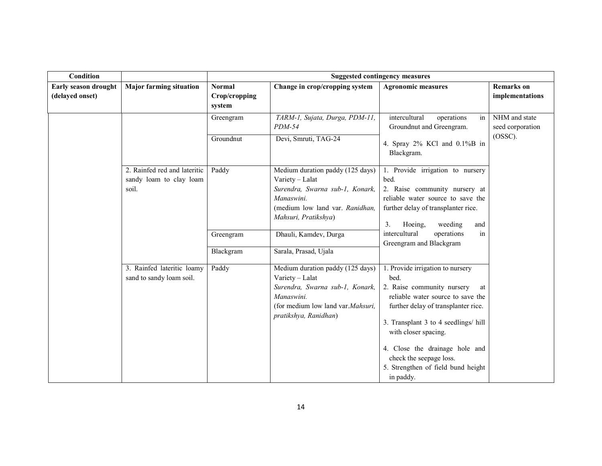| Condition                               |                                                                  | <b>Suggested contingency measures</b>    |                                                                                                                                                                    |                                                                                                                                                                                                                                                                                                                                          |                                                 |  |
|-----------------------------------------|------------------------------------------------------------------|------------------------------------------|--------------------------------------------------------------------------------------------------------------------------------------------------------------------|------------------------------------------------------------------------------------------------------------------------------------------------------------------------------------------------------------------------------------------------------------------------------------------------------------------------------------------|-------------------------------------------------|--|
| Early season drought<br>(delayed onset) | <b>Major farming situation</b>                                   | <b>Normal</b><br>Crop/cropping<br>system | Change in crop/cropping system                                                                                                                                     | <b>Agronomic measures</b>                                                                                                                                                                                                                                                                                                                | <b>Remarks</b> on<br>implementations            |  |
|                                         |                                                                  | Greengram                                | TARM-1, Sujata, Durga, PDM-11,<br>$PDM-54$                                                                                                                         | intercultural<br>operations<br>in<br>Groundnut and Greengram.                                                                                                                                                                                                                                                                            | NHM and state<br>seed corporation<br>$(OSSC)$ . |  |
|                                         |                                                                  | Groundnut                                | Devi, Smruti, TAG-24                                                                                                                                               | 4. Spray 2% KCl and 0.1%B in<br>Blackgram.                                                                                                                                                                                                                                                                                               |                                                 |  |
|                                         | 2. Rainfed red and lateritic<br>sandy loam to clay loam<br>soil. | Paddy                                    | Medium duration paddy (125 days)<br>Variety - Lalat<br>Surendra, Swarna sub-1, Konark,<br>Manaswini.<br>(medium low land var. Ranidhan,<br>Mahsuri, Pratikshya)    | 1. Provide irrigation to nursery<br>bed.<br>2. Raise community nursery at<br>reliable water source to save the<br>further delay of transplanter rice.<br>3 <sub>1</sub><br>Hoeing,<br>weeding<br>and                                                                                                                                     |                                                 |  |
|                                         |                                                                  | Greengram<br>Blackgram                   | Dhauli, Kamdev, Durga<br>Sarala, Prasad, Ujala                                                                                                                     | intercultural<br>operations<br>in<br>Greengram and Blackgram                                                                                                                                                                                                                                                                             |                                                 |  |
|                                         | 3. Rainfed lateritic loamy<br>sand to sandy loam soil.           | Paddy                                    | Medium duration paddy (125 days)<br>Variety - Lalat<br>Surendra, Swarna sub-1, Konark,<br>Manaswini.<br>(for medium low land var.Mahsuri,<br>pratikshya, Ranidhan) | 1. Provide irrigation to nursery<br>bed.<br>2. Raise community nursery<br>at<br>reliable water source to save the<br>further delay of transplanter rice.<br>3. Transplant 3 to 4 seedlings/ hill<br>with closer spacing.<br>4. Close the drainage hole and<br>check the seepage loss.<br>5. Strengthen of field bund height<br>in paddy. |                                                 |  |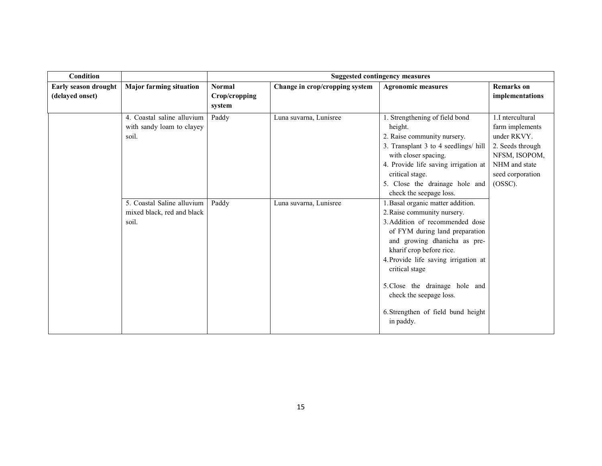| Condition                               |                                                                   | <b>Suggested contingency measures</b>    |                                |                                                                                                                                                                                                                                                                                                                                                                             |                                                                                                                                         |
|-----------------------------------------|-------------------------------------------------------------------|------------------------------------------|--------------------------------|-----------------------------------------------------------------------------------------------------------------------------------------------------------------------------------------------------------------------------------------------------------------------------------------------------------------------------------------------------------------------------|-----------------------------------------------------------------------------------------------------------------------------------------|
| Early season drought<br>(delayed onset) | <b>Major farming situation</b>                                    | <b>Normal</b><br>Crop/cropping<br>system | Change in crop/cropping system | <b>Agronomic measures</b>                                                                                                                                                                                                                                                                                                                                                   | <b>Remarks</b> on<br>implementations                                                                                                    |
|                                         | 4. Coastal saline alluvium<br>with sandy loam to clayey<br>soil.  | Paddy                                    | Luna suvarna, Lunisree         | . Strengthening of field bond<br>height.<br>2. Raise community nursery.<br>3. Transplant 3 to 4 seedlings/ hill<br>with closer spacing.<br>4. Provide life saving irrigation at<br>critical stage.<br>5. Close the drainage hole and<br>check the seepage loss.                                                                                                             | 1.I ntercultural<br>farm implements<br>under RKVY.<br>2. Seeds through<br>NFSM, ISOPOM,<br>NHM and state<br>seed corporation<br>(OSSC). |
|                                         | 5. Coastal Saline alluvium<br>mixed black, red and black<br>soil. | Paddy                                    | Luna suvarna, Lunisree         | 1. Basal organic matter addition.<br>2. Raise community nursery.<br>3. Addition of recommended dose<br>of FYM during land preparation<br>and growing dhanicha as pre-<br>kharif crop before rice.<br>4. Provide life saving irrigation at<br>critical stage<br>5. Close the drainage hole and<br>check the seepage loss.<br>6. Strengthen of field bund height<br>in paddy. |                                                                                                                                         |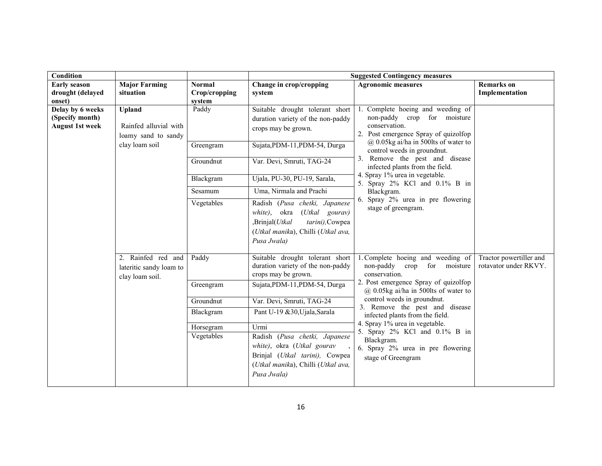| Condition                                                     |                                                                                 |                                                                         | <b>Suggested Contingency measures</b>                                                                                                                                                                                                                                                                                                                                          |                                                                                                                                                                                                                                                                                                                                                                                                                           |                                                  |  |
|---------------------------------------------------------------|---------------------------------------------------------------------------------|-------------------------------------------------------------------------|--------------------------------------------------------------------------------------------------------------------------------------------------------------------------------------------------------------------------------------------------------------------------------------------------------------------------------------------------------------------------------|---------------------------------------------------------------------------------------------------------------------------------------------------------------------------------------------------------------------------------------------------------------------------------------------------------------------------------------------------------------------------------------------------------------------------|--------------------------------------------------|--|
| <b>Early season</b><br>drought (delayed<br>onset)             | <b>Major Farming</b><br>situation                                               | <b>Normal</b><br>Crop/cropping<br>system                                | Change in crop/cropping<br>system                                                                                                                                                                                                                                                                                                                                              | <b>Agronomic measures</b>                                                                                                                                                                                                                                                                                                                                                                                                 | <b>Remarks</b> on<br>Implementation              |  |
| Delay by 6 weeks<br>(Specify month)<br><b>August 1st week</b> | <b>Upland</b><br>Rainfed alluvial with<br>loamy sand to sandy<br>clay loam soil | Paddy<br>Greengram<br>Groundnut<br>Blackgram<br>Sesamum<br>Vegetables   | Suitable drought tolerant short<br>duration variety of the non-paddy<br>crops may be grown.<br>Sujata, PDM-11, PDM-54, Durga<br>Var. Devi, Smruti, TAG-24<br>Ujala, PU-30, PU-19, Sarala,<br>Uma, Nirmala and Prachi<br>Radish (Pusa chetki, Japanese<br>white), okra (Utkal gourav)<br>,Brinjal(Utkal<br>tarini), Cowpea<br>(Utkal manika), Chilli (Utkal ava,<br>Pusa Jwala) | 1. Complete hoeing and weeding of<br>non-paddy crop for moisture<br>conservation.<br>2. Post emergence Spray of quizolfop<br>$(a)$ 0.05kg ai/ha in 500lts of water to<br>control weeds in groundnut.<br>3. Remove the pest and disease<br>infected plants from the field.<br>4. Spray 1% urea in vegetable.<br>5. Spray 2% KCl and 0.1% B in<br>Blackgram.<br>6. Spray 2% urea in pre flowering<br>stage of greengram.    |                                                  |  |
|                                                               | 2. Rainfed red and<br>lateritic sandy loam to<br>clay loam soil.                | Paddy<br>Greengram<br>Groundnut<br>Blackgram<br>Horsegram<br>Vegetables | Suitable drought tolerant short<br>duration variety of the non-paddy<br>crops may be grown.<br>Sujata, PDM-11, PDM-54, Durga<br>Var. Devi, Smruti, TAG-24<br>Pant U-19 &30, Ujala, Sarala<br>Urmi<br>Radish (Pusa chetki, Japanese<br>white), okra (Utkal gourav<br>Brinjal (Utkal tarini), Cowpea<br>(Utkal manika), Chilli (Utkal ava,<br>Pusa Jwala)                        | 1. Complete hoeing and weeding of<br>non-paddy crop<br>for<br>moisture<br>conservation.<br>2. Post emergence Spray of quizolfop<br>$@$ 0.05kg ai/ha in 500lts of water to<br>control weeds in groundnut.<br>3. Remove the pest and disease<br>infected plants from the field.<br>4. Spray 1% urea in vegetable.<br>5. Spray 2% KCl and 0.1% B in<br>Blackgram.<br>6. Spray 2% urea in pre flowering<br>stage of Greengram | Tractor powertiller and<br>rotavator under RKVY. |  |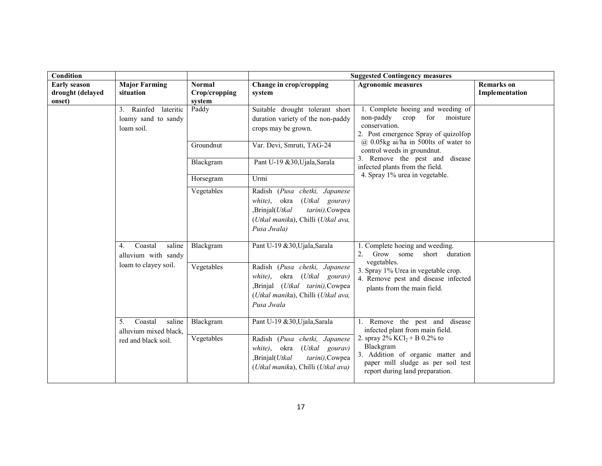| Condition                                         |                                                                         |                                                                                                                                                       |                                                                                                                                                                            | <b>Suggested Contingency measures</b>                                                                                                                                                                                           |                                     |
|---------------------------------------------------|-------------------------------------------------------------------------|-------------------------------------------------------------------------------------------------------------------------------------------------------|----------------------------------------------------------------------------------------------------------------------------------------------------------------------------|---------------------------------------------------------------------------------------------------------------------------------------------------------------------------------------------------------------------------------|-------------------------------------|
| <b>Early season</b><br>drought (delayed<br>onset) | <b>Major Farming</b><br>situation                                       | <b>Normal</b><br>Crop/cropping<br>system                                                                                                              | Change in crop/cropping<br>system                                                                                                                                          | <b>Agronomic measures</b>                                                                                                                                                                                                       | <b>Remarks</b> on<br>Implementation |
| loam soil.                                        | 3. Rainfed lateritic<br>loamy sand to sandy                             | Paddy                                                                                                                                                 | Suitable drought tolerant short<br>duration variety of the non-paddy<br>crops may be grown.                                                                                | 1. Complete hoeing and weeding of<br>non-paddy<br>crop<br>for<br>moisture<br>conservation.<br>2. Post emergence Spray of quizolfop                                                                                              |                                     |
|                                                   |                                                                         | Groundnut                                                                                                                                             | Var. Devi, Smruti, TAG-24                                                                                                                                                  | $(a)$ 0.05kg ai/ha in 500lts of water to<br>control weeds in groundnut.<br>3. Remove the pest and disease<br>infected plants from the field.                                                                                    |                                     |
|                                                   |                                                                         | Blackgram                                                                                                                                             | Pant U-19 &30, Ujala, Sarala                                                                                                                                               |                                                                                                                                                                                                                                 |                                     |
|                                                   |                                                                         | Horsegram                                                                                                                                             | Urmi                                                                                                                                                                       | 4. Spray 1% urea in vegetable.                                                                                                                                                                                                  |                                     |
|                                                   |                                                                         | Vegetables                                                                                                                                            | Radish (Pusa chetki, Japanese<br>white),<br>okra<br>( <i>Utkal</i> gourav)<br>,Brinjal(Utkal<br>tarini), Cowpea<br>(Utkal manika), Chilli (Utkal ava,<br>Pusa Jwala)       |                                                                                                                                                                                                                                 |                                     |
|                                                   | Coastal<br>saline<br>4.<br>alluvium with sandy                          | Blackgram                                                                                                                                             | Pant U-19 &30, Ujala, Sarala                                                                                                                                               | 1. Complete hoeing and weeding.<br>Grow some<br>short<br>duration<br>2.<br>vegetables.                                                                                                                                          |                                     |
| loam to clayey soil.                              | Vegetables                                                              | Radish (Pusa chetki, Japanese<br>okra (Utkal gourav)<br>white).<br>,Brinjal (Utkal tarini),Cowpea<br>(Utkal manika), Chilli (Utkal ava,<br>Pusa Jwala | 3. Spray 1% Urea in vegetable crop.<br>4. Remove pest and disease infected<br>plants from the main field.                                                                  |                                                                                                                                                                                                                                 |                                     |
|                                                   | Coastal<br>saline<br>5.<br>alluvium mixed black,<br>red and black soil. | Blackgram<br>Vegetables                                                                                                                               | Pant U-19 &30, Ujala, Sarala<br>Radish (Pusa chetki, Japanese<br>okra (Utkal gourav)<br>white),<br>,Brinjal(Utkal<br>tarini), Cowpea<br>(Utkal manika), Chilli (Utkal ava) | 1. Remove the pest and disease<br>infected plant from main field.<br>2. spray 2% $KCl_2 + B$ 0.2% to<br>Blackgram<br>3. Addition of organic matter and<br>paper mill sludge as per soil test<br>report during land preparation. |                                     |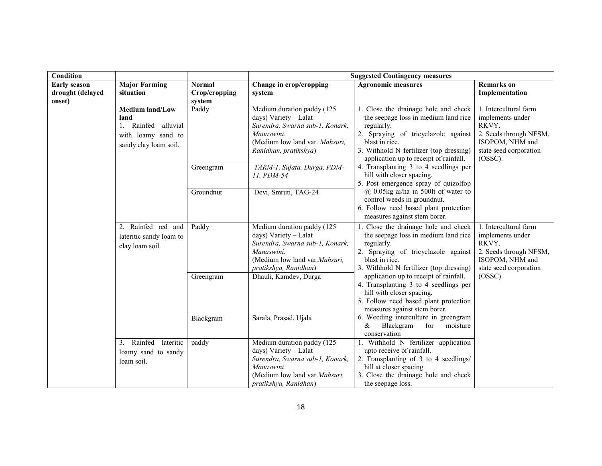| Condition                  |                                                                                                      |                         |                                                                                                                                                                 | <b>Suggested Contingency measures</b>                                                                                                                                                                                                    |                                                                                                                                         |
|----------------------------|------------------------------------------------------------------------------------------------------|-------------------------|-----------------------------------------------------------------------------------------------------------------------------------------------------------------|------------------------------------------------------------------------------------------------------------------------------------------------------------------------------------------------------------------------------------------|-----------------------------------------------------------------------------------------------------------------------------------------|
| <b>Early season</b>        | <b>Major Farming</b>                                                                                 | <b>Normal</b>           | Change in crop/cropping                                                                                                                                         | <b>Agronomic measures</b>                                                                                                                                                                                                                | <b>Remarks</b> on                                                                                                                       |
| drought (delayed<br>onset) | situation                                                                                            | Crop/cropping<br>system | system                                                                                                                                                          |                                                                                                                                                                                                                                          | Implementation                                                                                                                          |
|                            | <b>Medium land/Low</b><br>land<br>1. Rainfed alluvial<br>with loamy sand to<br>sandy clay loam soil. | Paddy                   | Medium duration paddy (125<br>days) Variety - Lalat<br>Surendra, Swarna sub-1, Konark,<br>Manaswini.<br>(Medium low land var. Mahsuri,<br>Ranidhan, pratikshya) | 1. Close the drainage hole and check<br>the seepage loss in medium land rice<br>regularly.<br>2. Spraying of tricyclazole against<br>blast in rice.<br>3. Withhold N fertilizer (top dressing)<br>application up to receipt of rainfall. | 1. Intercultural farm<br>implements under<br>RKVY.<br>2. Seeds through NFSM,<br>ISOPOM, NHM and<br>state seed corporation<br>$(OSSC)$ . |
|                            |                                                                                                      | Greengram               | TARM-1, Sujata, Durga, PDM-<br>11, PDM-54                                                                                                                       | 4. Transplanting 3 to 4 seedlings per<br>hill with closer spacing.<br>5. Post emergence spray of quizolfop                                                                                                                               |                                                                                                                                         |
|                            |                                                                                                      | Groundnut               | Devi, Smruti, TAG-24                                                                                                                                            | $@$ 0.05kg ai/ha in 500lt of water to<br>control weeds in groundnut.<br>6. Follow need based plant protection<br>measures against stem borer.                                                                                            |                                                                                                                                         |
|                            | 2. Rainfed red and<br>lateritic sandy loam to<br>clay loam soil.                                     | Paddy                   | Medium duration paddy (125<br>days) Variety - Lalat<br>Surendra, Swarna sub-1, Konark,<br>Manaswini.<br>(Medium low land var.Mahsuri,<br>pratikshya, Ranidhan)  | 1. Close the drainage hole and check<br>the seepage loss in medium land rice<br>regularly.<br>2. Spraying of tricyclazole against<br>blast in rice.<br>3. Withhold N fertilizer (top dressing)                                           | 1. Intercultural farm<br>implements under<br>RKVY.<br>2. Seeds through NFSM,<br>ISOPOM, NHM and<br>state seed corporation               |
|                            |                                                                                                      | Greengram               | Dhauli, Kamdev, Durga                                                                                                                                           | application up to receipt of rainfall.<br>4. Transplanting 3 to 4 seedlings per<br>hill with closer spacing.<br>5. Follow need based plant protection<br>measures against stem borer.                                                    | $(OSSC)$ .                                                                                                                              |
|                            |                                                                                                      | Blackgram               | Sarala, Prasad, Ujala                                                                                                                                           | 6. Weeding interculture in greengram<br>&<br>Blackgram<br>for<br>moisture<br>conservation                                                                                                                                                |                                                                                                                                         |
|                            | Rainfed<br>lateritic<br>3 <sub>1</sub><br>loamy sand to sandy<br>loam soil.                          | paddy                   | Medium duration paddy (125<br>days) Variety - Lalat<br>Surendra, Swarna sub-1, Konark,<br>Manaswini.<br>(Medium low land var.Mahsuri,<br>pratikshya, Ranidhan)  | 1. Withhold N fertilizer application<br>upto receive of rainfall.<br>2. Transplanting of 3 to 4 seedlings/<br>hill at closer spacing.<br>3. Close the drainage hole and check<br>the seepage loss.                                       |                                                                                                                                         |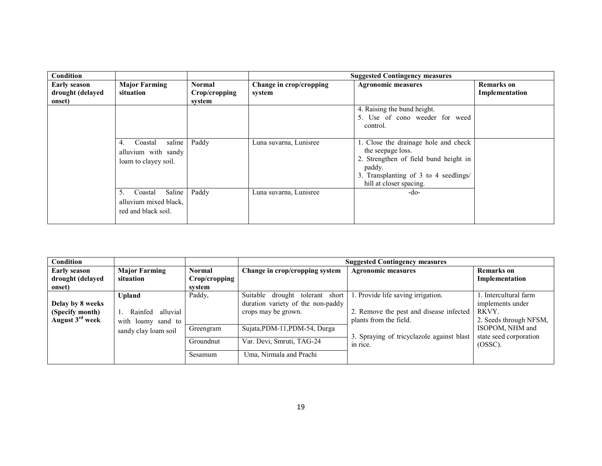| Condition                                         |                                                                        |                                          |                                   | <b>Suggested Contingency measures</b>                                                                                                                                            |                                     |
|---------------------------------------------------|------------------------------------------------------------------------|------------------------------------------|-----------------------------------|----------------------------------------------------------------------------------------------------------------------------------------------------------------------------------|-------------------------------------|
| <b>Early season</b><br>drought (delayed<br>onset) | <b>Major Farming</b><br>situation                                      | <b>Normal</b><br>Crop/cropping<br>system | Change in crop/cropping<br>system | <b>Agronomic measures</b>                                                                                                                                                        | <b>Remarks</b> on<br>Implementation |
|                                                   |                                                                        |                                          |                                   | 4. Raising the bund height.<br>5. Use of cono weeder for weed<br>control.                                                                                                        |                                     |
|                                                   | saline<br>Coastal<br>4.<br>alluvium with sandy<br>loam to clayey soil. | Paddy                                    | Luna suvarna, Lunisree            | 1. Close the drainage hole and check<br>the seepage loss.<br>2. Strengthen of field bund height in<br>paddy.<br>3. Transplanting of 3 to 4 seedlings/<br>hill at closer spacing. |                                     |
|                                                   | Saline<br>Coastal<br>alluvium mixed black,<br>red and black soil.      | Paddy                                    | Luna suvarna, Lunisree            | -do-                                                                                                                                                                             |                                     |

| Condition                   |                        |               |                                    | <b>Suggested Contingency measures</b>     |                        |
|-----------------------------|------------------------|---------------|------------------------------------|-------------------------------------------|------------------------|
| <b>Early season</b>         | <b>Major Farming</b>   | <b>Normal</b> | Change in crop/cropping system     | <b>Agronomic measures</b>                 | <b>Remarks</b> on      |
| drought (delayed            | situation              | Crop/cropping |                                    |                                           | Implementation         |
| onset)                      |                        | svstem        |                                    |                                           |                        |
|                             | Upland                 | Paddy,        | Suitable drought tolerant<br>short | 1. Provide life saving irrigation.        | . Intercultural farm   |
| Delay by 8 weeks            |                        |               | duration variety of the non-paddy  |                                           | implements under       |
| (Specify month)             | 1. Rainfed<br>alluvial |               | crops may be grown.                | 2. Remove the pest and disease infected   | RKVY.                  |
| August 3 <sup>rd</sup> week | with loamy sand to     |               |                                    | plants from the field.                    | 2. Seeds through NFSM, |
|                             | sandy clay loam soil   | Greengram     | Sujata, PDM-11, PDM-54, Durga      |                                           | ISOPOM, NHM and        |
|                             |                        |               |                                    | 3. Spraying of tricyclazole against blast | state seed corporation |
|                             |                        | Groundnut     | Var. Devi, Smruti, TAG-24          | in rice.                                  | (OSSC).                |
|                             |                        | Sesamum       | Uma, Nirmala and Prachi            |                                           |                        |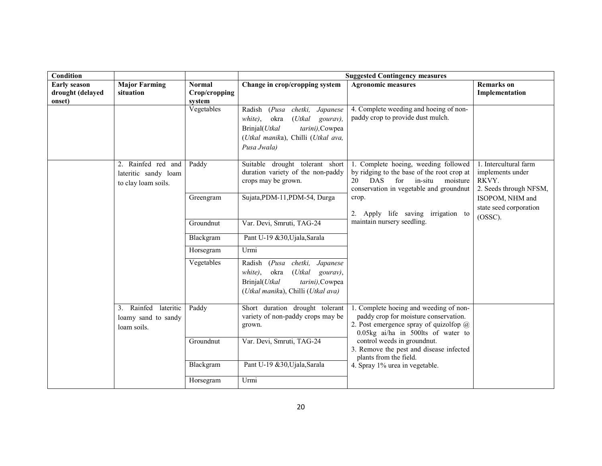| Condition                                         |                                                                   |                                          |                                                                                                                                                                              | <b>Suggested Contingency measures</b>                                                                                                                                                                                |                                                                              |
|---------------------------------------------------|-------------------------------------------------------------------|------------------------------------------|------------------------------------------------------------------------------------------------------------------------------------------------------------------------------|----------------------------------------------------------------------------------------------------------------------------------------------------------------------------------------------------------------------|------------------------------------------------------------------------------|
| <b>Early season</b><br>drought (delayed<br>onset) | <b>Major Farming</b><br>situation                                 | <b>Normal</b><br>Crop/cropping<br>system | Change in crop/cropping system                                                                                                                                               | <b>Agronomic measures</b>                                                                                                                                                                                            | <b>Remarks</b> on<br>Implementation                                          |
|                                                   |                                                                   | Vegetables                               | chetki,<br>Radish<br>(Pusa)<br>Japanese<br>white),<br>okra<br>$(U$ tkal<br>gourav),<br>Brinjal(Utkal<br>tarini), Cowpea<br>(Utkal manika), Chilli (Utkal ava,<br>Pusa Jwala) | 4. Complete weeding and hoeing of non-<br>paddy crop to provide dust mulch.                                                                                                                                          |                                                                              |
|                                                   | 2. Rainfed red and<br>lateritic sandy loam<br>to clay loam soils. | Paddy                                    | Suitable drought tolerant short<br>duration variety of the non-paddy<br>crops may be grown.                                                                                  | 1. Complete hoeing, weeding followed<br>by ridging to the base of the root crop at<br>for in-situ<br>20<br>DAS<br>moisture<br>conservation in vegetable and groundnut<br>crop.<br>2. Apply life saving irrigation to | 1. Intercultural farm<br>implements under<br>RKVY.<br>2. Seeds through NFSM, |
|                                                   |                                                                   | Greengram                                | Sujata, PDM-11, PDM-54, Durga                                                                                                                                                |                                                                                                                                                                                                                      | ISOPOM, NHM and<br>state seed corporation<br>$(OSSC)$ .                      |
|                                                   |                                                                   | Groundnut                                | Var. Devi, Smruti, TAG-24                                                                                                                                                    | maintain nursery seedling.                                                                                                                                                                                           |                                                                              |
|                                                   |                                                                   | Blackgram                                | Pant U-19 &30, Ujala, Sarala                                                                                                                                                 |                                                                                                                                                                                                                      |                                                                              |
|                                                   |                                                                   | Horsegram                                | Urmi                                                                                                                                                                         |                                                                                                                                                                                                                      |                                                                              |
|                                                   |                                                                   | Vegetables                               | Radish<br>(Pusa)<br>chetki,<br>Japanese<br>white),<br>okra<br>$(U$ tkal<br>gourav),<br>Brinjal(Utkal<br>tarini), Cowpea<br>(Utkal manika), Chilli (Utkal ava)                |                                                                                                                                                                                                                      |                                                                              |
|                                                   | 3. Rainfed<br>lateritic<br>loamy sand to sandy<br>loam soils.     | Paddy                                    | Short duration drought tolerant<br>variety of non-paddy crops may be<br>grown.                                                                                               | 1. Complete hoeing and weeding of non-<br>paddy crop for moisture conservation.<br>2. Post emergence spray of quizolfop $\omega$<br>0.05kg ai/ha in 500lts of water to                                               |                                                                              |
|                                                   |                                                                   | Groundnut                                | Var. Devi, Smruti, TAG-24                                                                                                                                                    | control weeds in groundnut.<br>3. Remove the pest and disease infected<br>plants from the field.                                                                                                                     |                                                                              |
|                                                   |                                                                   | Blackgram                                | Pant U-19 &30, Ujala, Sarala                                                                                                                                                 | 4. Spray 1% urea in vegetable.                                                                                                                                                                                       |                                                                              |
|                                                   |                                                                   | Horsegram                                | Urmi                                                                                                                                                                         |                                                                                                                                                                                                                      |                                                                              |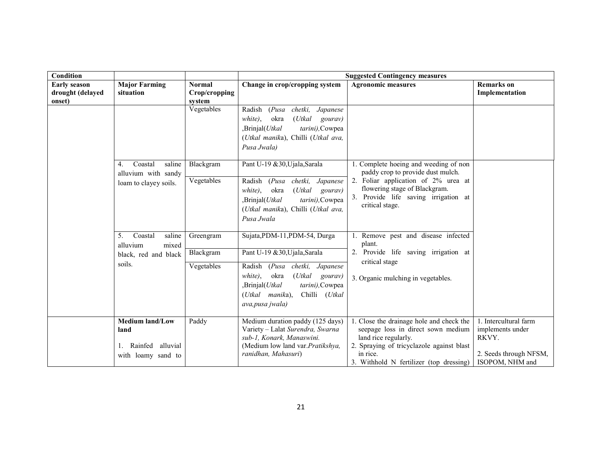| Condition                                   |               |                                                                | <b>Suggested Contingency measures</b>                                |                           |
|---------------------------------------------|---------------|----------------------------------------------------------------|----------------------------------------------------------------------|---------------------------|
| <b>Major Farming</b><br><b>Early season</b> | <b>Normal</b> | Change in crop/cropping system                                 | <b>Agronomic measures</b>                                            | <b>Remarks</b> on         |
| drought (delayed<br>situation               | Crop/cropping |                                                                |                                                                      | Implementation            |
| onset)                                      | system        |                                                                |                                                                      |                           |
|                                             | Vegetables    | Radish<br>(Pusa)<br>chetki,<br>Japanese                        |                                                                      |                           |
|                                             |               | white).<br>okra<br>(Utkal)<br>gourav)                          |                                                                      |                           |
|                                             |               | ,Brinjal(Utkal<br>tarini), Cowpea                              |                                                                      |                           |
|                                             |               | (Utkal manika), Chilli (Utkal ava,                             |                                                                      |                           |
|                                             |               | Pusa Jwala)                                                    |                                                                      |                           |
|                                             |               |                                                                |                                                                      |                           |
| Coastal<br>saline<br>4.                     | Blackgram     | Pant U-19 &30, Ujala, Sarala                                   | 1. Complete hoeing and weeding of non                                |                           |
| alluvium with sandy                         |               |                                                                | paddy crop to provide dust mulch.                                    |                           |
| loam to clayey soils.                       | Vegetables    | Radish<br>chetki,<br>(Pusa)<br>Japanese                        | 2. Foliar application of 2% urea at<br>flowering stage of Blackgram. |                           |
|                                             |               | $(U$ tkal<br>white).<br>okra<br>gourav)                        | 3. Provide life saving irrigation at                                 |                           |
|                                             |               | ,Brinjal(Utkal<br>tarini), Cowpea                              | critical stage.                                                      |                           |
|                                             |               | (Utkal manika), Chilli (Utkal ava,                             |                                                                      |                           |
|                                             |               | Pusa Jwala                                                     |                                                                      |                           |
|                                             |               |                                                                |                                                                      |                           |
| Coastal<br>saline<br>5.                     | Greengram     | Sujata, PDM-11, PDM-54, Durga                                  | Remove pest and disease infected<br>plant.                           |                           |
| alluvium<br>mixed                           | Blackgram     | Pant U-19 &30, Ujala, Sarala                                   | 2. Provide life saving irrigation at                                 |                           |
| black, red and black                        |               |                                                                | critical stage                                                       |                           |
| soils.                                      | Vegetables    | Radish<br>(Pusa)<br>chetki,<br>Japanese                        |                                                                      |                           |
|                                             |               | white),<br>okra<br>(Utkal<br>gourav)                           | 3. Organic mulching in vegetables.                                   |                           |
|                                             |               | ,Brinjal(Utkal<br>tarini), Cowpea                              |                                                                      |                           |
|                                             |               | Chilli<br>( <i>Utkal manika</i> ),<br>(Utkal                   |                                                                      |                           |
|                                             |               | ava, pusa jwala)                                               |                                                                      |                           |
|                                             |               |                                                                |                                                                      |                           |
| <b>Medium land/Low</b>                      | Paddy         | Medium duration paddy (125 days)                               | 1. Close the drainage hole and check the                             | 1. Intercultural farm     |
| land                                        |               | Variety - Lalat Surendra, Swarna                               | seepage loss in direct sown medium                                   | implements under<br>RKVY. |
| alluvial<br>Rainfed                         |               | sub-1, Konark, Manaswini.<br>(Medium low land var. Pratikshya, | land rice regularly.<br>2. Spraying of tricyclazole against blast    |                           |
| with loamy sand to                          |               | ranidhan, Mahasuri)                                            | in rice.                                                             | 2. Seeds through NFSM,    |
|                                             |               |                                                                | 3. Withhold N fertilizer (top dressing)                              | ISOPOM, NHM and           |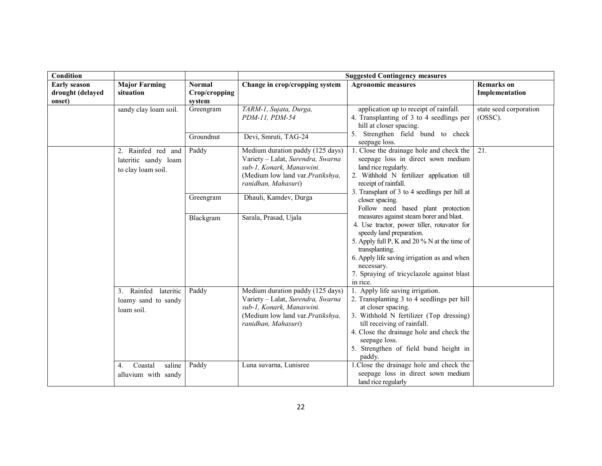| Condition                                         |                                                                  |                                          |                                                                                                                                                                | <b>Suggested Contingency measures</b>                                                                                                                                                                                                                                                                      |                                      |
|---------------------------------------------------|------------------------------------------------------------------|------------------------------------------|----------------------------------------------------------------------------------------------------------------------------------------------------------------|------------------------------------------------------------------------------------------------------------------------------------------------------------------------------------------------------------------------------------------------------------------------------------------------------------|--------------------------------------|
| <b>Early season</b><br>drought (delayed<br>onset) | <b>Major Farming</b><br>situation                                | <b>Normal</b><br>Crop/cropping<br>system | Change in crop/cropping system                                                                                                                                 | <b>Agronomic measures</b>                                                                                                                                                                                                                                                                                  | <b>Remarks</b> on<br>Implementation  |
|                                                   | sandy clay loam soil.                                            | Greengram                                | TARM-1, Sujata, Durga,<br>PDM-11, PDM-54                                                                                                                       | application up to receipt of rainfall.<br>4. Transplanting of 3 to 4 seedlings per<br>hill at closer spacing.                                                                                                                                                                                              | state seed corporation<br>$(OSSC)$ . |
|                                                   |                                                                  | Groundnut                                | Devi, Smruti, TAG-24                                                                                                                                           | 5. Strengthen field bund to check<br>seepage loss.                                                                                                                                                                                                                                                         |                                      |
|                                                   | 2. Rainfed red and<br>lateritic sandy loam<br>to clay loam soil. | Paddy                                    | Medium duration paddy (125 days)<br>Variety - Lalat, Surendra, Swarna<br>sub-1, Konark, Manaswini.<br>(Medium low land var. Pratikshya,<br>ranidhan, Mahasuri) | 1. Close the drainage hole and check the<br>seepage loss in direct sown medium<br>land rice regularly.<br>2. Withhold N fertilizer application till<br>receipt of rainfall.<br>3. Transplant of 3 to 4 seedlings per hill at                                                                               | 21.                                  |
|                                                   |                                                                  | Greengram                                | Dhauli, Kamdev, Durga                                                                                                                                          | closer spacing.<br>Follow need based plant protection                                                                                                                                                                                                                                                      |                                      |
|                                                   | Blackgram                                                        |                                          | Sarala, Prasad, Ujala                                                                                                                                          | measures against steam borer and blast.<br>4. Use tractor, power tiller, rotavator for<br>speedy land preparation.<br>5. Apply full P, K and 20 % N at the time of<br>transplanting.<br>6. Apply life saving irrigation as and when<br>necessary.<br>7. Spraying of tricyclazole against blast<br>in rice. |                                      |
|                                                   | 3. Rainfed<br>lateritic<br>loamy sand to sandy<br>loam soil.     | Paddy                                    | Medium duration paddy (125 days)<br>Variety - Lalat, Surendra, Swarna<br>sub-1, Konark, Manaswini.<br>(Medium low land var.Pratikshya,<br>ranidhan, Mahasuri)  | 1. Apply life saving irrigation.<br>2. Transplanting 3 to 4 seedlings per hill<br>at closer spacing.<br>3. Withhold N fertilizer (Top dressing)<br>till receiving of rainfall.<br>4. Close the drainage hole and check the<br>seepage loss.<br>5. Strengthen of field bund height in<br>paddy.             |                                      |
|                                                   | Coastal<br>saline<br>4.<br>alluvium with sandy                   | Paddy                                    | Luna suvarna, Lunisree                                                                                                                                         | 1. Close the drainage hole and check the<br>seepage loss in direct sown medium<br>land rice regularly                                                                                                                                                                                                      |                                      |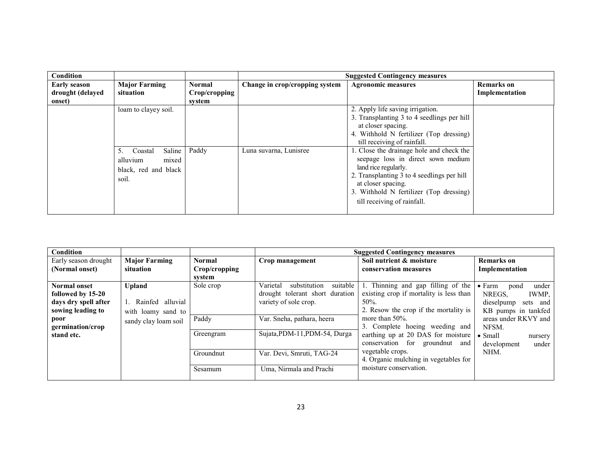| Condition                                         |                                                                               |                                   |                                | <b>Suggested Contingency measures</b>                                                                                                                                                                                                                |                                     |
|---------------------------------------------------|-------------------------------------------------------------------------------|-----------------------------------|--------------------------------|------------------------------------------------------------------------------------------------------------------------------------------------------------------------------------------------------------------------------------------------------|-------------------------------------|
| <b>Early season</b><br>drought (delayed<br>onset) | <b>Major Farming</b><br>situation                                             | Normal<br>Crop/cropping<br>system | Change in crop/cropping system | <b>Agronomic measures</b>                                                                                                                                                                                                                            | <b>Remarks</b> on<br>Implementation |
|                                                   | loam to clayey soil.                                                          |                                   |                                | 2. Apply life saving irrigation.<br>3. Transplanting 3 to 4 seedlings per hill<br>at closer spacing.<br>4. Withhold N fertilizer (Top dressing)<br>till receiving of rainfall.                                                                       |                                     |
|                                                   | Saline<br>Coastal<br>5.<br>alluvium<br>mixed<br>black, red and black<br>soil. | Paddy                             | Luna suvarna, Lunisree         | 1. Close the drainage hole and check the<br>seepage loss in direct sown medium<br>land rice regularly.<br>2. Transplanting 3 to 4 seedlings per hill<br>at closer spacing.<br>3. Withhold N fertilizer (Top dressing)<br>till receiving of rainfall. |                                     |

| Condition            |                      |               |                                      | <b>Suggested Contingency measures</b>   |                                 |
|----------------------|----------------------|---------------|--------------------------------------|-----------------------------------------|---------------------------------|
| Early season drought | <b>Major Farming</b> | <b>Normal</b> | Crop management                      | Soil nutrient & moisture                | <b>Remarks</b> on               |
| (Normal onset)       | situation            | Crop/cropping |                                      | conservation measures                   | Implementation                  |
|                      |                      | svstem        |                                      |                                         |                                 |
| <b>Normal onset</b>  | <b>Upland</b>        | Sole crop     | Varietal<br>suitable<br>substitution | 1. Thinning and gap filling of the      | $\bullet$ Farm<br>under<br>pond |
| followed by 15-20    |                      |               | drought tolerant short duration      | existing crop if mortality is less than | NREGS.<br>IWMP.                 |
| days dry spell after | 1. Rainfed alluvial  |               | variety of sole crop.                | 50%.                                    | dieselpump sets and             |
| sowing leading to    | with loamy sand to   |               |                                      | 2. Resow the crop if the mortality is   | KB pumps in tankfed             |
| poor                 | sandy clay loam soil | Paddy         | Var. Sneha, pathara, heera           | more than $50\%$ .                      | areas under RKVY and            |
| germination/crop     |                      |               |                                      | 3. Complete hoeing weeding and          | NFSM.                           |
| stand etc.           |                      | Greengram     | Sujata, PDM-11, PDM-54, Durga        | earthing up at 20 DAS for moisture      | $\bullet$ Small<br>nursery      |
|                      |                      |               |                                      | conservation for groundnut and          | development<br>under            |
|                      |                      | Groundnut     | Var. Devi, Smruti, TAG-24            | vegetable crops.                        | NHM.                            |
|                      |                      |               |                                      | 4. Organic mulching in vegetables for   |                                 |
|                      |                      | Sesamum       | Uma, Nirmala and Prachi              | moisture conservation.                  |                                 |
|                      |                      |               |                                      |                                         |                                 |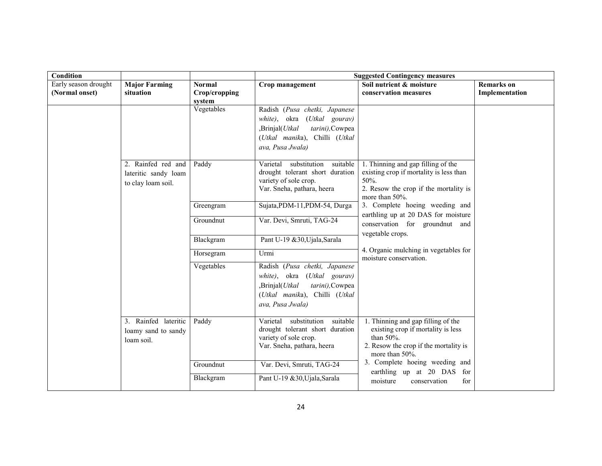| Condition            |                      |                      |                                      | <b>Suggested Contingency measures</b>                                 |                   |
|----------------------|----------------------|----------------------|--------------------------------------|-----------------------------------------------------------------------|-------------------|
| Early season drought | <b>Major Farming</b> | <b>Normal</b>        | Crop management                      | Soil nutrient & moisture                                              | <b>Remarks</b> on |
| (Normal onset)       | situation            | Crop/cropping        |                                      | conservation measures                                                 | Implementation    |
|                      |                      | system<br>Vegetables | Radish (Pusa chetki, Japanese        |                                                                       |                   |
|                      |                      |                      | white), okra (Utkal gourav)          |                                                                       |                   |
|                      |                      |                      | ,Brinjal(Utkal<br>tarini), Cowpea    |                                                                       |                   |
|                      |                      |                      | (Utkal manika), Chilli (Utkal        |                                                                       |                   |
|                      |                      |                      | ava, Pusa Jwala)                     |                                                                       |                   |
|                      |                      |                      |                                      |                                                                       |                   |
|                      | 2. Rainfed red and   | Paddy                | Varietal<br>substitution<br>suitable | 1. Thinning and gap filling of the                                    |                   |
|                      | lateritic sandy loam |                      | drought tolerant short duration      | existing crop if mortality is less than                               |                   |
|                      | to clay loam soil.   |                      | variety of sole crop.                | 50%.                                                                  |                   |
|                      |                      |                      | Var. Sneha, pathara, heera           | 2. Resow the crop if the mortality is<br>more than 50%.               |                   |
|                      |                      | Greengram            | Sujata, PDM-11, PDM-54, Durga        | 3. Complete hoeing weeding and<br>earthling up at 20 DAS for moisture |                   |
|                      |                      | Groundnut            | Var. Devi, Smruti, TAG-24            | conservation for groundnut and<br>vegetable crops.                    |                   |
|                      |                      | Blackgram            | Pant U-19 &30, Ujala, Sarala         |                                                                       |                   |
|                      |                      | Horsegram            | Urmi                                 | 4. Organic mulching in vegetables for<br>moisture conservation.       |                   |
|                      |                      | Vegetables           | Radish (Pusa chetki, Japanese        |                                                                       |                   |
|                      |                      |                      | white), okra (Utkal gourav)          |                                                                       |                   |
|                      |                      |                      | ,Brinjal(Utkal<br>tarini), Cowpea    |                                                                       |                   |
|                      |                      |                      | (Utkal manika), Chilli (Utkal        |                                                                       |                   |
|                      |                      |                      | ava, Pusa Jwala)                     |                                                                       |                   |
|                      | 3. Rainfed lateritic | Paddy                | suitable<br>Varietal<br>substitution | 1. Thinning and gap filling of the                                    |                   |
|                      | loamy sand to sandy  |                      | drought tolerant short duration      | existing crop if mortality is less                                    |                   |
|                      | loam soil.           |                      | variety of sole crop.                | than 50%.                                                             |                   |
|                      |                      |                      | Var. Sneha, pathara, heera           | 2. Resow the crop if the mortality is<br>more than 50%.               |                   |
|                      |                      | Groundnut            | Var. Devi, Smruti, TAG-24            | 3. Complete hoeing weeding and                                        |                   |
|                      |                      |                      |                                      | earthling up at 20 DAS for                                            |                   |
|                      |                      | Blackgram            | Pant U-19 &30, Ujala, Sarala         | moisture<br>conservation<br>for                                       |                   |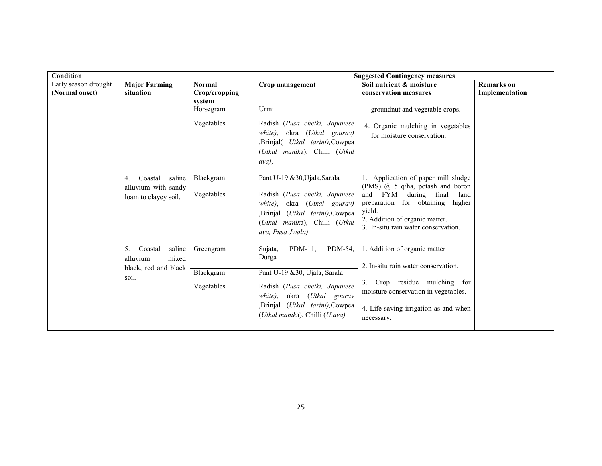| Condition            |                                                                               |                                      |                                                                                                                                                                                                                  | <b>Suggested Contingency measures</b>                                                                                                                                                                                                    |                   |
|----------------------|-------------------------------------------------------------------------------|--------------------------------------|------------------------------------------------------------------------------------------------------------------------------------------------------------------------------------------------------------------|------------------------------------------------------------------------------------------------------------------------------------------------------------------------------------------------------------------------------------------|-------------------|
| Early season drought | <b>Major Farming</b>                                                          | <b>Normal</b>                        | Crop management                                                                                                                                                                                                  | Soil nutrient & moisture                                                                                                                                                                                                                 | <b>Remarks</b> on |
| (Normal onset)       | situation                                                                     | Crop/cropping                        |                                                                                                                                                                                                                  | conservation measures                                                                                                                                                                                                                    | Implementation    |
|                      |                                                                               | system                               |                                                                                                                                                                                                                  |                                                                                                                                                                                                                                          |                   |
|                      |                                                                               | Horsegram                            | Urmi                                                                                                                                                                                                             | groundnut and vegetable crops.                                                                                                                                                                                                           |                   |
|                      |                                                                               | Vegetables                           | Radish (Pusa chetki, Japanese<br>okra (Utkal gourav)<br>white).<br>,Brinjal( <i>Utkal tarini</i> ),Cowpea<br>(Utkal manika), Chilli (Utkal<br>ava),                                                              | 4. Organic mulching in vegetables<br>for moisture conservation.                                                                                                                                                                          |                   |
|                      | Coastal<br>saline<br>4.<br>alluvium with sandy<br>loam to clayey soil.        | Blackgram<br>Vegetables              | Pant U-19 &30, Ujala, Sarala<br>Radish (Pusa chetki, Japanese<br>okra ( <i>Utkal gourav</i> )<br>white).<br>(Utkal tarini), Cowpea<br>,Brinjal<br>(Utkal manika), Chilli (Utkal<br>ava, Pusa Jwala)              | 1. Application of paper mill sludge<br>(PMS) $\omega$ 5 q/ha, potash and boron<br>and FYM during final<br>land<br>preparation for obtaining<br>higher<br>vield.<br>2. Addition of organic matter.<br>3. In-situ rain water conservation. |                   |
|                      | saline<br>Coastal<br>5.<br>mixed<br>alluvium<br>black, red and black<br>soil. | Greengram<br>Blackgram<br>Vegetables | $PDM-11$ ,<br>PDM-54,<br>Sujata,<br>Durga<br>Pant U-19 & 30, Ujala, Sarala<br>Radish (Pusa chetki, Japanese<br>okra (Utkal gourav<br>white),<br>,Brinjal (Utkal tarini),Cowpea<br>(Utkal manika), Chilli (U.ava) | 1. Addition of organic matter<br>2. In-situ rain water conservation.<br>3. Crop residue mulching for<br>moisture conservation in vegetables.<br>4. Life saving irrigation as and when<br>necessary.                                      |                   |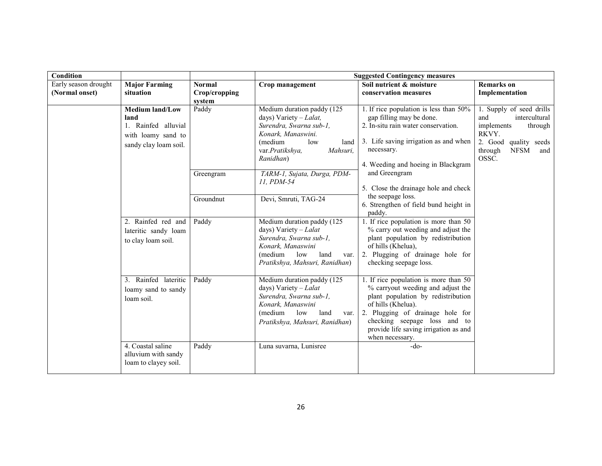| Condition            |                                                                                                      |                         |                                                                                                                                                                               | <b>Suggested Contingency measures</b>                                                                                                                                                                                                                                  |                                                                                                                                                          |
|----------------------|------------------------------------------------------------------------------------------------------|-------------------------|-------------------------------------------------------------------------------------------------------------------------------------------------------------------------------|------------------------------------------------------------------------------------------------------------------------------------------------------------------------------------------------------------------------------------------------------------------------|----------------------------------------------------------------------------------------------------------------------------------------------------------|
| Early season drought | <b>Major Farming</b>                                                                                 | <b>Normal</b>           | Crop management                                                                                                                                                               | Soil nutrient & moisture<br>conservation measures                                                                                                                                                                                                                      | <b>Remarks</b> on                                                                                                                                        |
| (Normal onset)       | situation                                                                                            | Crop/cropping<br>system |                                                                                                                                                                               |                                                                                                                                                                                                                                                                        | Implementation                                                                                                                                           |
|                      | <b>Medium land/Low</b><br>land<br>1. Rainfed alluvial<br>with loamy sand to<br>sandy clay loam soil. | Paddy                   | Medium duration paddy (125<br>days) Variety $-Lalat$ ,<br>Surendra, Swarna sub-1,<br>Konark, Manaswini.<br>(medium<br>low<br>land<br>Mahsuri,<br>var.Pratikshya,<br>Ranidhan) | 1. If rice population is less than 50%<br>gap filling may be done.<br>2. In-situ rain water conservation.<br>3. Life saving irrigation as and when<br>necessary.<br>4. Weeding and hoeing in Blackgram                                                                 | 1. Supply of seed drills<br>intercultural<br>and<br>implements<br>through<br>RKVY.<br>2. Good<br>quality seeds<br><b>NFSM</b><br>through<br>and<br>OSSC. |
|                      |                                                                                                      | Greengram               | TARM-1, Sujata, Durga, PDM-<br>11, PDM-54                                                                                                                                     | and Greengram<br>5. Close the drainage hole and check                                                                                                                                                                                                                  |                                                                                                                                                          |
|                      |                                                                                                      | Groundnut               | Devi, Smruti, TAG-24                                                                                                                                                          | the seepage loss.<br>6. Strengthen of field bund height in<br>paddy.                                                                                                                                                                                                   |                                                                                                                                                          |
|                      | 2. Rainfed red and<br>lateritic sandy loam<br>to clay loam soil.                                     | Paddy                   | Medium duration paddy (125<br>days) Variety $-Lalat$<br>Surendra, Swarna sub-1,<br>Konark, Manaswini<br>(medium<br>low<br>land<br>var.<br>Pratikshya, Mahsuri, Ranidhan)      | 1. If rice population is more than 50<br>% carry out weeding and adjust the<br>plant population by redistribution<br>of hills (Khelua),<br>2. Plugging of drainage hole for<br>checking seepage loss.                                                                  |                                                                                                                                                          |
|                      | 3. Rainfed lateritic<br>loamy sand to sandy<br>loam soil.                                            | Paddy                   | Medium duration paddy (125<br>days) Variety $-Lalat$<br>Surendra, Swarna sub-1,<br>Konark, Manaswini<br>(medium<br>low<br>land<br>var.<br>Pratikshya, Mahsuri, Ranidhan)      | 1. If rice population is more than 50<br>% carryout weeding and adjust the<br>plant population by redistribution<br>of hills (Khelua).<br>2. Plugging of drainage hole for<br>checking seepage loss and to<br>provide life saving irrigation as and<br>when necessary. |                                                                                                                                                          |
|                      | 4. Coastal saline<br>alluvium with sandy<br>loam to clayey soil.                                     | Paddy                   | Luna suvarna, Lunisree                                                                                                                                                        | $-do-$                                                                                                                                                                                                                                                                 |                                                                                                                                                          |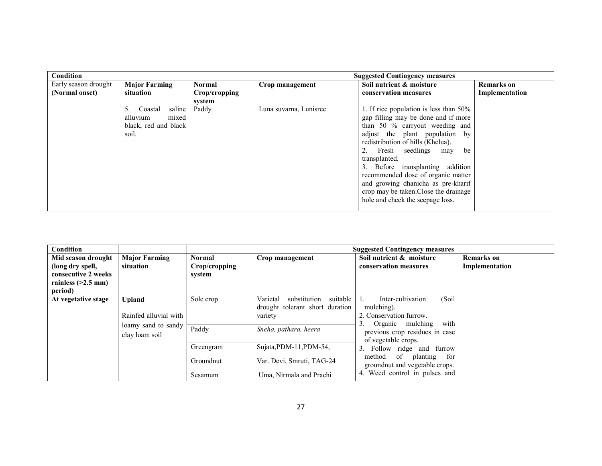| Condition            |                                                                               |               |                        | <b>Suggested Contingency measures</b>                                                                                                                                                                                                |                |
|----------------------|-------------------------------------------------------------------------------|---------------|------------------------|--------------------------------------------------------------------------------------------------------------------------------------------------------------------------------------------------------------------------------------|----------------|
| Early season drought | <b>Major Farming</b>                                                          | <b>Normal</b> | Crop management        | Soil nutrient & moisture                                                                                                                                                                                                             | Remarks on     |
| (Normal onset)       | situation                                                                     | Crop/cropping |                        | conservation measures                                                                                                                                                                                                                | Implementation |
|                      |                                                                               | svstem        |                        |                                                                                                                                                                                                                                      |                |
|                      | Coastal<br>saline<br>5.<br>mixed<br>alluvium<br>black, red and black<br>soil. | Paddy         | Luna suvarna, Lunisree | 1. If rice population is less than 50%<br>gap filling may be done and if more<br>than 50 % carryout weeding and<br>adjust the plant population by<br>redistribution of hills (Khelua).<br>Fresh seedlings may<br>be<br>transplanted. |                |
|                      |                                                                               |               |                        | 3. Before transplanting addition<br>recommended dose of organic matter<br>and growing dhanicha as pre-kharif<br>crop may be taken. Close the drainage<br>hole and check the seepage loss.                                            |                |

| Condition                                                                  |                       |                         |                                                                                    | <b>Suggested Contingency measures</b>                                                                                                                                          |                   |
|----------------------------------------------------------------------------|-----------------------|-------------------------|------------------------------------------------------------------------------------|--------------------------------------------------------------------------------------------------------------------------------------------------------------------------------|-------------------|
| Mid season drought                                                         | <b>Major Farming</b>  | <b>Normal</b>           | Crop management                                                                    | Soil nutrient & moisture                                                                                                                                                       | <b>Remarks</b> on |
| (long dry spell,<br>consecutive 2 weeks<br>rainless $(>2.5$ mm)<br>period) | situation             | Crop/cropping<br>system |                                                                                    | conservation measures                                                                                                                                                          | Implementation    |
| At vegetative stage<br><b>Upland</b><br>clay loam soil                     | Rainfed alluvial with | Sole crop               | suitable<br>Varietal<br>substitution<br>drought tolerant short duration<br>variety | (Soil)<br>Inter-cultivation<br>mulching).<br>2. Conservation furrow.                                                                                                           |                   |
|                                                                            | loamy sand to sandy   | Paddy                   | Sneha, pathara, heera                                                              | Organic mulching with<br>previous crop residues in case<br>of vegetable crops.<br>Follow ridge and furrow<br>3.<br>method of planting<br>for<br>groundnut and vegetable crops. |                   |
|                                                                            |                       | Greengram               | Sujata, PDM-11, PDM-54,                                                            |                                                                                                                                                                                |                   |
|                                                                            |                       | Groundnut               | Var. Devi, Smruti, TAG-24                                                          |                                                                                                                                                                                |                   |
|                                                                            |                       | Sesamum                 | Uma, Nirmala and Prachi                                                            | 4. Weed control in pulses and                                                                                                                                                  |                   |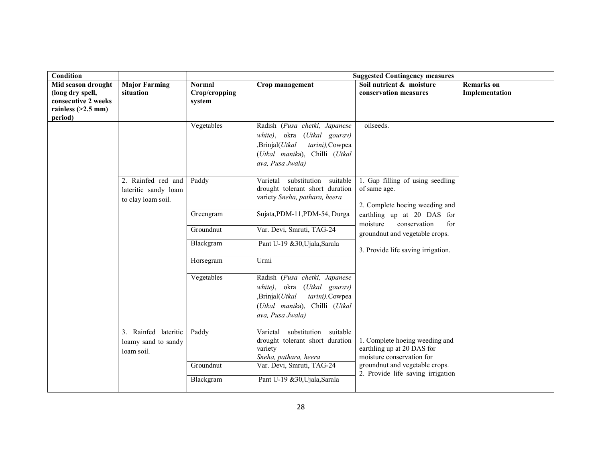| Condition                                                                                        |                                                                  |                                          |                                                                                                                                                                   | <b>Suggested Contingency measures</b>                                                     |                                     |
|--------------------------------------------------------------------------------------------------|------------------------------------------------------------------|------------------------------------------|-------------------------------------------------------------------------------------------------------------------------------------------------------------------|-------------------------------------------------------------------------------------------|-------------------------------------|
| Mid season drought<br>(long dry spell,<br>consecutive 2 weeks<br>rainless $(>2.5$ mm)<br>period) | <b>Major Farming</b><br>situation                                | <b>Normal</b><br>Crop/cropping<br>system | Crop management                                                                                                                                                   | Soil nutrient & moisture<br>conservation measures                                         | <b>Remarks</b> on<br>Implementation |
|                                                                                                  |                                                                  | Vegetables                               | Radish (Pusa chetki, Japanese<br>white), okra<br>(Utkal gourav)<br>,Brinjal(Utkal<br>tarini), Cowpea<br>(Utkal manika), Chilli (Utkal<br>ava, Pusa Jwala)         | oilseeds.                                                                                 |                                     |
|                                                                                                  | 2. Rainfed red and<br>lateritic sandy loam<br>to clay loam soil. | Paddy                                    | suitable<br>Varietal<br>substitution<br>drought tolerant short duration<br>variety Sneha, pathara, heera                                                          | 1. Gap filling of using seedling<br>of same age.<br>2. Complete hoeing weeding and        |                                     |
|                                                                                                  |                                                                  | Greengram                                | Sujata, PDM-11, PDM-54, Durga                                                                                                                                     | earthling up at 20 DAS for<br>moisture<br>conservation<br>for                             |                                     |
|                                                                                                  |                                                                  | Groundnut                                | Var. Devi, Smruti, TAG-24                                                                                                                                         | groundnut and vegetable crops.                                                            |                                     |
|                                                                                                  |                                                                  | Blackgram                                | Pant U-19 &30, Ujala, Sarala                                                                                                                                      | 3. Provide life saving irrigation.                                                        |                                     |
|                                                                                                  |                                                                  | Horsegram                                | Urmi                                                                                                                                                              |                                                                                           |                                     |
|                                                                                                  |                                                                  | Vegetables                               | Radish (Pusa chetki, Japanese<br>white), okra<br>( <i>Utkal</i> gourav)<br>,Brinjal(Utkal<br>tarini), Cowpea<br>(Utkal manika), Chilli (Utkal<br>ava, Pusa Jwala) |                                                                                           |                                     |
|                                                                                                  | 3. Rainfed lateritic<br>loamy sand to sandy<br>loam soil.        | Paddy                                    | Varietal substitution suitable<br>drought tolerant short duration<br>variety<br>Sneha, pathara, heera                                                             | 1. Complete hoeing weeding and<br>earthling up at 20 DAS for<br>moisture conservation for |                                     |
|                                                                                                  |                                                                  | Groundnut                                | Var. Devi, Smruti, TAG-24                                                                                                                                         | groundnut and vegetable crops.<br>2. Provide life saving irrigation                       |                                     |
|                                                                                                  |                                                                  | Blackgram                                | Pant U-19 &30, Ujala, Sarala                                                                                                                                      |                                                                                           |                                     |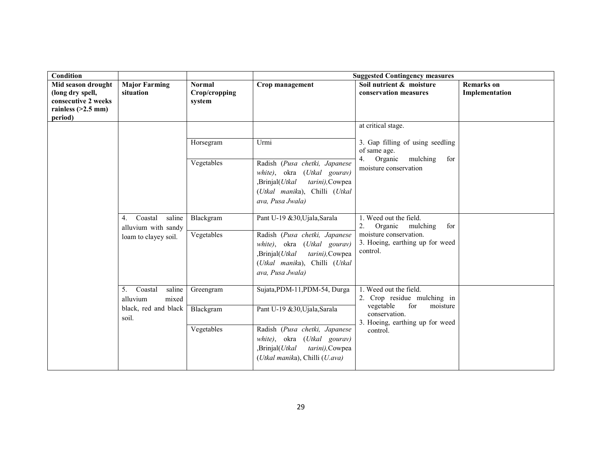| Condition                                                     |                                                                        |                                          |                                                                                                                                                                                        | <b>Suggested Contingency measures</b>                                                                                                                 |                                     |
|---------------------------------------------------------------|------------------------------------------------------------------------|------------------------------------------|----------------------------------------------------------------------------------------------------------------------------------------------------------------------------------------|-------------------------------------------------------------------------------------------------------------------------------------------------------|-------------------------------------|
| Mid season drought<br>(long dry spell,<br>consecutive 2 weeks | <b>Major Farming</b><br>situation                                      | <b>Normal</b><br>Crop/cropping<br>system | Crop management                                                                                                                                                                        | Soil nutrient & moisture<br>conservation measures                                                                                                     | <b>Remarks</b> on<br>Implementation |
| rainless $(>2.5$ mm)<br>period)                               |                                                                        |                                          |                                                                                                                                                                                        |                                                                                                                                                       |                                     |
|                                                               |                                                                        |                                          |                                                                                                                                                                                        | at critical stage.                                                                                                                                    |                                     |
|                                                               |                                                                        | Horsegram                                | Urmi                                                                                                                                                                                   | 3. Gap filling of using seedling<br>of same age.                                                                                                      |                                     |
|                                                               |                                                                        | Vegetables                               | Radish (Pusa chetki, Japanese<br>white), okra<br>(Utkal gourav)<br>,Brinjal(Utkal<br>tarini), Cowpea<br>(Utkal manika), Chilli (Utkal<br>ava, Pusa Jwala)                              | mulching<br>Organic<br>for<br>4.<br>moisture conservation                                                                                             |                                     |
|                                                               | Coastal<br>saline<br>4.<br>alluvium with sandy<br>loam to clayey soil. | Blackgram<br>Vegetables                  | Pant U-19 &30, Ujala, Sarala<br>Radish (Pusa chetki, Japanese<br>white), okra (Utkal gourav)<br>,Brinjal(Utkal<br>tarini), Cowpea<br>(Utkal manika), Chilli (Utkal<br>ava, Pusa Jwala) | 1. Weed out the field.<br>2.<br>Organic mulching<br>for<br>moisture conservation.<br>3. Hoeing, earthing up for weed<br>control.                      |                                     |
|                                                               | Coastal<br>saline<br>5.<br>alluvium<br>mixed<br>black, red and black   | Greengram<br>Blackgram                   | Sujata, PDM-11, PDM-54, Durga<br>Pant U-19 & 30, Ujala, Sarala                                                                                                                         | 1. Weed out the field.<br>2. Crop residue mulching in<br>vegetable<br>for<br>moisture<br>conservation.<br>3. Hoeing, earthing up for weed<br>control. |                                     |
|                                                               | soil.                                                                  |                                          |                                                                                                                                                                                        |                                                                                                                                                       |                                     |
|                                                               |                                                                        | Vegetables                               | Radish (Pusa chetki, Japanese<br><i>white</i> ), okra<br>(Utkal gourav)<br>,Brinjal(Utkal<br>tarini), Cowpea<br>(Utkal manika), Chilli (U.ava)                                         |                                                                                                                                                       |                                     |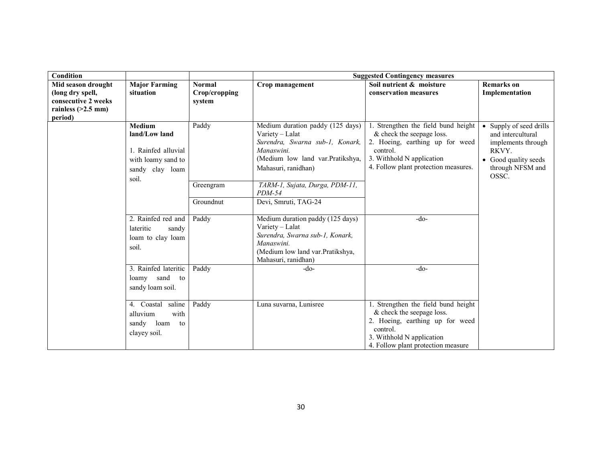| Condition            |                      |               |                                               | <b>Suggested Contingency measures</b>       |                                          |
|----------------------|----------------------|---------------|-----------------------------------------------|---------------------------------------------|------------------------------------------|
| Mid season drought   | <b>Major Farming</b> | <b>Normal</b> | Crop management                               | Soil nutrient & moisture                    | <b>Remarks</b> on                        |
| (long dry spell,     | situation            | Crop/cropping |                                               | conservation measures                       | Implementation                           |
| consecutive 2 weeks  |                      | system        |                                               |                                             |                                          |
| rainless $(>2.5$ mm) |                      |               |                                               |                                             |                                          |
| period)              |                      |               |                                               |                                             |                                          |
|                      | <b>Medium</b>        | Paddy         | Medium duration paddy (125 days)              | 1. Strengthen the field bund height         | • Supply of seed drills                  |
|                      | land/Low land        |               | Variety - Lalat                               | & check the seepage loss.                   | and intercultural                        |
|                      |                      |               | Surendra, Swarna sub-1, Konark,<br>Manaswini. | 2. Hoeing, earthing up for weed<br>control. | implements through                       |
|                      | 1. Rainfed alluvial  |               | (Medium low land var.Pratikshya,              | 3. Withhold N application                   | RKVY.                                    |
|                      | with loamy sand to   |               |                                               | 4. Follow plant protection measures.        | • Good quality seeds<br>through NFSM and |
|                      | sandy clay loam      |               | Mahasuri, ranidhan)                           |                                             | OSSC.                                    |
|                      | soil.                | Greengram     | TARM-1, Sujata, Durga, PDM-11,                |                                             |                                          |
|                      |                      |               | $PDM-54$                                      |                                             |                                          |
|                      |                      | Groundnut     | Devi, Smruti, TAG-24                          |                                             |                                          |
|                      |                      |               |                                               |                                             |                                          |
|                      | 2. Rainfed red and   | Paddy         | Medium duration paddy (125 days)              | $-do-$                                      |                                          |
|                      | lateritic<br>sandy   |               | Variety - Lalat                               |                                             |                                          |
|                      | loam to clay loam    |               | Surendra, Swarna sub-1, Konark,               |                                             |                                          |
|                      | soil.                |               | Manaswini.                                    |                                             |                                          |
|                      |                      |               | (Medium low land var.Pratikshya,              |                                             |                                          |
|                      |                      |               | Mahasuri, ranidhan)                           |                                             |                                          |
|                      | 3. Rainfed lateritic | Paddy         | -do-                                          | $-do-$                                      |                                          |
|                      | sand<br>loamy<br>to  |               |                                               |                                             |                                          |
|                      | sandy loam soil.     |               |                                               |                                             |                                          |
|                      | 4. Coastal<br>saline | Paddy         |                                               | 1. Strengthen the field bund height         |                                          |
|                      |                      |               | Luna suvarna, Lunisree                        | & check the seepage loss.                   |                                          |
|                      | alluvium<br>with     |               |                                               | 2. Hoeing, earthing up for weed             |                                          |
|                      | sandy loam to        |               |                                               | control.                                    |                                          |
|                      | clayey soil.         |               |                                               | 3. Withhold N application                   |                                          |
|                      |                      |               |                                               | 4. Follow plant protection measure          |                                          |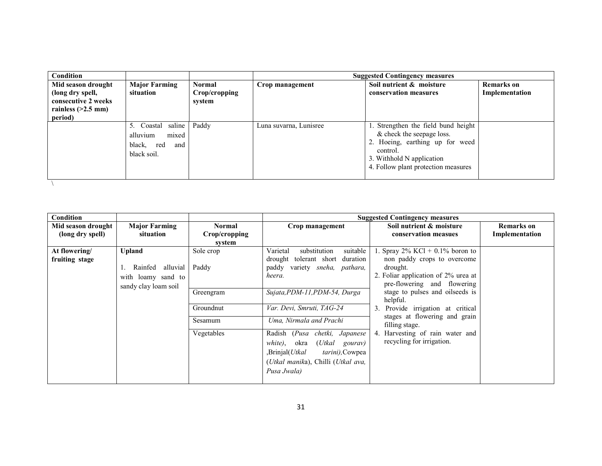| Condition                                                     |                                                                            |                                          |                        | <b>Suggested Contingency measures</b>                                                                                                                                               |                                     |
|---------------------------------------------------------------|----------------------------------------------------------------------------|------------------------------------------|------------------------|-------------------------------------------------------------------------------------------------------------------------------------------------------------------------------------|-------------------------------------|
| Mid season drought<br>(long dry spell,<br>consecutive 2 weeks | <b>Major Farming</b><br>situation                                          | <b>Normal</b><br>Crop/cropping<br>system | Crop management        | Soil nutrient & moisture<br>conservation measures                                                                                                                                   | <b>Remarks</b> on<br>Implementation |
| rainless $(>2.5$ mm)<br>period)                               |                                                                            |                                          |                        |                                                                                                                                                                                     |                                     |
|                                                               | 5. Coastal saline<br>mixed<br>alluvium<br>black, red<br>and<br>black soil. | Paddy                                    | Luna suvarna, Lunisree | 1. Strengthen the field bund height<br>& check the seepage loss.<br>2. Hoeing, earthing up for weed<br>control.<br>3. Withhold N application<br>4. Follow plant protection measures |                                     |
|                                                               |                                                                            |                                          |                        |                                                                                                                                                                                     |                                     |

| Condition          |                      |               |                                                    | <b>Suggested Contingency measures</b>           |                   |
|--------------------|----------------------|---------------|----------------------------------------------------|-------------------------------------------------|-------------------|
| Mid season drought | <b>Major Farming</b> | Normal        | Crop management                                    | Soil nutrient & moisture                        | <b>Remarks</b> on |
| (long dry spell)   | situation            | Crop/cropping |                                                    | conservation measues                            | Implementation    |
|                    |                      | system        |                                                    |                                                 |                   |
| At flowering/      | <b>Upland</b>        | Sole crop     | suitable<br>Varietal<br>substitution               | 1. Spray $2\%$ KCl + 0.1% boron to              |                   |
| fruiting stage     |                      |               | tolerant short duration<br>drought                 | non paddy crops to overcome                     |                   |
|                    | alluvial<br>Rainfed  | Paddy         | variety sneha, pathara,<br>paddy                   | drought.                                        |                   |
|                    | with loamy sand to   |               | heera.                                             | 2. Foliar application of 2% urea at             |                   |
|                    | sandy clay loam soil |               |                                                    | pre-flowering and flowering                     |                   |
|                    |                      | Greengram     | Sujata, PDM-11, PDM-54, Durga                      | stage to pulses and oilseeds is                 |                   |
|                    |                      |               |                                                    | helpful.                                        |                   |
|                    |                      | Groundnut     | Var. Devi, Smruti, TAG-24                          | Provide irrigation at critical<br>3.            |                   |
|                    |                      | Sesamum       | Uma, Nirmala and Prachi                            | stages at flowering and grain<br>filling stage. |                   |
|                    |                      | Vegetables    | Radish (Pusa chetki, Japanese                      | 4. Harvesting of rain water and                 |                   |
|                    |                      |               | (Utkal<br>white),<br>okra<br>gourav)               | recycling for irrigation.                       |                   |
|                    |                      |               | Brinjal( <i>Utkal</i> ,<br><i>tarini</i> ), Cowpea |                                                 |                   |
|                    |                      |               | (Utkal manika), Chilli (Utkal ava,                 |                                                 |                   |
|                    |                      |               | Pusa Jwala)                                        |                                                 |                   |
|                    |                      |               |                                                    |                                                 |                   |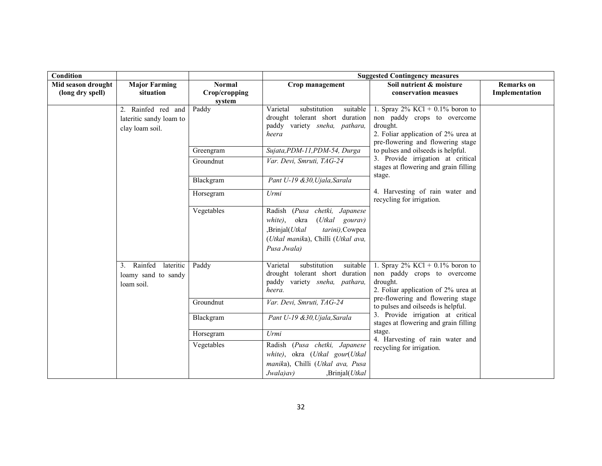| Condition                              |                                                                  |                                          | <b>Suggested Contingency measures</b>                                                                                                                        |                                                                                                                                                                                                                                                                                                                                               |                                     |
|----------------------------------------|------------------------------------------------------------------|------------------------------------------|--------------------------------------------------------------------------------------------------------------------------------------------------------------|-----------------------------------------------------------------------------------------------------------------------------------------------------------------------------------------------------------------------------------------------------------------------------------------------------------------------------------------------|-------------------------------------|
| Mid season drought<br>(long dry spell) | <b>Major Farming</b><br>situation                                | <b>Normal</b><br>Crop/cropping<br>system | Crop management                                                                                                                                              | Soil nutrient & moisture<br>conservation measues                                                                                                                                                                                                                                                                                              | <b>Remarks</b> on<br>Implementation |
|                                        | 2. Rainfed red and<br>lateritic sandy loam to<br>clay loam soil. | Paddy                                    | substitution<br>suitable<br>Varietal<br>drought tolerant short<br>duration<br>paddy variety sneha, pathara,<br>heera                                         | 1. Spray $2\%$ KCl + 0.1% boron to<br>non paddy crops to overcome<br>drought.<br>2. Foliar application of 2% urea at<br>pre-flowering and flowering stage                                                                                                                                                                                     |                                     |
|                                        |                                                                  | Greengram                                | Sujata, PDM-11, PDM-54, Durga                                                                                                                                | to pulses and oilseeds is helpful.                                                                                                                                                                                                                                                                                                            |                                     |
|                                        |                                                                  | Groundnut                                | Var. Devi, Smruti, TAG-24                                                                                                                                    | 3. Provide irrigation at critical<br>stages at flowering and grain filling                                                                                                                                                                                                                                                                    |                                     |
|                                        |                                                                  | Blackgram                                | Pant U-19 &30, Ujala, Sarala                                                                                                                                 | stage.                                                                                                                                                                                                                                                                                                                                        |                                     |
|                                        |                                                                  | Horsegram                                | Urmi                                                                                                                                                         | 4. Harvesting of rain water and<br>recycling for irrigation.<br>1. Spray $2\%$ KCl + 0.1% boron to<br>non paddy crops to overcome<br>drought.<br>2. Foliar application of 2% urea at<br>pre-flowering and flowering stage<br>to pulses and oilseeds is helpful.<br>3. Provide irrigation at critical<br>stages at flowering and grain filling |                                     |
|                                        |                                                                  | Vegetables                               | Radish (Pusa chetki, Japanese<br>white),<br>okra<br>(Utkal gourav)<br>,Brinjal(Utkal<br>tarini), Cowpea<br>(Utkal manika), Chilli (Utkal ava,<br>Pusa Jwala) |                                                                                                                                                                                                                                                                                                                                               |                                     |
|                                        | 3. Rainfed<br>lateritic<br>loamy sand to sandy<br>loam soil.     | Paddy                                    | suitable<br>Varietal<br>substitution<br>drought tolerant short<br>duration<br>paddy variety sneha, pathara,<br>heera.                                        |                                                                                                                                                                                                                                                                                                                                               |                                     |
|                                        |                                                                  | Groundnut                                | Var. Devi, Smruti, TAG-24                                                                                                                                    |                                                                                                                                                                                                                                                                                                                                               |                                     |
|                                        |                                                                  | Blackgram                                | Pant U-19 &30, Ujala, Sarala                                                                                                                                 |                                                                                                                                                                                                                                                                                                                                               |                                     |
|                                        |                                                                  | Horsegram                                | Urmi                                                                                                                                                         | stage.                                                                                                                                                                                                                                                                                                                                        |                                     |
|                                        |                                                                  | Vegetables                               | Radish (Pusa chetki, Japanese<br>white), okra (Utkal gour(Utkal<br>manika), Chilli (Utkal ava, Pusa<br>Jwala)av)<br>,Brinjal(Utkal                           | 4. Harvesting of rain water and<br>recycling for irrigation.                                                                                                                                                                                                                                                                                  |                                     |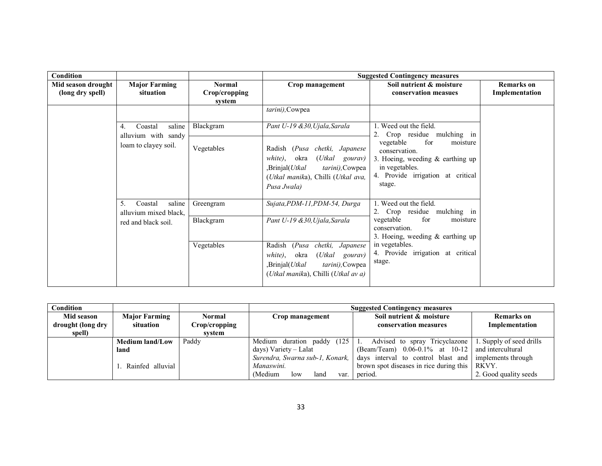| Condition                              |                                              |                                                                                                                                                                           |                                                                                                                                                                        | <b>Suggested Contingency measures</b>                                                                                                                 |                                     |
|----------------------------------------|----------------------------------------------|---------------------------------------------------------------------------------------------------------------------------------------------------------------------------|------------------------------------------------------------------------------------------------------------------------------------------------------------------------|-------------------------------------------------------------------------------------------------------------------------------------------------------|-------------------------------------|
| Mid season drought<br>(long dry spell) | <b>Major Farming</b><br>situation            | Normal<br>Crop/cropping<br>system                                                                                                                                         | Crop management                                                                                                                                                        | Soil nutrient & moisture<br>conservation measues                                                                                                      | <b>Remarks</b> on<br>Implementation |
|                                        |                                              |                                                                                                                                                                           | tarini), Cowpea                                                                                                                                                        |                                                                                                                                                       |                                     |
|                                        | Coastal<br>saline<br>4.                      | Blackgram                                                                                                                                                                 | Pant U-19 &30, Ujala, Sarala                                                                                                                                           | 1. Weed out the field.<br>Crop residue mulching in                                                                                                    |                                     |
|                                        | alluvium with sandy<br>loam to clayey soil.  | Vegetables                                                                                                                                                                | Radish (Pusa chetki, Japanese<br>okra<br>(Utkal<br>white),<br>gourav)<br>Brinjal(Utkal<br><i>tarini</i> ), Cowpea<br>(Utkal manika), Chilli (Utkal ava,<br>Pusa Jwala) | vegetable<br>for<br>moisture<br>conservation.<br>3. Hoeing, weeding $\&$ earthing up<br>in vegetables.<br>4. Provide irrigation at critical<br>stage. |                                     |
|                                        | 5.<br>saline<br>Coastal                      | Greengram                                                                                                                                                                 | Sujata, PDM-11, PDM-54, Durga                                                                                                                                          | 1. Weed out the field.<br>2. Crop residue mulching in                                                                                                 |                                     |
|                                        | alluvium mixed black,<br>red and black soil. | Blackgram                                                                                                                                                                 | Pant U-19 &30, Ujala, Sarala                                                                                                                                           | vegetable<br>for<br>moisture<br>conservation.<br>3. Hoeing, weeding $\&$ earthing up                                                                  |                                     |
|                                        | Vegetables                                   | (Pusa)<br>Radish<br>chetki, Japanese<br>okra<br>(Utkal<br>white),<br>gourav)<br>Brinjal(Utkal<br>tarini), Cowpea<br>( <i>Utkal manika</i> ), Chilli ( <i>Utkal av a</i> ) | in vegetables.<br>4. Provide irrigation at critical<br>stage.                                                                                                          |                                                                                                                                                       |                                     |

| Condition         |                        |                       |                                   | <b>Suggested Contingency measures</b>                 |                          |
|-------------------|------------------------|-----------------------|-----------------------------------|-------------------------------------------------------|--------------------------|
| Mid season        | <b>Major Farming</b>   | <b>Normal</b>         | Crop management                   | Soil nutrient & moisture                              | <b>Remarks</b> on        |
| drought (long dry | situation              | C <b>rop/cropping</b> |                                   | conservation measures                                 | Implementation           |
| spell)            |                        | system                |                                   |                                                       |                          |
|                   | <b>Medium land/Low</b> | Paddy                 | (125)<br>Medium<br>duration paddy | Advised to spray Tricyclazone                         | 1. Supply of seed drills |
|                   | land                   |                       | days) Variety – Lalat             | $(Beam/Team)$ 0.06-0.1% at 10-12 and intercultural    |                          |
|                   |                        |                       | Surendra, Swarna sub-1, Konark,   | days interval to control blast and implements through |                          |
|                   | Rainfed alluvial       |                       | Manaswini.                        | brown spot diseases in rice during this               | RKVY.                    |
|                   |                        |                       | Medium)<br>land<br>low<br>var.    | period.                                               | 2. Good quality seeds    |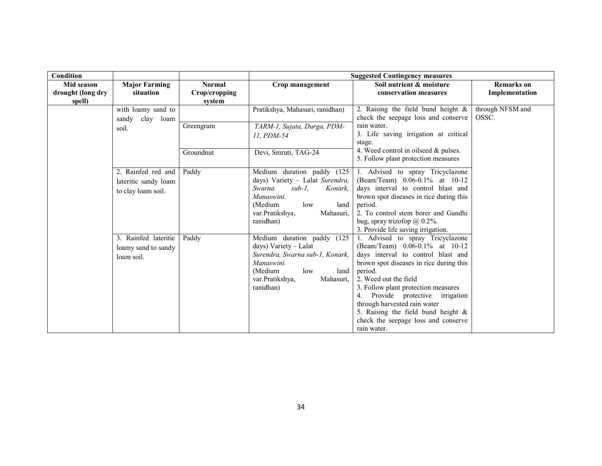| Condition         |                      |               |                                            | <b>Suggested Contingency measures</b>                                      |                   |
|-------------------|----------------------|---------------|--------------------------------------------|----------------------------------------------------------------------------|-------------------|
| Mid season        | <b>Major Farming</b> | <b>Normal</b> | Crop management                            | Soil nutrient & moisture                                                   | <b>Remarks</b> on |
| drought (long dry | situation            | Crop/cropping |                                            | conservation measures                                                      | Implementation    |
| spell)            |                      | system        |                                            |                                                                            |                   |
|                   | with loamy sand to   |               | Pratikshya, Mahasuri, ranidhan)            | 2. Raising the field bund height $\&$                                      | through NFSM and  |
|                   | clay loam<br>sandy   |               |                                            | check the seepage loss and conserve                                        | OSSC.             |
|                   | soil.                | Greengram     | TARM-1, Sujata, Durga, PDM-                | rain water.                                                                |                   |
|                   |                      |               | 11. PDM-54                                 | 3. Life saving irrigation at critical                                      |                   |
|                   |                      |               |                                            | stage.                                                                     |                   |
|                   |                      | Groundnut     | Devi, Smruti, TAG-24                       | 4. Weed control in oilseed $&$ pulses.                                     |                   |
|                   |                      |               |                                            | 5. Follow plant protection measures                                        |                   |
|                   | 2. Rainfed red and   | Paddy         | Medium duration paddy (125                 | 1. Advised to spray Tricyclazone                                           |                   |
|                   | lateritic sandy loam |               | days) Variety - Lalat Surendra,            | (Beam/Team) 0.06-0.1% at 10-12                                             |                   |
|                   | to clay loam soil.   |               | Swarna<br>$sub-1$ ,<br>Konark,             | days interval to control blast and                                         |                   |
|                   |                      |               | Manaswini.                                 | brown spot diseases in rice during this                                    |                   |
|                   |                      |               | (Medium<br>low<br>land                     | period.                                                                    |                   |
|                   |                      |               | var. Pratikshya,<br>Mahasuri,              | 2. To control stem borer and Gandhi                                        |                   |
|                   |                      |               | ranidhan)                                  | bug, spray trizofop $@$ 0.2%.                                              |                   |
|                   |                      |               |                                            | 3. Provide life saving irrigation.                                         |                   |
|                   | 3. Rainfed lateritic | Paddy         | Medium duration paddy (125                 | 1. Advised to spray Tricyclazone                                           |                   |
|                   | loamy sand to sandy  |               | days) Variety - Lalat                      | (Beam/Team) 0.06-0.1% at 10-12                                             |                   |
|                   | loam soil.           |               | Surendra, Swarna sub-1, Konark,            | days interval to control blast and                                         |                   |
|                   |                      |               | Manaswini.                                 | brown spot diseases in rice during this                                    |                   |
|                   |                      |               | (Medium<br>low<br>land                     | period.<br>2. Weed out the field                                           |                   |
|                   |                      |               | var. Pratikshya,<br>Mahasuri,<br>ranidhan) |                                                                            |                   |
|                   |                      |               |                                            | 3. Follow plant protection measures<br>Provide protective irrigation<br>4. |                   |
|                   |                      |               |                                            | through harvested rain water                                               |                   |
|                   |                      |               |                                            | 5. Raising the field bund height $\&$                                      |                   |
|                   |                      |               |                                            | check the seepage loss and conserve                                        |                   |
|                   |                      |               |                                            | rain water.                                                                |                   |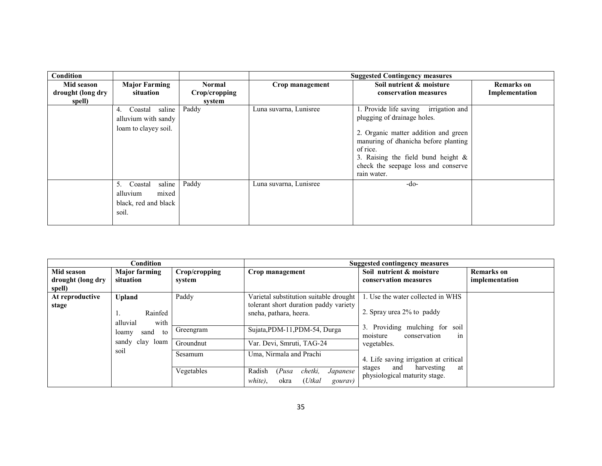| Condition                                 |                                                                               |                                          |                        | <b>Suggested Contingency measures</b>                                                                                                                                                                                                                           |                                     |
|-------------------------------------------|-------------------------------------------------------------------------------|------------------------------------------|------------------------|-----------------------------------------------------------------------------------------------------------------------------------------------------------------------------------------------------------------------------------------------------------------|-------------------------------------|
| Mid season<br>drought (long dry<br>spell) | <b>Major Farming</b><br>situation                                             | <b>Normal</b><br>Crop/cropping<br>system | Crop management        | Soil nutrient & moisture<br>conservation measures                                                                                                                                                                                                               | <b>Remarks</b> on<br>Implementation |
|                                           | Coastal saline<br>4.<br>alluvium with sandy<br>loam to clayey soil.           | Paddy                                    | Luna suvarna, Lunisree | 1. Provide life saving irrigation and<br>plugging of drainage holes.<br>2. Organic matter addition and green<br>manuring of dhanicha before planting<br>of rice.<br>3. Raising the field bund height $\&$<br>check the seepage loss and conserve<br>rain water. |                                     |
|                                           | saline<br>5.<br>Coastal<br>alluvium<br>mixed<br>black, red and black<br>soil. | Paddy                                    | Luna suvarna, Lunisree | $-do-$                                                                                                                                                                                                                                                          |                                     |

|                   | Condition            |               | <b>Suggested contingency measures</b>                                              |                                                                    |                   |
|-------------------|----------------------|---------------|------------------------------------------------------------------------------------|--------------------------------------------------------------------|-------------------|
| Mid season        | <b>Major farming</b> | Crop/cropping | Crop management                                                                    | Soil nutrient & moisture                                           | <b>Remarks</b> on |
| drought (long dry | situation            | system        |                                                                                    | conservation measures                                              | implementation    |
| spell)            |                      |               |                                                                                    |                                                                    |                   |
| At reproductive   | <b>Upland</b>        | Paddy         | Varietal substitution suitable drought                                             | 1. Use the water collected in WHS                                  |                   |
| stage             | Rainfed              |               | tolerant short duration paddy variety<br>sneha, pathara, heera.                    | 2. Spray urea 2% to paddy                                          |                   |
|                   | with<br>alluvial     |               |                                                                                    |                                                                    |                   |
|                   | to<br>sand<br>loamy  | Greengram     | Sujata, PDM-11, PDM-54, Durga                                                      | 3. Providing mulching for soil<br>moisture<br>conservation<br>1n   |                   |
|                   | sandy clay loam      | Groundnut     | Var. Devi, Smruti, TAG-24                                                          | vegetables.                                                        |                   |
|                   | soil                 | Sesamum       | Uma, Nirmala and Prachi                                                            | 4. Life saving irrigation at critical                              |                   |
|                   |                      | Vegetables    | Radish<br>(Pusa)<br>chetki,<br>Japanese<br>$(U$ tkal<br>white).<br>okra<br>gourav) | harvesting<br>and<br>at<br>stages<br>physiological maturity stage. |                   |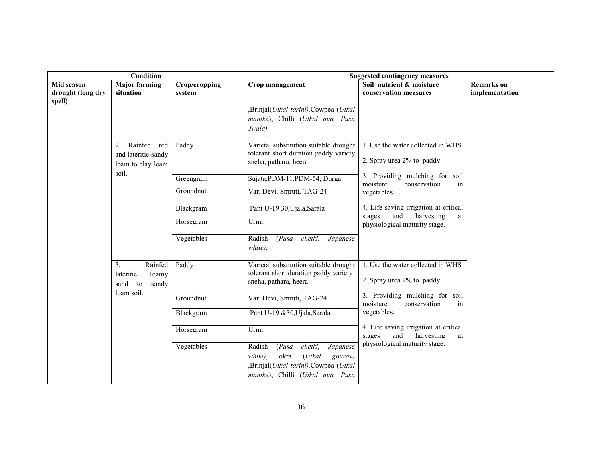|                                           | Condition                                                                         |                         | <b>Suggested contingency measures</b>                                                                                                                          |                                                                                                                            |                                     |
|-------------------------------------------|-----------------------------------------------------------------------------------|-------------------------|----------------------------------------------------------------------------------------------------------------------------------------------------------------|----------------------------------------------------------------------------------------------------------------------------|-------------------------------------|
| Mid season<br>drought (long dry<br>spell) | <b>Major farming</b><br>situation                                                 | Crop/cropping<br>system | Crop management                                                                                                                                                | Soil nutrient & moisture<br>conservation measures                                                                          | <b>Remarks</b> on<br>implementation |
|                                           |                                                                                   |                         | ,Brinjal(Utkal tarini),Cowpea (Utkal<br>manika), Chilli (Utkal ava, Pusa<br>Jwala)                                                                             |                                                                                                                            |                                     |
|                                           | Rainfed red<br>2.<br>and lateritic sandy<br>loam to clay loam                     | Paddy                   | Varietal substitution suitable drought<br>tolerant short duration paddy variety<br>sneha, pathara, heera.                                                      | 1. Use the water collected in WHS<br>2. Spray urea 2% to paddy                                                             |                                     |
|                                           | soil.                                                                             | Greengram<br>Groundnut  | Sujata, PDM-11, PDM-54, Durga<br>Var. Devi, Smruti, TAG-24                                                                                                     | 3. Providing mulching for soil<br>moisture<br>conservation<br>in                                                           |                                     |
|                                           |                                                                                   | Blackgram               | Pant U-19 30, Ujala, Sarala                                                                                                                                    | vegetables.<br>4. Life saving irrigation at critical<br>and<br>harvesting<br>stages<br>at<br>physiological maturity stage. |                                     |
|                                           |                                                                                   | Horsegram               | Urmi                                                                                                                                                           |                                                                                                                            |                                     |
|                                           |                                                                                   | Vegetables              | (Pusa)<br>chetki,<br>Radish<br>Japanese<br>white),                                                                                                             |                                                                                                                            |                                     |
|                                           | Rainfed<br>3 <sub>1</sub><br>lateritic<br>loamy<br>sand to<br>sandy<br>loam soil. | Paddy                   | Varietal substitution suitable drought<br>tolerant short duration paddy variety<br>sneha, pathara, heera.                                                      | 1. Use the water collected in WHS<br>2. Spray urea 2% to paddy                                                             |                                     |
|                                           |                                                                                   | Groundnut               | Var. Devi, Smruti, TAG-24                                                                                                                                      | 3. Providing mulching for soil<br>moisture<br>conservation<br>in                                                           |                                     |
|                                           |                                                                                   | Blackgram               | Pant U-19 &30, Ujala, Sarala                                                                                                                                   | vegetables.                                                                                                                |                                     |
|                                           |                                                                                   | Horsegram               | Urmi                                                                                                                                                           | 4. Life saving irrigation at critical<br>harvesting<br>and<br>stages<br>at                                                 |                                     |
|                                           |                                                                                   | Vegetables              | chetki,<br>Radish<br>(Pusa)<br>Japanese<br>$(U$ tkal<br>okra<br>white).<br>gourav)<br>,Brinjal(Utkal tarini),Cowpea (Utkal<br>manika), Chilli (Utkal ava, Pusa | physiological maturity stage.                                                                                              |                                     |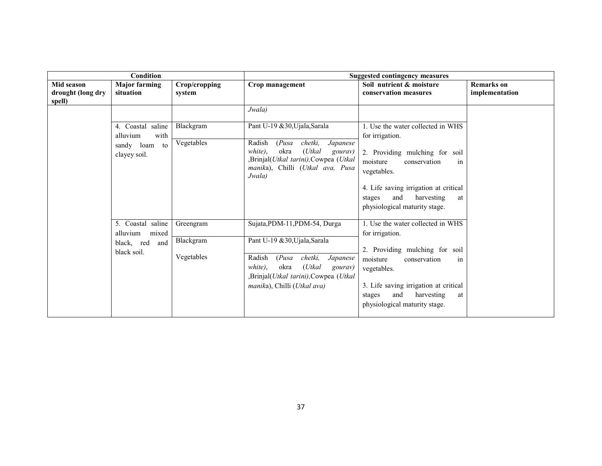|                                           | Condition                                                                  |                         | <b>Suggested contingency measures</b>                                                                                                                                   |                                                                                                                             |                                     |
|-------------------------------------------|----------------------------------------------------------------------------|-------------------------|-------------------------------------------------------------------------------------------------------------------------------------------------------------------------|-----------------------------------------------------------------------------------------------------------------------------|-------------------------------------|
| Mid season<br>drought (long dry<br>spell) | <b>Major farming</b><br>situation                                          | Crop/cropping<br>system | Crop management                                                                                                                                                         | Soil nutrient & moisture<br>conservation measures                                                                           | <b>Remarks</b> on<br>implementation |
|                                           |                                                                            |                         | Jwala)                                                                                                                                                                  |                                                                                                                             |                                     |
|                                           | 4. Coastal saline<br>with<br>alluvium                                      | Blackgram               | Pant U-19 &30, Ujala, Sarala                                                                                                                                            | 1. Use the water collected in WHS<br>for irrigation.                                                                        |                                     |
|                                           | sandy loam<br>to<br>clayey soil.                                           | Vegetables              | Radish<br>chetki,<br>(Pusa)<br>Japanese<br>(Utkal<br>$white$ ,<br>okra<br>gourav)<br>,Brinjal(Utkal tarini),Cowpea (Utkal<br>manika), Chilli (Utkal ava, Pusa<br>Jwala) | 2. Providing mulching for soil<br>moisture<br>conservation<br>in<br>vegetables.                                             |                                     |
|                                           |                                                                            |                         |                                                                                                                                                                         | 4. Life saving irrigation at critical<br>and<br>harvesting<br>stages<br>at<br>physiological maturity stage.                 |                                     |
|                                           | 5. Coastal saline<br>alluvium<br>mixed<br>black, red<br>and<br>black soil. | Greengram<br>Blackgram  | Sujata, PDM-11, PDM-54, Durga<br>Pant U-19 &30, Ujala, Sarala                                                                                                           | 1. Use the water collected in WHS<br>for irrigation.<br>2. Providing mulching for soil                                      |                                     |
|                                           |                                                                            | Vegetables              | chetki,<br>Radish<br>(Pusa)<br>Japanese<br>$(U$ tkal<br>white),<br>okra<br>gourav)<br>,Brinjal(Utkal tarini),Cowpea (Utkal<br>manika), Chilli (Utkal ava)               | moisture<br>conservation<br>in<br>vegetables.<br>3. Life saving irrigation at critical<br>and<br>harvesting<br>stages<br>at |                                     |
|                                           |                                                                            |                         |                                                                                                                                                                         | physiological maturity stage.                                                                                               |                                     |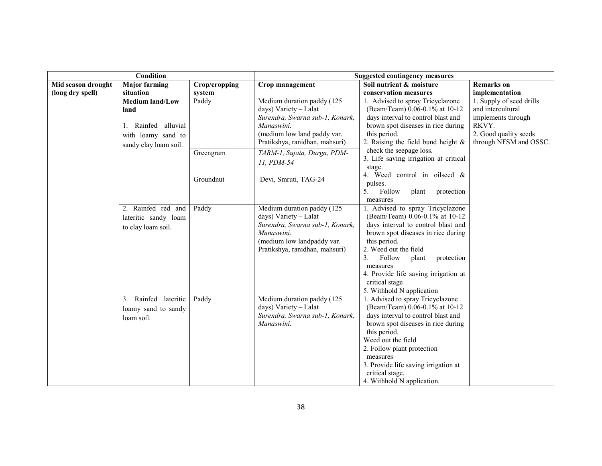|                    | <b>Condition</b>                                                                                     |               | <b>Suggested contingency measures</b>                                                                                                                                 |                                                                                                                                                                                                                                                                                                                                   |                                                                                                                                 |
|--------------------|------------------------------------------------------------------------------------------------------|---------------|-----------------------------------------------------------------------------------------------------------------------------------------------------------------------|-----------------------------------------------------------------------------------------------------------------------------------------------------------------------------------------------------------------------------------------------------------------------------------------------------------------------------------|---------------------------------------------------------------------------------------------------------------------------------|
| Mid season drought | <b>Major farming</b>                                                                                 | Crop/cropping | Crop management                                                                                                                                                       | Soil nutrient & moisture                                                                                                                                                                                                                                                                                                          | <b>Remarks</b> on                                                                                                               |
| (long dry spell)   | situation                                                                                            | system        |                                                                                                                                                                       | conservation measures                                                                                                                                                                                                                                                                                                             | implementation                                                                                                                  |
|                    | <b>Medium land/Low</b><br>land<br>1. Rainfed alluvial<br>with loamy sand to<br>sandy clay loam soil. | Paddy         | Medium duration paddy (125<br>days) Variety - Lalat<br>Surendra, Swarna sub-1, Konark,<br>Manaswini.<br>(medium low land paddy var.<br>Pratikshya, ranidhan, mahsuri) | 1. Advised to spray Tricyclazone<br>(Beam/Team) 0.06-0.1% at 10-12<br>days interval to control blast and<br>brown spot diseases in rice during<br>this period.<br>2. Raising the field bund height $\&$                                                                                                                           | 1. Supply of seed drills<br>and intercultural<br>implements through<br>RKVY.<br>2. Good quality seeds<br>through NFSM and OSSC. |
|                    |                                                                                                      | Greengram     | TARM-1, Sujata, Durga, PDM-<br>11, PDM-54                                                                                                                             | check the seepage loss.<br>3. Life saving irrigation at critical<br>stage.<br>4. Weed control in oilseed &                                                                                                                                                                                                                        |                                                                                                                                 |
|                    |                                                                                                      | Groundnut     | Devi, Smruti, TAG-24                                                                                                                                                  | pulses.<br>5.<br>Follow<br>plant<br>protection<br>measures                                                                                                                                                                                                                                                                        |                                                                                                                                 |
|                    | 2. Rainfed red and<br>lateritic sandy loam<br>to clay loam soil.                                     | Paddy         | Medium duration paddy (125<br>days) Variety - Lalat<br>Surendra, Swarna sub-1, Konark,<br>Manaswini.<br>(medium low landpaddy var.<br>Pratikshya, ranidhan, mahsuri)  | 1. Advised to spray Tricyclazone<br>(Beam/Team) 0.06-0.1% at 10-12<br>days interval to control blast and<br>brown spot diseases in rice during<br>this period.<br>2. Weed out the field<br>3.<br>Follow<br>plant<br>protection<br>measures<br>4. Provide life saving irrigation at<br>critical stage<br>5. Withhold N application |                                                                                                                                 |
|                    | 3. Rainfed lateritic<br>loamy sand to sandy<br>loam soil.                                            | Paddy         | Medium duration paddy (125<br>days) Variety - Lalat<br>Surendra, Swarna sub-1, Konark,<br>Manaswini.                                                                  | 1. Advised to spray Tricyclazone<br>(Beam/Team) 0.06-0.1% at 10-12<br>days interval to control blast and<br>brown spot diseases in rice during<br>this period.<br>Weed out the field<br>2. Follow plant protection<br>measures<br>3. Provide life saving irrigation at<br>critical stage.<br>4. Withhold N application.           |                                                                                                                                 |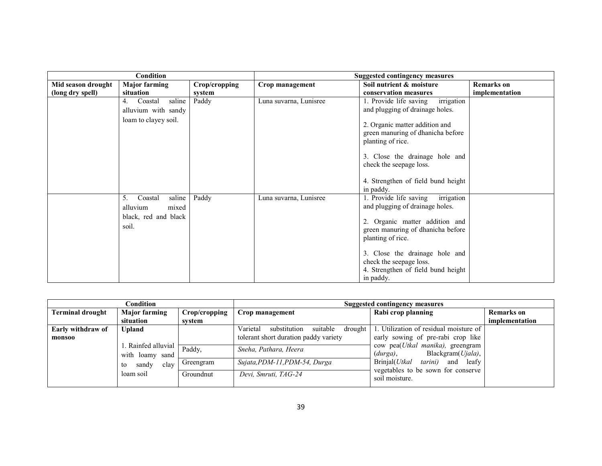|                    | <b>Condition</b>                                                              |               | Suggested contingency measures |                                                                                                                                                                                                                                                                                     |                   |
|--------------------|-------------------------------------------------------------------------------|---------------|--------------------------------|-------------------------------------------------------------------------------------------------------------------------------------------------------------------------------------------------------------------------------------------------------------------------------------|-------------------|
| Mid season drought | <b>Major farming</b>                                                          | Crop/cropping | Crop management                | Soil nutrient & moisture                                                                                                                                                                                                                                                            | <b>Remarks</b> on |
| (long dry spell)   | situation                                                                     | system        |                                | conservation measures                                                                                                                                                                                                                                                               | implementation    |
|                    | saline<br>Coastal<br>4.                                                       | Paddy         | Luna suvarna, Lunisree         | irrigation<br>1. Provide life saving                                                                                                                                                                                                                                                |                   |
|                    | alluvium with sandy                                                           |               |                                | and plugging of drainage holes.                                                                                                                                                                                                                                                     |                   |
|                    | loam to clayey soil.                                                          |               |                                | 2. Organic matter addition and<br>green manuring of dhanicha before<br>planting of rice.<br>3. Close the drainage hole and<br>check the seepage loss.<br>4. Strengthen of field bund height<br>in paddy.                                                                            |                   |
|                    | saline<br>5.<br>Coastal<br>alluvium<br>mixed<br>black, red and black<br>soil. | Paddy         | Luna suvarna, Lunisree         | irrigation<br>1. Provide life saving<br>and plugging of drainage holes.<br>2. Organic matter addition and<br>green manuring of dhanicha before<br>planting of rice.<br>3. Close the drainage hole and<br>check the seepage loss.<br>4. Strengthen of field bund height<br>in paddy. |                   |

| Condition                        |                                       |                               | Suggested contingency measures                   |                                                                               |                   |
|----------------------------------|---------------------------------------|-------------------------------|--------------------------------------------------|-------------------------------------------------------------------------------|-------------------|
| <b>Terminal drought</b>          | <b>Major farming</b>                  | Crop/cropping                 | Crop management                                  | Rabi crop planning                                                            | <b>Remarks</b> on |
|                                  | situation                             | svstem                        |                                                  |                                                                               | implementation    |
| Early withdraw of                | <b>Upland</b>                         |                               | Varietal<br>substitution<br>suitable<br>drought  | 1. Utilization of residual moisture of                                        |                   |
| monsoo                           |                                       |                               | tolerant short duration paddy variety            | early sowing of pre-rabi crop like                                            |                   |
|                                  | . Rainfed alluvial<br>with loamy sand | Paddy,                        | Sneha, Pathara, Heera                            | cow pea( <i>Utkal manika</i> ), greengram<br>Blackgram(Ujala),<br>$(durga)$ , |                   |
| sandy<br>clay<br>to<br>loam soil | Greengram                             | Sujata, PDM-11, PDM-54, Durga | Brinjal( <i>Utkal</i><br>tarini)<br>leafy<br>and |                                                                               |                   |
|                                  |                                       | Groundnut                     | Devi, Smruti, TAG-24                             | vegetables to be sown for conserve<br>soil moisture.                          |                   |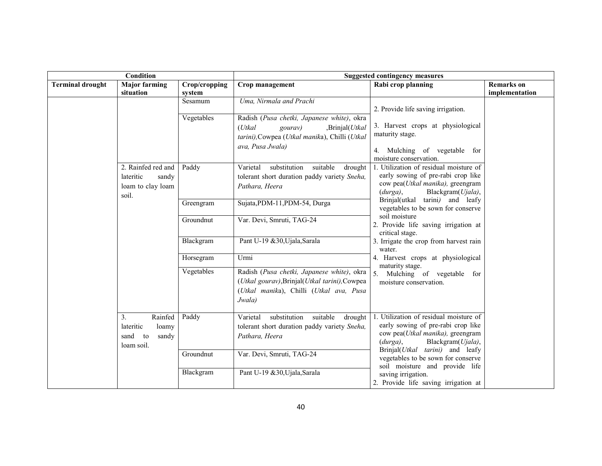| Condition               |                                                                        | <b>Suggested contingency measures</b> |                                                                                                                                                           |                                                                                                                                                                                         |                                     |
|-------------------------|------------------------------------------------------------------------|---------------------------------------|-----------------------------------------------------------------------------------------------------------------------------------------------------------|-----------------------------------------------------------------------------------------------------------------------------------------------------------------------------------------|-------------------------------------|
| <b>Terminal drought</b> | <b>Major farming</b><br>situation                                      | Crop/cropping                         | Crop management                                                                                                                                           | Rabi crop planning                                                                                                                                                                      | <b>Remarks</b> on<br>implementation |
|                         |                                                                        | system<br>Sesamum                     | Uma, Nirmala and Prachi                                                                                                                                   | 2. Provide life saving irrigation.                                                                                                                                                      |                                     |
|                         |                                                                        | Vegetables                            | Radish (Pusa chetki, Japanese white), okra<br>$(U$ tkal<br>,Brinjal(Utkal<br>gourav)<br>tarini), Cowpea (Utkal manika), Chilli (Utkal<br>ava, Pusa Jwala) | 3. Harvest crops at physiological<br>maturity stage.<br>4. Mulching of vegetable for<br>moisture conservation.                                                                          |                                     |
|                         | 2. Rainfed red and<br>lateritic<br>sandy<br>loam to clay loam<br>soil. | Paddy                                 | suitable<br>Varietal<br>substitution<br>drought<br>tolerant short duration paddy variety Sneha,<br>Pathara, Heera                                         | 1. Utilization of residual moisture of<br>early sowing of pre-rabi crop like<br>cow pea(Utkal manika), greengram<br>Blackgram(Ujala),<br>$(durga)$ ,                                    |                                     |
|                         |                                                                        | Greengram                             | Sujata, PDM-11, PDM-54, Durga                                                                                                                             | Brinjal(utkal tarini) and leafy<br>vegetables to be sown for conserve                                                                                                                   |                                     |
|                         |                                                                        | Groundnut                             | Var. Devi, Smruti, TAG-24                                                                                                                                 | soil moisture<br>2. Provide life saving irrigation at<br>critical stage.                                                                                                                |                                     |
|                         |                                                                        | Blackgram                             | Pant U-19 &30, Ujala, Sarala                                                                                                                              | 3. Irrigate the crop from harvest rain<br>water.                                                                                                                                        |                                     |
|                         |                                                                        | Horsegram                             | Urmi                                                                                                                                                      | 4. Harvest crops at physiological<br>maturity stage.                                                                                                                                    |                                     |
|                         |                                                                        | Vegetables                            | Radish (Pusa chetki, Japanese white), okra<br>(Utkal gourav), Brinjal(Utkal tarini), Cowpea<br>(Utkal manika), Chilli (Utkal ava, Pusa<br>Jwala)          | 5. Mulching of vegetable for<br>moisture conservation.                                                                                                                                  |                                     |
|                         | 3.<br>Rainfed<br>lateritic<br>loamy<br>sand to<br>sandy<br>loam soil.  | Paddy                                 | substitution<br>suitable<br>Varietal<br>drought<br>tolerant short duration paddy variety Sneha,<br>Pathara, Heera                                         | 1. Utilization of residual moisture of<br>early sowing of pre-rabi crop like<br>cow pea(Utkal manika), greengram<br>Blackgram(Ujala),<br>$(durga)$ ,<br>Brinjal(Utkal tarini) and leafy |                                     |
|                         |                                                                        | Groundnut                             | Var. Devi, Smruti, TAG-24                                                                                                                                 | vegetables to be sown for conserve<br>soil moisture and provide life                                                                                                                    |                                     |
|                         |                                                                        | Blackgram                             | Pant U-19 &30, Ujala, Sarala                                                                                                                              | saving irrigation.<br>2. Provide life saving irrigation at                                                                                                                              |                                     |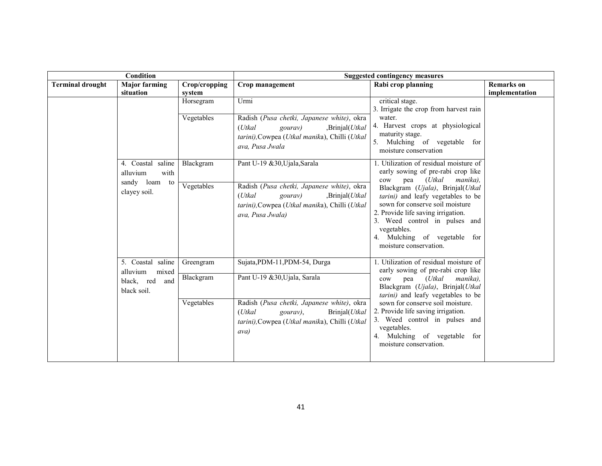| Condition                                 |                                        |                                   | <b>Suggested contingency measures</b>                                                                                                                          |                                                                                                                                                                                                                                                           |                   |
|-------------------------------------------|----------------------------------------|-----------------------------------|----------------------------------------------------------------------------------------------------------------------------------------------------------------|-----------------------------------------------------------------------------------------------------------------------------------------------------------------------------------------------------------------------------------------------------------|-------------------|
| <b>Terminal drought</b>                   | <b>Major farming</b>                   | Crop/cropping                     | Crop management                                                                                                                                                | Rabi crop planning                                                                                                                                                                                                                                        | <b>Remarks</b> on |
|                                           | situation                              | system<br>Horsegram<br>Vegetables | Urmi<br>Radish (Pusa chetki, Japanese white), okra                                                                                                             | critical stage.<br>3. Irrigate the crop from harvest rain<br>water.                                                                                                                                                                                       | implementation    |
| alluvium<br>sandy loam to<br>clayey soil. |                                        |                                   | $(U$ tkal<br>,Brinjal(Utkal<br>gourav)<br>tarini), Cowpea (Utkal manika), Chilli (Utkal<br>ava, Pusa Jwala                                                     | 4. Harvest crops at physiological<br>maturity stage.<br>5. Mulching of vegetable for<br>moisture conservation                                                                                                                                             |                   |
|                                           | 4. Coastal saline<br>with              | Blackgram                         | Pant U-19 &30, Ujala, Sarala                                                                                                                                   | 1. Utilization of residual moisture of<br>early sowing of pre-rabi crop like<br>(Utkal<br>manika),<br>pea<br>$_{\text{cow}}$                                                                                                                              |                   |
|                                           |                                        | Vegetables                        | Radish (Pusa chetki, Japanese white), okra<br>(Utkal<br>,Brinjal( <i>Utkal</i><br>gourav)<br>tarini), Cowpea (Utkal manika), Chilli (Utkal<br>ava, Pusa Jwala) | Blackgram (Ujala), Brinjal(Utkal<br>tarini) and leafy vegetables to be<br>sown for conserve soil moisture<br>2. Provide life saving irrigation.<br>3. Weed control in pulses and<br>vegetables.<br>4. Mulching of vegetable for<br>moisture conservation. |                   |
|                                           | 5. Coastal saline<br>alluvium<br>mixed | Greengram                         | Sujata, PDM-11, PDM-54, Durga                                                                                                                                  | 1. Utilization of residual moisture of<br>early sowing of pre-rabi crop like                                                                                                                                                                              |                   |
| black, red<br>and<br>black soil.          | Blackgram                              | Pant U-19 &30, Ujala, Sarala      | pea<br>(Utkal<br>manika).<br>cow<br>Blackgram (Ujala), Brinjal(Utkal<br>tarini) and leafy vegetables to be                                                     |                                                                                                                                                                                                                                                           |                   |
|                                           |                                        | Vegetables                        | Radish (Pusa chetki, Japanese white), okra<br>$(U$ tkal<br>gourav),<br>Brinjal( <i>Utkal</i><br>tarini), Cowpea (Utkal manika), Chilli (Utkal<br>avab          | sown for conserve soil moisture.<br>2. Provide life saving irrigation.<br>3. Weed control in pulses and<br>vegetables.<br>4. Mulching of vegetable for<br>moisture conservation.                                                                          |                   |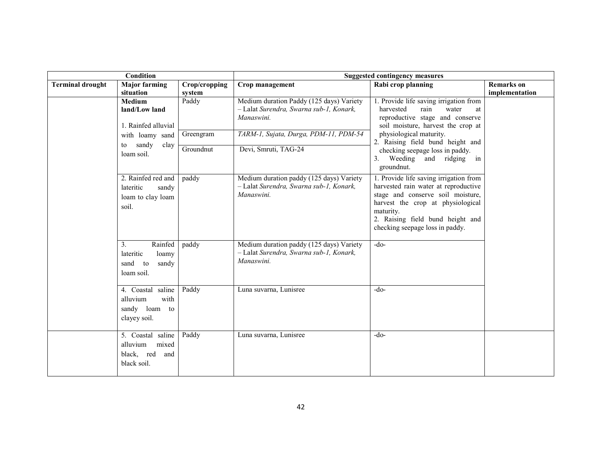| Condition                                            |                                                                                   | <b>Suggested contingency measures</b>                         |                                                                                                                                              |                                                                                                                                                                                                                                              |                   |
|------------------------------------------------------|-----------------------------------------------------------------------------------|---------------------------------------------------------------|----------------------------------------------------------------------------------------------------------------------------------------------|----------------------------------------------------------------------------------------------------------------------------------------------------------------------------------------------------------------------------------------------|-------------------|
| <b>Terminal drought</b>                              | <b>Major farming</b>                                                              | Crop/cropping                                                 | Crop management                                                                                                                              | Rabi crop planning                                                                                                                                                                                                                           | <b>Remarks</b> on |
|                                                      | situation<br>Medium<br>land/Low land<br>1. Rainfed alluvial                       | system<br>Paddy                                               | Medium duration Paddy (125 days) Variety<br>- Lalat Surendra, Swarna sub-1, Konark,<br>Manaswini.                                            | 1. Provide life saving irrigation from<br>harvested<br>rain<br>water<br>at<br>reproductive stage and conserve<br>soil moisture, harvest the crop at                                                                                          | implementation    |
| with loamy sand<br>sandy<br>clay<br>to<br>loam soil. | Greengram<br>Groundnut                                                            | TARM-1, Sujata, Durga, PDM-11, PDM-54<br>Devi, Smruti, TAG-24 | physiological maturity.<br>2. Raising field bund height and<br>checking seepage loss in paddy.<br>3. Weeding and ridging<br>in<br>groundnut. |                                                                                                                                                                                                                                              |                   |
|                                                      | 2. Rainfed red and<br>lateritic<br>sandy<br>loam to clay loam<br>soil.            | paddy                                                         | Medium duration paddy (125 days) Variety<br>- Lalat Surendra, Swarna sub-1, Konark,<br>Manaswini.                                            | 1. Provide life saving irrigation from<br>harvested rain water at reproductive<br>stage and conserve soil moisture,<br>harvest the crop at physiological<br>maturity.<br>2. Raising field bund height and<br>checking seepage loss in paddy. |                   |
|                                                      | 3 <sub>1</sub><br>Rainfed<br>lateritic<br>loamy<br>sand to<br>sandy<br>loam soil. | paddy                                                         | Medium duration paddy (125 days) Variety<br>- Lalat Surendra, Swarna sub-1, Konark,<br>Manaswini.                                            | $-do-$                                                                                                                                                                                                                                       |                   |
|                                                      | 4. Coastal saline<br>alluvium<br>with<br>sandy loam to<br>clayey soil.            | Paddy                                                         | Luna suvarna, Lunisree                                                                                                                       | $-do-$                                                                                                                                                                                                                                       |                   |
|                                                      | 5. Coastal saline<br>mixed<br>alluvium<br>black, red<br>and<br>black soil.        | Paddy                                                         | Luna suvarna, Lunisree                                                                                                                       | $-do-$                                                                                                                                                                                                                                       |                   |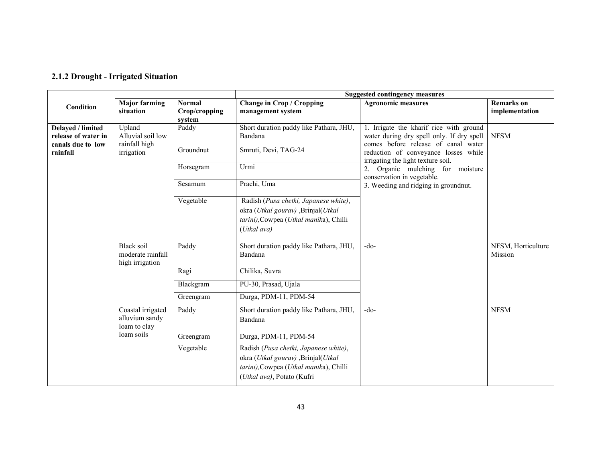### 2.1.2 Drought - Irrigated Situation

|                                                               |                                                           |                                          | <b>Suggested contingency measures</b>                                                                                                               |                                                                                                                             |                                     |  |  |
|---------------------------------------------------------------|-----------------------------------------------------------|------------------------------------------|-----------------------------------------------------------------------------------------------------------------------------------------------------|-----------------------------------------------------------------------------------------------------------------------------|-------------------------------------|--|--|
| Condition                                                     | <b>Major farming</b><br>situation                         | <b>Normal</b><br>Crop/cropping<br>system | <b>Change in Crop / Cropping</b><br>management system                                                                                               | <b>Agronomic measures</b>                                                                                                   | <b>Remarks</b> on<br>implementation |  |  |
| Delayed / limited<br>release of water in<br>canals due to low | Upland<br>Alluvial soil low<br>rainfall high              | Paddy                                    | Short duration paddy like Pathara, JHU,<br>Bandana                                                                                                  | 1. Irrigate the kharif rice with ground<br>water during dry spell only. If dry spell<br>comes before release of canal water | <b>NFSM</b>                         |  |  |
| rainfall                                                      | irrigation                                                | Groundnut                                | Smruti, Devi, TAG-24                                                                                                                                | reduction of conveyance losses while<br>irrigating the light texture soil.                                                  |                                     |  |  |
|                                                               |                                                           | Horsegram                                | Urmi                                                                                                                                                | 2. Organic mulching for moisture<br>conservation in vegetable.                                                              |                                     |  |  |
|                                                               |                                                           | Sesamum                                  | Prachi, Uma                                                                                                                                         | 3. Weeding and ridging in groundnut.                                                                                        |                                     |  |  |
|                                                               |                                                           | Vegetable                                | Radish (Pusa chetki, Japanese white),<br>okra (Utkal gourav) ,Brinjal(Utkal<br>tarini), Cowpea (Utkal manika), Chilli<br>(Utkal ava)                |                                                                                                                             |                                     |  |  |
|                                                               | <b>Black soil</b><br>moderate rainfall<br>high irrigation | Paddy                                    | Short duration paddy like Pathara, JHU,<br>Bandana                                                                                                  | $-do-$                                                                                                                      | NFSM, Horticulture<br>Mission       |  |  |
|                                                               |                                                           | Ragi                                     | Chilika, Suvra                                                                                                                                      |                                                                                                                             |                                     |  |  |
|                                                               |                                                           | Blackgram                                | PU-30, Prasad, Ujala                                                                                                                                |                                                                                                                             |                                     |  |  |
|                                                               |                                                           | Greengram                                | Durga, PDM-11, PDM-54                                                                                                                               |                                                                                                                             |                                     |  |  |
|                                                               | Coastal irrigated<br>alluvium sandy<br>loam to clay       | Paddy                                    | Short duration paddy like Pathara, JHU,<br>Bandana                                                                                                  | $-do-$                                                                                                                      | <b>NFSM</b>                         |  |  |
|                                                               | loam soils                                                | Greengram                                | Durga, PDM-11, PDM-54                                                                                                                               |                                                                                                                             |                                     |  |  |
|                                                               |                                                           | Vegetable                                | Radish (Pusa chetki, Japanese white),<br>okra (Utkal gourav) ,Brinjal(Utkal<br>tarini), Cowpea (Utkal manika), Chilli<br>(Utkal ava), Potato (Kufri |                                                                                                                             |                                     |  |  |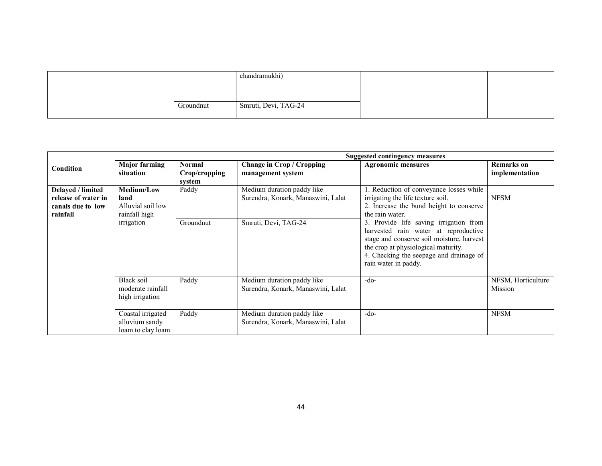|  |           | chandramukhi)        |  |
|--|-----------|----------------------|--|
|  |           |                      |  |
|  |           |                      |  |
|  | Groundnut | Smruti, Devi, TAG-24 |  |
|  |           |                      |  |

|                                                                           |                                                                 |                                          |                                                                  | <b>Suggested contingency measures</b>                                                                                                                                                                                                 |                                     |
|---------------------------------------------------------------------------|-----------------------------------------------------------------|------------------------------------------|------------------------------------------------------------------|---------------------------------------------------------------------------------------------------------------------------------------------------------------------------------------------------------------------------------------|-------------------------------------|
| Condition                                                                 | <b>Major farming</b><br>situation                               | <b>Normal</b><br>Crop/cropping<br>system | <b>Change in Crop / Cropping</b><br>management system            | <b>Agronomic measures</b>                                                                                                                                                                                                             | <b>Remarks</b> on<br>implementation |
| Delayed / limited<br>release of water in<br>canals due to low<br>rainfall | <b>Medium/Low</b><br>land<br>Alluvial soil low<br>rainfall high | Paddy                                    | Medium duration paddy like<br>Surendra, Konark, Manaswini, Lalat | . Reduction of conveyance losses while<br>irrigating the life texture soil.<br>2. Increase the bund height to conserve<br>the rain water.                                                                                             | <b>NFSM</b>                         |
|                                                                           | irrigation                                                      | Groundnut                                | Smruti, Devi, TAG-24                                             | 3. Provide life saving irrigation from<br>harvested rain water at reproductive<br>stage and conserve soil moisture, harvest<br>the crop at physiological maturity.<br>4. Checking the seepage and drainage of<br>rain water in paddy. |                                     |
|                                                                           | Black soil<br>moderate rainfall<br>high irrigation              | Paddy                                    | Medium duration paddy like<br>Surendra, Konark, Manaswini, Lalat | $-do-$                                                                                                                                                                                                                                | NFSM, Horticulture<br>Mission       |
|                                                                           | Coastal irrigated<br>alluvium sandy<br>loam to clay loam        | Paddy                                    | Medium duration paddy like<br>Surendra, Konark, Manaswini, Lalat | $-do-$                                                                                                                                                                                                                                | <b>NFSM</b>                         |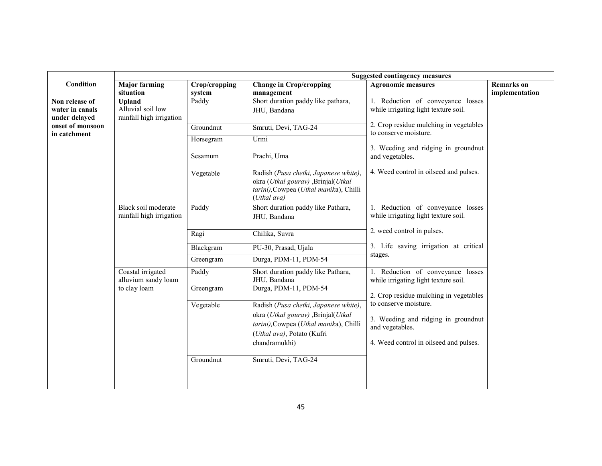|                                                    |                                                                |                    | <b>Suggested contingency measures</b>                                                                                                                                |                                                                                                                           |                |  |
|----------------------------------------------------|----------------------------------------------------------------|--------------------|----------------------------------------------------------------------------------------------------------------------------------------------------------------------|---------------------------------------------------------------------------------------------------------------------------|----------------|--|
| Condition                                          | <b>Major farming</b>                                           | Crop/cropping      | <b>Change in Crop/cropping</b>                                                                                                                                       | <b>Agronomic measures</b><br><b>Remarks</b> on                                                                            |                |  |
|                                                    | situation                                                      | system             | management                                                                                                                                                           |                                                                                                                           | implementation |  |
| Non release of<br>water in canals<br>under delaved | <b>Upland</b><br>Alluvial soil low<br>rainfall high irrigation | Paddy              | Short duration paddy like pathara,<br>JHU, Bandana                                                                                                                   | 1. Reduction of conveyance losses<br>while irrigating light texture soil.                                                 |                |  |
| onset of monsoon<br>in catchment                   |                                                                | Groundnut          | Smruti, Devi, TAG-24                                                                                                                                                 | 2. Crop residue mulching in vegetables<br>to conserve moisture.                                                           |                |  |
|                                                    |                                                                | Horsegram          | Urmi                                                                                                                                                                 | 3. Weeding and ridging in groundnut                                                                                       |                |  |
|                                                    |                                                                | Sesamum            | Prachi, Uma                                                                                                                                                          | and vegetables.                                                                                                           |                |  |
|                                                    |                                                                | Vegetable          | Radish (Pusa chetki, Japanese white),<br>okra (Utkal gourav), Brinjal(Utkal<br>tarini), Cowpea (Utkal manika), Chilli<br>(Utkal ava)                                 | 4. Weed control in oilseed and pulses.                                                                                    |                |  |
|                                                    | Black soil moderate<br>rainfall high irrigation                | Paddy              | Short duration paddy like Pathara,<br>JHU, Bandana                                                                                                                   | 1. Reduction of conveyance losses<br>while irrigating light texture soil.                                                 |                |  |
|                                                    |                                                                | Ragi               | Chilika, Suvra                                                                                                                                                       | 2. weed control in pulses.                                                                                                |                |  |
|                                                    |                                                                | Blackgram          | PU-30, Prasad, Ujala                                                                                                                                                 | 3. Life saving irrigation at critical<br>stages.                                                                          |                |  |
|                                                    |                                                                | Greengram          | Durga, PDM-11, PDM-54                                                                                                                                                |                                                                                                                           |                |  |
|                                                    | Coastal irrigated<br>alluvium sandy loam<br>to clay loam       | Paddy<br>Greengram | Short duration paddy like Pathara,<br>JHU, Bandana<br>Durga, PDM-11, PDM-54                                                                                          | 1. Reduction of conveyance losses<br>while irrigating light texture soil.<br>2. Crop residue mulching in vegetables       |                |  |
|                                                    |                                                                | Vegetable          | Radish (Pusa chetki, Japanese white),<br>okra (Utkal gourav), Brinjal(Utkal<br>tarini), Cowpea (Utkal manika), Chilli<br>(Utkal ava), Potato (Kufri<br>chandramukhi) | to conserve moisture.<br>3. Weeding and ridging in groundnut<br>and vegetables.<br>4. Weed control in oilseed and pulses. |                |  |
|                                                    |                                                                | Groundnut          | Smruti, Devi, TAG-24                                                                                                                                                 |                                                                                                                           |                |  |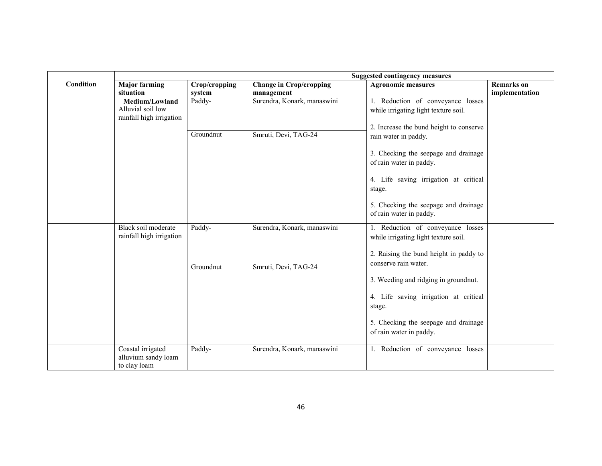|           |                          |               | <b>Suggested contingency measures</b> |                                                                 |                   |  |
|-----------|--------------------------|---------------|---------------------------------------|-----------------------------------------------------------------|-------------------|--|
| Condition | <b>Major farming</b>     | Crop/cropping | <b>Change in Crop/cropping</b>        | <b>Agronomic measures</b>                                       | <b>Remarks</b> on |  |
|           | situation                | system        | management                            |                                                                 | implementation    |  |
|           | Medium/Lowland           | Paddy-        | Surendra, Konark, manaswini           | 1. Reduction of conveyance losses                               |                   |  |
|           | Alluvial soil low        |               |                                       | while irrigating light texture soil.                            |                   |  |
|           | rainfall high irrigation |               |                                       |                                                                 |                   |  |
|           |                          | Groundnut     | Smruti, Devi, TAG-24                  | 2. Increase the bund height to conserve                         |                   |  |
|           |                          |               |                                       | rain water in paddy.                                            |                   |  |
|           |                          |               |                                       | 3. Checking the seepage and drainage                            |                   |  |
|           |                          |               |                                       | of rain water in paddy.                                         |                   |  |
|           |                          |               |                                       |                                                                 |                   |  |
|           |                          |               |                                       | 4. Life saving irrigation at critical                           |                   |  |
|           |                          |               |                                       | stage.                                                          |                   |  |
|           |                          |               |                                       |                                                                 |                   |  |
|           |                          |               |                                       | 5. Checking the seepage and drainage<br>of rain water in paddy. |                   |  |
|           |                          |               |                                       |                                                                 |                   |  |
|           | Black soil moderate      | Paddy-        | Surendra, Konark, manaswini           | 1. Reduction of conveyance losses                               |                   |  |
|           | rainfall high irrigation |               |                                       | while irrigating light texture soil.                            |                   |  |
|           |                          |               |                                       |                                                                 |                   |  |
|           |                          |               |                                       | 2. Raising the bund height in paddy to                          |                   |  |
|           |                          | Groundnut     | Smruti, Devi, TAG-24                  | conserve rain water.                                            |                   |  |
|           |                          |               |                                       | 3. Weeding and ridging in groundnut.                            |                   |  |
|           |                          |               |                                       |                                                                 |                   |  |
|           |                          |               |                                       | 4. Life saving irrigation at critical                           |                   |  |
|           |                          |               |                                       | stage.                                                          |                   |  |
|           |                          |               |                                       |                                                                 |                   |  |
|           |                          |               |                                       | 5. Checking the seepage and drainage                            |                   |  |
|           |                          |               |                                       | of rain water in paddy.                                         |                   |  |
|           | Coastal irrigated        | Paddy-        | Surendra, Konark, manaswini           | 1. Reduction of conveyance losses                               |                   |  |
|           | alluvium sandy loam      |               |                                       |                                                                 |                   |  |
|           | to clay loam             |               |                                       |                                                                 |                   |  |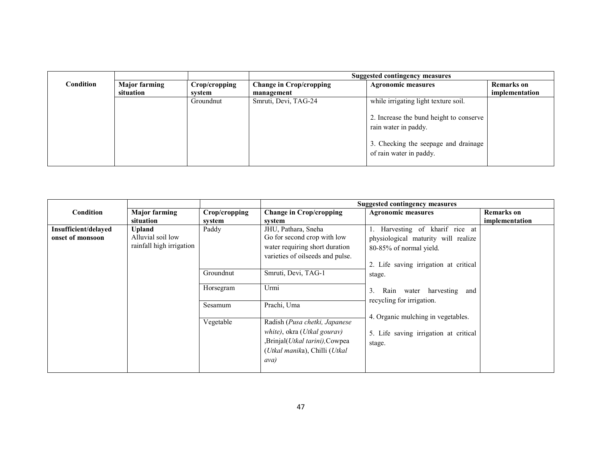|           |                      |               | Suggested contingency measures |                                                                                                                                    |                   |
|-----------|----------------------|---------------|--------------------------------|------------------------------------------------------------------------------------------------------------------------------------|-------------------|
| Condition | <b>Major farming</b> | Crop/cropping | <b>Change in Crop/cropping</b> | <b>Agronomic measures</b>                                                                                                          | <b>Remarks</b> on |
|           | situation<br>svstem  |               | management                     |                                                                                                                                    | implementation    |
|           |                      | Groundnut     | Smruti, Devi, TAG-24           | while irrigating light texture soil.                                                                                               |                   |
|           |                      |               |                                | 2. Increase the bund height to conserve<br>rain water in paddy.<br>3. Checking the seepage and drainage<br>of rain water in paddy. |                   |

|                      |                          |               |                                                | <b>Suggested contingency measures</b>    |                   |
|----------------------|--------------------------|---------------|------------------------------------------------|------------------------------------------|-------------------|
| Condition            | <b>Major farming</b>     | Crop/cropping | <b>Change in Crop/cropping</b>                 | <b>Agronomic measures</b>                | <b>Remarks</b> on |
|                      | situation                | system        | system                                         |                                          | implementation    |
| Insufficient/delayed | Upland                   | Paddy         | JHU, Pathara, Sneha                            | 1. Harvesting of kharif rice at          |                   |
| onset of monsoon     | Alluvial soil low        |               | Go for second crop with low                    | physiological maturity will realize      |                   |
|                      | rainfall high irrigation |               | water requiring short duration                 | 80-85% of normal yield.                  |                   |
|                      |                          |               | varieties of oilseeds and pulse.               |                                          |                   |
|                      |                          |               |                                                | 2. Life saving irrigation at critical    |                   |
|                      |                          | Groundnut     | Smruti, Devi, TAG-1                            | stage.                                   |                   |
|                      |                          | Horsegram     | Urmi                                           |                                          |                   |
|                      |                          |               |                                                | 3.<br>harvesting<br>Rain<br>water<br>and |                   |
|                      |                          | Sesamum       | Prachi, Uma                                    | recycling for irrigation.                |                   |
|                      |                          |               |                                                | 4. Organic mulching in vegetables.       |                   |
|                      |                          | Vegetable     | Radish (Pusa chetki, Japanese                  |                                          |                   |
|                      |                          |               | white), okra (Utkal gourav)                    | 5. Life saving irrigation at critical    |                   |
|                      |                          |               | Brinjal( <i>Utkal tarini</i> ), Cowpea         | stage.                                   |                   |
|                      |                          |               | ( <i>Utkal manika</i> ), Chilli ( <i>Utkal</i> |                                          |                   |
|                      |                          |               | ava)                                           |                                          |                   |
|                      |                          |               |                                                |                                          |                   |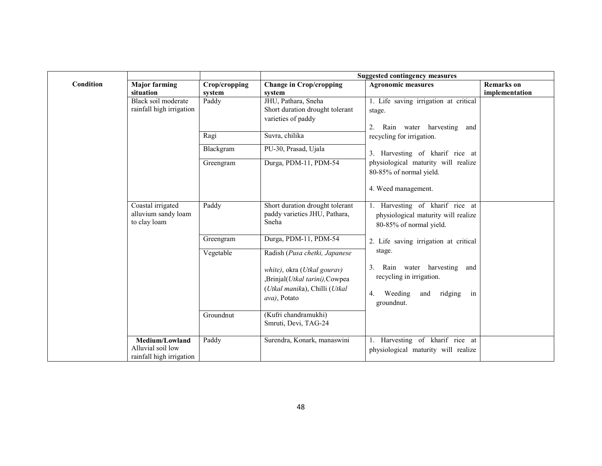|           |                                                                   |                         | <b>Suggested contingency measures</b>                                                                         |                                                                                                                 |                                     |  |
|-----------|-------------------------------------------------------------------|-------------------------|---------------------------------------------------------------------------------------------------------------|-----------------------------------------------------------------------------------------------------------------|-------------------------------------|--|
| Condition | <b>Major farming</b><br>situation                                 | Crop/cropping<br>system | <b>Change in Crop/cropping</b><br>system                                                                      | <b>Agronomic measures</b>                                                                                       | <b>Remarks</b> on<br>implementation |  |
|           | Black soil moderate<br>rainfall high irrigation                   | Paddy                   | JHU, Pathara, Sneha<br>Short duration drought tolerant<br>varieties of paddy                                  | 1. Life saving irrigation at critical<br>stage.<br>2. Rain water harvesting<br>and                              |                                     |  |
|           |                                                                   | Ragi                    | Suvra, chilika                                                                                                | recycling for irrigation.                                                                                       |                                     |  |
|           |                                                                   | Blackgram               | PU-30, Prasad, Ujala                                                                                          | 3. Harvesting of kharif rice at                                                                                 |                                     |  |
|           |                                                                   | Greengram               | Durga, PDM-11, PDM-54                                                                                         | physiological maturity will realize<br>80-85% of normal yield.<br>4. Weed management.                           |                                     |  |
|           |                                                                   |                         |                                                                                                               |                                                                                                                 |                                     |  |
|           | Coastal irrigated<br>Paddy<br>alluvium sandy loam<br>to clay loam |                         | Short duration drought tolerant<br>paddy varieties JHU, Pathara,<br>Sneha                                     | 1. Harvesting of kharif rice at<br>physiological maturity will realize<br>80-85% of normal yield.               |                                     |  |
|           |                                                                   | Greengram               | Durga, PDM-11, PDM-54                                                                                         | 2. Life saving irrigation at critical                                                                           |                                     |  |
|           |                                                                   | Vegetable               | Radish (Pusa chetki, Japanese                                                                                 | stage.                                                                                                          |                                     |  |
|           |                                                                   |                         | white), okra (Utkal gourav)<br>,Brinjal(Utkal tarini),Cowpea<br>(Utkal manika), Chilli (Utkal<br>ava), Potato | 3. Rain water harvesting and<br>recycling in irrigation.<br>Weeding<br>ridging<br>and<br>in<br>4.<br>groundnut. |                                     |  |
|           |                                                                   | Groundnut               | (Kufri chandramukhi)<br>Smruti, Devi, TAG-24                                                                  |                                                                                                                 |                                     |  |
|           | Medium/Lowland<br>Alluvial soil low<br>rainfall high irrigation   | Paddy                   | Surendra, Konark, manaswini                                                                                   | 1. Harvesting of kharif rice at<br>physiological maturity will realize                                          |                                     |  |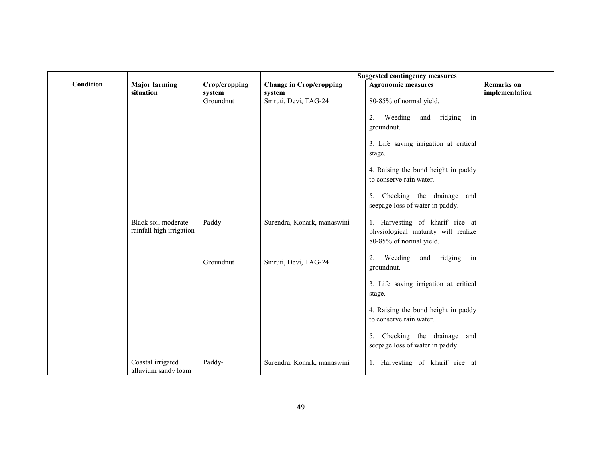|           |                                                 |               | <b>Suggested contingency measures</b> |                                       |                   |  |
|-----------|-------------------------------------------------|---------------|---------------------------------------|---------------------------------------|-------------------|--|
| Condition | <b>Major farming</b>                            | Crop/cropping | <b>Change in Crop/cropping</b>        | <b>Agronomic measures</b>             | <b>Remarks</b> on |  |
|           | situation                                       | system        | system                                |                                       | implementation    |  |
|           |                                                 | Groundnut     | Smruti, Devi, TAG-24                  | 80-85% of normal yield.               |                   |  |
|           |                                                 |               |                                       | 2. Weeding<br>and ridging in          |                   |  |
|           |                                                 |               |                                       |                                       |                   |  |
|           |                                                 |               |                                       | groundnut.                            |                   |  |
|           |                                                 |               |                                       | 3. Life saving irrigation at critical |                   |  |
|           |                                                 |               |                                       | stage.                                |                   |  |
|           |                                                 |               |                                       |                                       |                   |  |
|           |                                                 |               |                                       | 4. Raising the bund height in paddy   |                   |  |
|           |                                                 |               |                                       | to conserve rain water.               |                   |  |
|           |                                                 |               |                                       |                                       |                   |  |
|           |                                                 |               |                                       | 5. Checking the drainage and          |                   |  |
|           |                                                 |               |                                       | seepage loss of water in paddy.       |                   |  |
|           |                                                 |               |                                       |                                       |                   |  |
|           | Black soil moderate<br>rainfall high irrigation | Paddy-        | Surendra, Konark, manaswini           | 1. Harvesting of kharif rice at       |                   |  |
|           |                                                 |               |                                       | physiological maturity will realize   |                   |  |
|           |                                                 |               |                                       | 80-85% of normal yield.               |                   |  |
|           |                                                 |               |                                       | Weeding<br>2.<br>and ridging in       |                   |  |
|           |                                                 | Groundnut     | Smruti, Devi, TAG-24                  | groundnut.                            |                   |  |
|           |                                                 |               |                                       |                                       |                   |  |
|           |                                                 |               |                                       | 3. Life saving irrigation at critical |                   |  |
|           |                                                 |               |                                       | stage.                                |                   |  |
|           |                                                 |               |                                       |                                       |                   |  |
|           |                                                 |               |                                       | 4. Raising the bund height in paddy   |                   |  |
|           |                                                 |               |                                       | to conserve rain water.               |                   |  |
|           |                                                 |               |                                       |                                       |                   |  |
|           |                                                 |               |                                       | 5. Checking the drainage<br>and       |                   |  |
|           |                                                 |               |                                       | seepage loss of water in paddy.       |                   |  |
|           | Coastal irrigated                               | Paddy-        | Surendra, Konark, manaswini           | 1. Harvesting of kharif rice at       |                   |  |
|           | alluvium sandy loam                             |               |                                       |                                       |                   |  |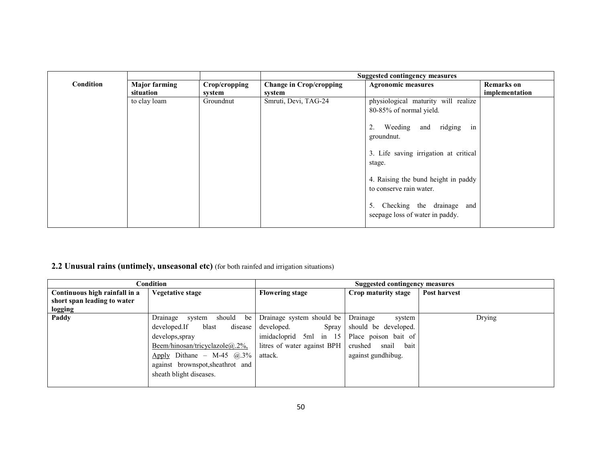|                  |                      |               |                                | <b>Suggested contingency measures</b>                           |                   |
|------------------|----------------------|---------------|--------------------------------|-----------------------------------------------------------------|-------------------|
| <b>Condition</b> | <b>Major farming</b> | Crop/cropping | <b>Change in Crop/cropping</b> | <b>Agronomic measures</b>                                       | <b>Remarks</b> on |
|                  | situation            | system        | system                         |                                                                 | implementation    |
|                  | to clay loam         | Groundnut     | Smruti, Devi, TAG-24           | physiological maturity will realize                             |                   |
|                  |                      |               |                                | 80-85% of normal yield.                                         |                   |
|                  |                      |               |                                | Weeding and ridging in<br>2.<br>groundnut.                      |                   |
|                  |                      |               |                                | 3. Life saving irrigation at critical<br>stage.                 |                   |
|                  |                      |               |                                | 4. Raising the bund height in paddy<br>to conserve rain water.  |                   |
|                  |                      |               |                                | 5. Checking the drainage and<br>seepage loss of water in paddy. |                   |

# 2.2 Unusual rains (untimely, unseasonal etc) (for both rainfed and irrigation situations)

|                               | Condition                           | Suggested contingency measures |                          |              |  |
|-------------------------------|-------------------------------------|--------------------------------|--------------------------|--------------|--|
| Continuous high rainfall in a | <b>Vegetative stage</b>             | <b>Flowering stage</b>         | Crop maturity stage      | Post harvest |  |
| short span leading to water   |                                     |                                |                          |              |  |
| logging                       |                                     |                                |                          |              |  |
| Paddy                         | should<br>Drainage<br>be<br>system  | Drainage system should be      | Drainage<br>system       | Drying       |  |
|                               | developed.If<br>disease<br>blast    | developed.<br>Spray            | should be developed.     |              |  |
|                               | develops, spray                     | imidacloprid 5ml in 15         | Place poison bait of     |              |  |
|                               | Beem/hinosan/tricyclazole $@.2\%$ , | litres of water against BPH    | crushed<br>snail<br>bait |              |  |
|                               | Apply Dithane - M-45 $\omega$ , 3%  | attack.                        | against gundhibug.       |              |  |
|                               | against brownspot, sheathrot and    |                                |                          |              |  |
|                               | sheath blight diseases.             |                                |                          |              |  |
|                               |                                     |                                |                          |              |  |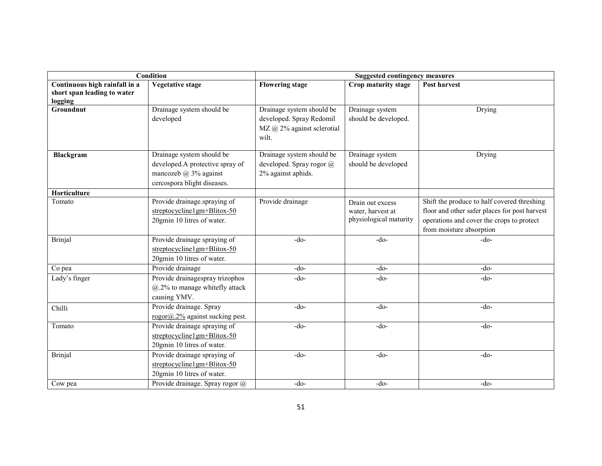|                               | Condition                          | <b>Suggested contingency measures</b> |                        |                                               |  |
|-------------------------------|------------------------------------|---------------------------------------|------------------------|-----------------------------------------------|--|
| Continuous high rainfall in a | <b>Vegetative stage</b>            | <b>Flowering stage</b>                | Crop maturity stage    | Post harvest                                  |  |
| short span leading to water   |                                    |                                       |                        |                                               |  |
| logging                       |                                    |                                       |                        |                                               |  |
| Groundnut                     | Drainage system should be          | Drainage system should be             | Drainage system        | Drying                                        |  |
|                               | developed                          | developed. Spray Redomil              | should be developed.   |                                               |  |
|                               |                                    | MZ @ 2% against sclerotial            |                        |                                               |  |
|                               |                                    | wilt.                                 |                        |                                               |  |
| Blackgram                     | Drainage system should be          | Drainage system should be             | Drainage system        | Drying                                        |  |
|                               | developed.A protective spray of    | developed. Spray rogor @              | should be developed    |                                               |  |
|                               | mancozeb $\omega$ 3% against       | 2% against aphids.                    |                        |                                               |  |
|                               | cercospora blight diseases.        |                                       |                        |                                               |  |
| Horticulture                  |                                    |                                       |                        |                                               |  |
| Tomato                        | Provide drainage.spraying of       | Provide drainage                      | Drain out excess       | Shift the produce to half covered threshing   |  |
|                               | streptocycline1gm+Blitox-50        |                                       | water, harvest at      | floor and other safer places for post harvest |  |
|                               | 20gmin 10 litres of water.         |                                       | physiological maturity | operations and cover the crops to protect     |  |
|                               |                                    |                                       |                        | from moisture absorption                      |  |
| <b>Brinjal</b>                | Provide drainage spraying of       | $-do-$                                | $-do-$                 | $-do-$                                        |  |
|                               | streptocycline1gm+Blitox-50        |                                       |                        |                                               |  |
|                               | 20gmin 10 litres of water.         |                                       |                        |                                               |  |
| Co pea                        | Provide drainage                   | $-do-$                                | $-do-$                 | $-do-$                                        |  |
| Lady's finger                 | Provide drainagespray trizophos    | $-do-$                                | -do-                   | $-do-$                                        |  |
|                               | $(a.2\%$ to manage whitefly attack |                                       |                        |                                               |  |
|                               | causing YMV.                       |                                       |                        |                                               |  |
| Chilli                        | Provide drainage. Spray            | $-do-$                                | $-do-$                 | $-do-$                                        |  |
|                               | rogor@.2% against sucking pest.    |                                       |                        |                                               |  |
| Tomato                        | Provide drainage spraying of       | $-do-$                                | -do-                   | $-do-$                                        |  |
|                               | streptocycline1gm+Blitox-50        |                                       |                        |                                               |  |
|                               | 20gmin 10 litres of water.         |                                       |                        |                                               |  |
| <b>Brinjal</b>                | Provide drainage spraying of       | $-do-$                                | $-do-$                 | $-do-$                                        |  |
|                               | streptocycline1gm+Blitox-50        |                                       |                        |                                               |  |
|                               | 20gmin 10 litres of water.         |                                       |                        |                                               |  |
| Cow pea                       | Provide drainage. Spray rogor @    | $-do-$                                | $-do-$                 | $-do-$                                        |  |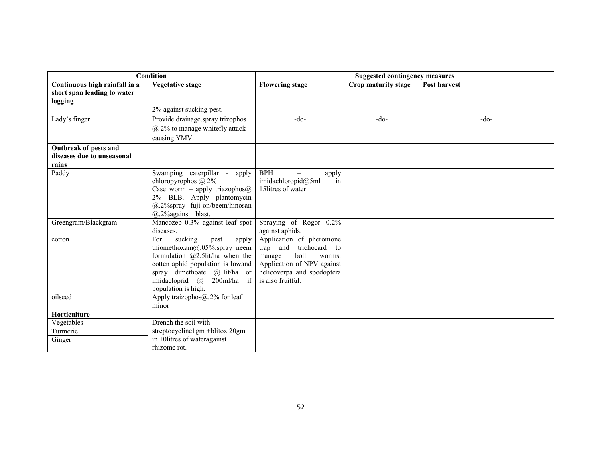| Condition                     |                                                                           | <b>Suggested contingency measures</b>          |                     |              |
|-------------------------------|---------------------------------------------------------------------------|------------------------------------------------|---------------------|--------------|
| Continuous high rainfall in a | <b>Vegetative stage</b>                                                   | <b>Flowering stage</b>                         | Crop maturity stage | Post harvest |
| short span leading to water   |                                                                           |                                                |                     |              |
| logging                       |                                                                           |                                                |                     |              |
|                               | 2% against sucking pest.                                                  |                                                |                     |              |
| Lady's finger                 | Provide drainage.spray trizophos                                          | $-do-$                                         | $-do-$              | $-do-$       |
|                               | @ 2% to manage whitefly attack                                            |                                                |                     |              |
|                               | causing YMV.                                                              |                                                |                     |              |
| Outbreak of pests and         |                                                                           |                                                |                     |              |
| diseases due to unseasonal    |                                                                           |                                                |                     |              |
| rains                         |                                                                           |                                                |                     |              |
| Paddy                         | Swamping caterpillar -<br>apply                                           | <b>BPH</b><br>apply                            |                     |              |
|                               | chloropyrophos $\omega$ 2%                                                | imidachloropid $@5ml$<br>in                    |                     |              |
|                               | Case worm - apply triazophos@                                             | 15 litres of water                             |                     |              |
|                               | 2% BLB. Apply plantomycin                                                 |                                                |                     |              |
|                               | @.2%spray fuji-on/beem/hinosan                                            |                                                |                     |              |
|                               | $(a)$ .2% against blast.                                                  |                                                |                     |              |
| Greengram/Blackgram           | Mancozeb 0.3% against leaf spot                                           | Spraying of Rogor 0.2%                         |                     |              |
|                               | diseases.                                                                 | against aphids.                                |                     |              |
| cotton                        | sucking<br>For<br>pest<br>apply                                           | Application of pheromone                       |                     |              |
|                               | thiomethoxam $\omega$ .05% spray neem                                     | trap and<br>trichocard to<br>boll              |                     |              |
|                               | formulation $(a)$ 2.5lit/ha when the<br>cotten aphid population is lowand | manage<br>worms.<br>Application of NPV against |                     |              |
|                               | spray dimethoate $\omega$ llit/ha or                                      | helicoverpa and spodoptera                     |                     |              |
|                               | 200ml/ha if<br>imidacloprid @                                             | is also fruitful.                              |                     |              |
|                               | population is high.                                                       |                                                |                     |              |
| oilseed                       | Apply traizophos $(a, 2\%$ for leaf                                       |                                                |                     |              |
|                               | minor                                                                     |                                                |                     |              |
| Horticulture                  |                                                                           |                                                |                     |              |
| Vegetables                    | Drench the soil with                                                      |                                                |                     |              |
| Turmeric                      | streptocycline1gm +blitox 20gm                                            |                                                |                     |              |
| Ginger                        | in 10litres of wateragainst                                               |                                                |                     |              |
|                               | rhizome rot.                                                              |                                                |                     |              |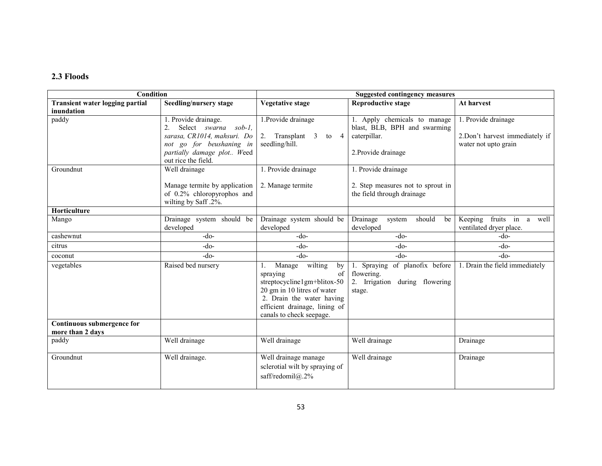### 2.3 Floods

| <b>Condition</b>                       |                                        |                                         | <b>Suggested contingency measures</b> |                                |
|----------------------------------------|----------------------------------------|-----------------------------------------|---------------------------------------|--------------------------------|
| <b>Transient water logging partial</b> | Seedling/nursery stage                 | <b>Vegetative stage</b>                 | <b>Reproductive stage</b>             | At harvest                     |
| inundation                             |                                        |                                         |                                       |                                |
| paddy                                  | 1. Provide drainage.                   | 1. Provide drainage                     | 1. Apply chemicals to manage          | 1. Provide drainage            |
|                                        | Select swarna sob-1,<br>2 <sub>1</sub> |                                         | blast, BLB, BPH and swarming          |                                |
|                                        | sarasa, CR1014, mahsuri. Do            | 2. Transplant 3<br>$\overline{4}$<br>to | caterpillar.                          | 2.Don't harvest immediately if |
|                                        | not go for beushaning in               | seedling/hill.                          |                                       | water not upto grain           |
|                                        | partially damage plot Weed             |                                         | 2. Provide drainage                   |                                |
|                                        | out rice the field.                    |                                         |                                       |                                |
| Groundnut                              | Well drainage                          | 1. Provide drainage                     | 1. Provide drainage                   |                                |
|                                        | Manage termite by application          | 2. Manage termite                       | 2. Step measures not to sprout in     |                                |
|                                        | of 0.2% chloropyrophos and             |                                         | the field through drainage            |                                |
|                                        | wilting by Saff .2%.                   |                                         |                                       |                                |
| Horticulture                           |                                        |                                         |                                       |                                |
| Mango                                  | Drainage system should be              | Drainage system should be               | Drainage<br>should<br>system<br>be    | Keeping fruits<br>in a<br>well |
|                                        | developed                              | developed                               | developed                             | ventilated dryer place.        |
| cashewnut                              | $-do-$                                 | $-do-$                                  | $-do-$                                | $-do-$                         |
| citrus                                 | $-do-$                                 | $-do-$                                  | $-do-$                                | -do-                           |
| coconut                                | $-do-$                                 | $-do-$                                  | $-do-$                                | $-do-$                         |
| vegetables                             | Raised bed nursery                     | wilting<br>Manage<br>by<br>1.           | Spraying of planofix before<br>1.     | 1. Drain the field immediately |
|                                        |                                        | of<br>spraying                          | flowering.                            |                                |
|                                        |                                        | streptocycline1gm+blitox-50             | 2. Irrigation<br>during flowering     |                                |
|                                        |                                        | 20 gm in 10 litres of water             | stage.                                |                                |
|                                        |                                        | 2. Drain the water having               |                                       |                                |
|                                        |                                        | efficient drainage, lining of           |                                       |                                |
|                                        |                                        | canals to check seepage.                |                                       |                                |
| <b>Continuous submergence for</b>      |                                        |                                         |                                       |                                |
| more than 2 days                       |                                        |                                         |                                       |                                |
| paddy                                  | Well drainage                          | Well drainage                           | Well drainage                         | Drainage                       |
| Groundnut                              | Well drainage.                         | Well drainage manage                    | Well drainage                         | Drainage                       |
|                                        |                                        | sclerotial wilt by spraying of          |                                       |                                |
|                                        |                                        | saff/redomil@.2%                        |                                       |                                |
|                                        |                                        |                                         |                                       |                                |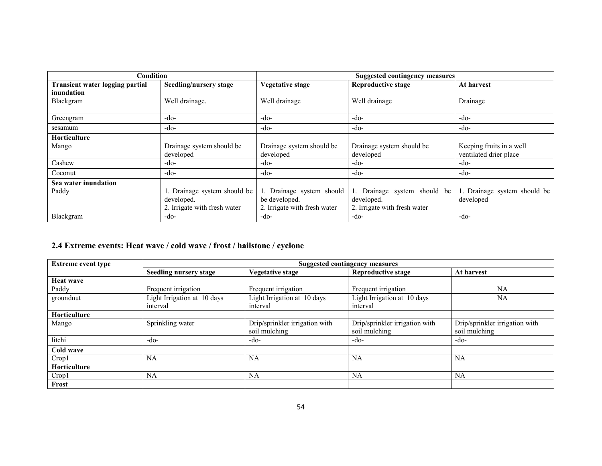| Condition                       |                                                                            | Suggested contingency measures                                             |                                                                         |                                                    |
|---------------------------------|----------------------------------------------------------------------------|----------------------------------------------------------------------------|-------------------------------------------------------------------------|----------------------------------------------------|
| Transient water logging partial | Seedling/nursery stage                                                     | <b>Vegetative stage</b>                                                    | <b>Reproductive stage</b>                                               | At harvest                                         |
| inundation                      |                                                                            |                                                                            |                                                                         |                                                    |
| Blackgram                       | Well drainage.                                                             | Well drainage                                                              | Well drainage                                                           | Drainage                                           |
| Greengram                       | -do-                                                                       | -do-                                                                       | -do-                                                                    | $-do-$                                             |
| sesamum                         | -do-                                                                       | -do-                                                                       | -do-                                                                    | $-do-$                                             |
| <b>Horticulture</b>             |                                                                            |                                                                            |                                                                         |                                                    |
| Mango                           | Drainage system should be<br>developed                                     | Drainage system should be<br>developed                                     | Drainage system should be<br>developed                                  | Keeping fruits in a well<br>ventilated drier place |
| Cashew                          | -do-                                                                       | -do-                                                                       | -do-                                                                    | $-do-$                                             |
| Coconut                         | -do-                                                                       | -do-                                                                       | -do-                                                                    | -do-                                               |
| Sea water inundation            |                                                                            |                                                                            |                                                                         |                                                    |
| Paddy                           | 1. Drainage system should be<br>developed.<br>2. Irrigate with fresh water | 1. Drainage system should<br>be developed.<br>2. Irrigate with fresh water | Drainage system should be<br>developed.<br>2. Irrigate with fresh water | 1. Drainage system should be<br>developed          |
| Blackgram                       | -do-                                                                       | -do-                                                                       | -do-                                                                    | $-do-$                                             |

### 2.4 Extreme events: Heat wave / cold wave / frost / hailstone / cyclone

| <b>Extreme event type</b> | Suggested contingency measures |                                |                                |                                |  |
|---------------------------|--------------------------------|--------------------------------|--------------------------------|--------------------------------|--|
|                           | <b>Seedling nursery stage</b>  | <b>Vegetative stage</b>        | <b>Reproductive stage</b>      | At harvest                     |  |
| Heat wave                 |                                |                                |                                |                                |  |
| Paddy                     | Frequent irrigation            | Frequent irrigation            | Frequent irrigation            | NA                             |  |
| groundnut                 | Light Irrigation at 10 days    | Light Irrigation at 10 days    | Light Irrigation at 10 days    | NA                             |  |
|                           | interval                       | interval                       | interval                       |                                |  |
| Horticulture              |                                |                                |                                |                                |  |
| Mango                     | Sprinkling water               | Drip/sprinkler irrigation with | Drip/sprinkler irrigation with | Drip/sprinkler irrigation with |  |
|                           |                                | soil mulching                  | soil mulching                  | soil mulching                  |  |
| litchi                    | $-do-$                         | $-do-$                         | -do-                           | -do-                           |  |
| Cold wave                 |                                |                                |                                |                                |  |
| Crop1                     | NA                             | NA                             | <b>NA</b>                      | NA                             |  |
| <b>Horticulture</b>       |                                |                                |                                |                                |  |
| Crop1                     | NA                             | NA                             | <b>NA</b>                      | NA                             |  |
| Frost                     |                                |                                |                                |                                |  |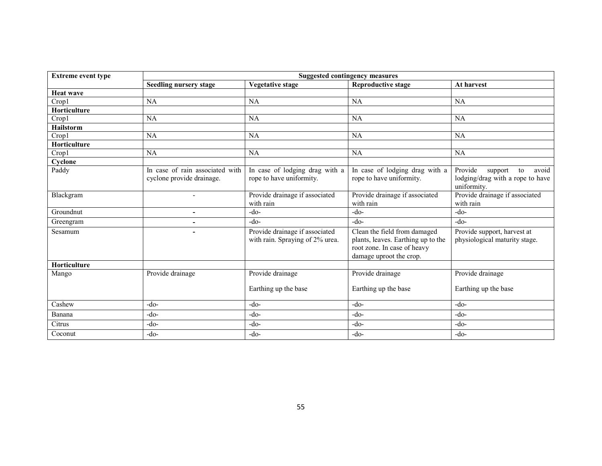| <b>Extreme event type</b> | <b>Suggested contingency measures</b>                        |                                                                   |                                                                                                                              |                                                                                      |
|---------------------------|--------------------------------------------------------------|-------------------------------------------------------------------|------------------------------------------------------------------------------------------------------------------------------|--------------------------------------------------------------------------------------|
|                           | <b>Seedling nursery stage</b>                                | <b>Vegetative stage</b>                                           | <b>Reproductive stage</b>                                                                                                    | At harvest                                                                           |
| <b>Heat wave</b>          |                                                              |                                                                   |                                                                                                                              |                                                                                      |
| Crop1                     | NA                                                           | NA                                                                | <b>NA</b>                                                                                                                    | NA                                                                                   |
| <b>Horticulture</b>       |                                                              |                                                                   |                                                                                                                              |                                                                                      |
| Crop1                     | NA                                                           | NA                                                                | <b>NA</b>                                                                                                                    | <b>NA</b>                                                                            |
| <b>Hailstorm</b>          |                                                              |                                                                   |                                                                                                                              |                                                                                      |
| Crop1                     | NA                                                           | NA                                                                | <b>NA</b>                                                                                                                    | NA                                                                                   |
| Horticulture              |                                                              |                                                                   |                                                                                                                              |                                                                                      |
| Crop1                     | <b>NA</b>                                                    | <b>NA</b>                                                         | <b>NA</b>                                                                                                                    | NA                                                                                   |
| Cyclone                   |                                                              |                                                                   |                                                                                                                              |                                                                                      |
| Paddy                     | In case of rain associated with<br>cyclone provide drainage. | In case of lodging drag with a<br>rope to have uniformity.        | In case of lodging drag with a<br>rope to have uniformity.                                                                   | Provide<br>support<br>to<br>avoid<br>lodging/drag with a rope to have<br>uniformity. |
| Blackgram                 | $\blacksquare$                                               | Provide drainage if associated<br>with rain                       | Provide drainage if associated<br>with rain                                                                                  | Provide drainage if associated<br>with rain                                          |
| Groundnut                 | ۰                                                            | $-do-$                                                            | $-do-$                                                                                                                       | $-do-$                                                                               |
| Greengram                 | ۰                                                            | $-do-$                                                            | $-do-$                                                                                                                       | $-do-$                                                                               |
| Sesamum                   |                                                              | Provide drainage if associated<br>with rain. Spraying of 2% urea. | Clean the field from damaged<br>plants, leaves. Earthing up to the<br>root zone. In case of heavy<br>damage uproot the crop. | Provide support, harvest at<br>physiological maturity stage.                         |
| Horticulture              |                                                              |                                                                   |                                                                                                                              |                                                                                      |
| Mango                     | Provide drainage                                             | Provide drainage<br>Earthing up the base                          | Provide drainage<br>Earthing up the base                                                                                     | Provide drainage<br>Earthing up the base                                             |
| Cashew                    | $-do-$                                                       | $-do-$                                                            | $-do-$                                                                                                                       | $-do-$                                                                               |
| Banana                    | $-do-$                                                       | $-do-$                                                            | $-do-$                                                                                                                       | $-do-$                                                                               |
| Citrus                    | $-do-$                                                       | $-do-$                                                            | $-do-$                                                                                                                       | $-do-$                                                                               |
| Coconut                   | -do-                                                         | -do-                                                              | $-do-$                                                                                                                       | $-do-$                                                                               |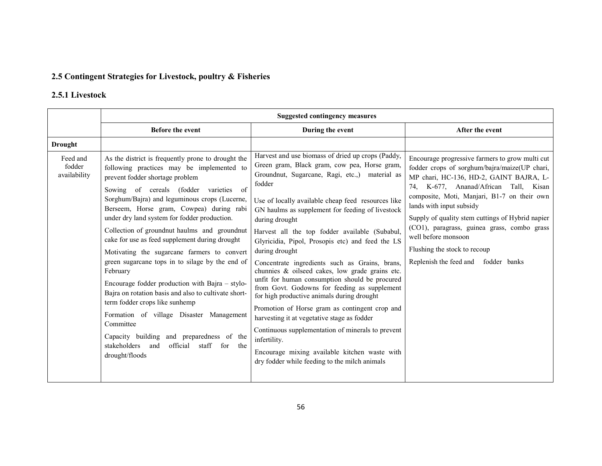### 2.5 Contingent Strategies for Livestock, poultry & Fisheries

## 2.5.1 Livestock

|                                    | <b>Suggested contingency measures</b>                                                                                                                                                                                                                                                                                                                                                                                                                                                                                                                                                                                                                                                                                                                                                                                                                                 |                                                                                                                                                                                                                                                                                                                                                                                                                                                                                                                                                                                                                                                                                                                                                                                                                                                                                                                                                |                                                                                                                                                                                                                                                                                                                                                                                                                                                                  |  |  |
|------------------------------------|-----------------------------------------------------------------------------------------------------------------------------------------------------------------------------------------------------------------------------------------------------------------------------------------------------------------------------------------------------------------------------------------------------------------------------------------------------------------------------------------------------------------------------------------------------------------------------------------------------------------------------------------------------------------------------------------------------------------------------------------------------------------------------------------------------------------------------------------------------------------------|------------------------------------------------------------------------------------------------------------------------------------------------------------------------------------------------------------------------------------------------------------------------------------------------------------------------------------------------------------------------------------------------------------------------------------------------------------------------------------------------------------------------------------------------------------------------------------------------------------------------------------------------------------------------------------------------------------------------------------------------------------------------------------------------------------------------------------------------------------------------------------------------------------------------------------------------|------------------------------------------------------------------------------------------------------------------------------------------------------------------------------------------------------------------------------------------------------------------------------------------------------------------------------------------------------------------------------------------------------------------------------------------------------------------|--|--|
|                                    | Before the event                                                                                                                                                                                                                                                                                                                                                                                                                                                                                                                                                                                                                                                                                                                                                                                                                                                      | During the event                                                                                                                                                                                                                                                                                                                                                                                                                                                                                                                                                                                                                                                                                                                                                                                                                                                                                                                               | After the event                                                                                                                                                                                                                                                                                                                                                                                                                                                  |  |  |
| <b>Drought</b>                     |                                                                                                                                                                                                                                                                                                                                                                                                                                                                                                                                                                                                                                                                                                                                                                                                                                                                       |                                                                                                                                                                                                                                                                                                                                                                                                                                                                                                                                                                                                                                                                                                                                                                                                                                                                                                                                                |                                                                                                                                                                                                                                                                                                                                                                                                                                                                  |  |  |
| Feed and<br>fodder<br>availability | As the district is frequently prone to drought the<br>following practices may be implemented to<br>prevent fodder shortage problem<br>varieties of<br>Sowing of cereals (fodder<br>Sorghum/Bajra) and leguminous crops (Lucerne,<br>Berseem, Horse gram, Cowpea) during rabi<br>under dry land system for fodder production.<br>Collection of groundnut haulms and groundnut<br>cake for use as feed supplement during drought<br>Motivating the sugarcane farmers to convert<br>green sugarcane tops in to silage by the end of<br>February<br>Encourage fodder production with Bajra – stylo-<br>Bajra on rotation basis and also to cultivate short-<br>term fodder crops like sunhemp<br>Formation of village Disaster Management<br>Committee<br>Capacity building and preparedness of the<br>stakeholders<br>official staff for<br>and<br>the<br>drought/floods | Harvest and use biomass of dried up crops (Paddy,<br>Green gram, Black gram, cow pea, Horse gram,<br>Groundnut, Sugarcane, Ragi, etc.,) material as<br>fodder<br>Use of locally available cheap feed resources like<br>GN haulms as supplement for feeding of livestock<br>during drought<br>Harvest all the top fodder available (Subabul,<br>Glyricidia, Pipol, Prosopis etc) and feed the LS<br>during drought<br>Concentrate ingredients such as Grains, brans,<br>chunnies & oilseed cakes, low grade grains etc.<br>unfit for human consumption should be procured<br>from Govt. Godowns for feeding as supplement<br>for high productive animals during drought<br>Promotion of Horse gram as contingent crop and<br>harvesting it at vegetative stage as fodder<br>Continuous supplementation of minerals to prevent<br>infertility.<br>Encourage mixing available kitchen waste with<br>dry fodder while feeding to the milch animals | Encourage progressive farmers to grow multi cut<br>fodder crops of sorghum/bajra/maize(UP chari,<br>MP chari, HC-136, HD-2, GAINT BAJRA, L-<br>74, K-677, Ananad/African Tall, Kisan<br>composite, Moti, Manjari, B1-7 on their own<br>lands with input subsidy<br>Supply of quality stem cuttings of Hybrid napier<br>(CO1), paragrass, guinea grass, combo grass<br>well before monsoon<br>Flushing the stock to recoup<br>Replenish the feed and fodder banks |  |  |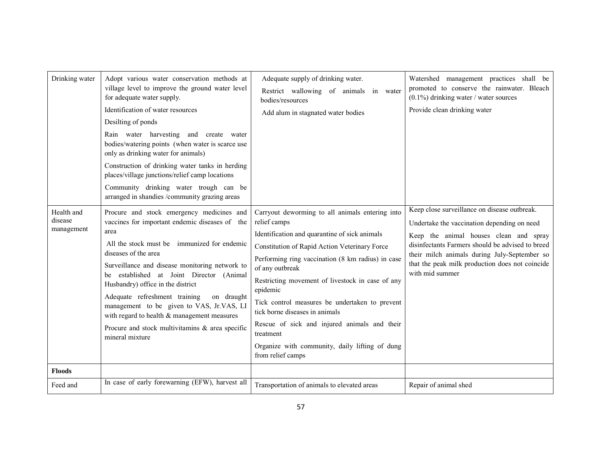| Drinking water                      | Adopt various water conservation methods at<br>village level to improve the ground water level<br>for adequate water supply.<br>Identification of water resources<br>Desilting of ponds<br>Rain water harvesting and create water<br>bodies/watering points (when water is scarce use<br>only as drinking water for animals)<br>Construction of drinking water tanks in herding<br>places/village junctions/relief camp locations<br>Community drinking water trough can be<br>arranged in shandies /community grazing areas      | Adequate supply of drinking water.<br>Restrict wallowing of animals in water<br>bodies/resources<br>Add alum in stagnated water bodies                                                                                                                                                                                                                                                                                                                                                                                            | Watershed management practices shall be<br>promoted to conserve the rainwater. Bleach<br>$(0.1\%)$ drinking water / water sources<br>Provide clean drinking water                                                                                                                                               |
|-------------------------------------|-----------------------------------------------------------------------------------------------------------------------------------------------------------------------------------------------------------------------------------------------------------------------------------------------------------------------------------------------------------------------------------------------------------------------------------------------------------------------------------------------------------------------------------|-----------------------------------------------------------------------------------------------------------------------------------------------------------------------------------------------------------------------------------------------------------------------------------------------------------------------------------------------------------------------------------------------------------------------------------------------------------------------------------------------------------------------------------|-----------------------------------------------------------------------------------------------------------------------------------------------------------------------------------------------------------------------------------------------------------------------------------------------------------------|
| Health and<br>disease<br>management | Procure and stock emergency medicines and<br>vaccines for important endemic diseases of the<br>area<br>All the stock must be immunized for endemic<br>diseases of the area<br>Surveillance and disease monitoring network to<br>be established at Joint Director (Animal<br>Husbandry) office in the district<br>Adequate refreshment training<br>on draught<br>management to be given to VAS, Jr.VAS, LI<br>with regard to health & management measures<br>Procure and stock multivitamins $\&$ area specific<br>mineral mixture | Carryout deworming to all animals entering into<br>relief camps<br>Identification and quarantine of sick animals<br>Constitution of Rapid Action Veterinary Force<br>Performing ring vaccination (8 km radius) in case<br>of any outbreak<br>Restricting movement of livestock in case of any<br>epidemic<br>Tick control measures be undertaken to prevent<br>tick borne diseases in animals<br>Rescue of sick and injured animals and their<br>treatment<br>Organize with community, daily lifting of dung<br>from relief camps | Keep close surveillance on disease outbreak.<br>Undertake the vaccination depending on need<br>Keep the animal houses clean and spray<br>disinfectants Farmers should be advised to breed<br>their milch animals during July-September so<br>that the peak milk production does not coincide<br>with mid summer |
| <b>Floods</b>                       |                                                                                                                                                                                                                                                                                                                                                                                                                                                                                                                                   |                                                                                                                                                                                                                                                                                                                                                                                                                                                                                                                                   |                                                                                                                                                                                                                                                                                                                 |
| Feed and                            | In case of early forewarning (EFW), harvest all                                                                                                                                                                                                                                                                                                                                                                                                                                                                                   | Transportation of animals to elevated areas                                                                                                                                                                                                                                                                                                                                                                                                                                                                                       | Repair of animal shed                                                                                                                                                                                                                                                                                           |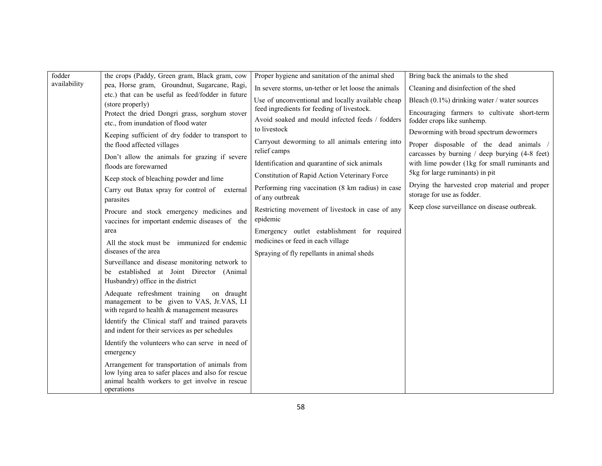| fodder       | the crops (Paddy, Green gram, Black gram, cow                                                        | Proper hygiene and sanitation of the animal shed                     | Bring back the animals to the shed                                               |
|--------------|------------------------------------------------------------------------------------------------------|----------------------------------------------------------------------|----------------------------------------------------------------------------------|
| availability | pea, Horse gram, Groundnut, Sugarcane, Ragi,                                                         | In severe storms, un-tether or let loose the animals                 | Cleaning and disinfection of the shed                                            |
|              | etc.) that can be useful as feed/fodder in future<br>(store properly)                                | Use of unconventional and locally available cheap                    | Bleach $(0.1\%)$ drinking water / water sources                                  |
|              | Protect the dried Dongri grass, sorghum stover                                                       | feed ingredients for feeding of livestock.                           | Encouraging farmers to cultivate short-term                                      |
|              | etc., from inundation of flood water                                                                 | Avoid soaked and mould infected feeds / fodders                      | fodder crops like sunhemp.                                                       |
|              | Keeping sufficient of dry fodder to transport to                                                     | to livestock                                                         | Deworming with broad spectrum dewormers                                          |
|              | the flood affected villages                                                                          | Carryout deworming to all animals entering into<br>relief camps      | Proper disposable of the dead animals                                            |
|              | Don't allow the animals for grazing if severe                                                        |                                                                      | carcasses by burning / deep burying (4-8 feet)                                   |
|              | floods are forewarned                                                                                | Identification and quarantine of sick animals                        | with lime powder (1kg for small ruminants and<br>5kg for large ruminants) in pit |
|              | Keep stock of bleaching powder and lime                                                              | Constitution of Rapid Action Veterinary Force                        | Drying the harvested crop material and proper                                    |
|              | Carry out Butax spray for control of external                                                        | Performing ring vaccination (8 km radius) in case<br>of any outbreak | storage for use as fodder.                                                       |
|              | parasites                                                                                            |                                                                      | Keep close surveillance on disease outbreak.                                     |
|              | Procure and stock emergency medicines and                                                            | Restricting movement of livestock in case of any<br>epidemic         |                                                                                  |
|              | vaccines for important endemic diseases of the<br>area                                               | Emergency outlet establishment for required                          |                                                                                  |
|              | All the stock must be immunized for endemic                                                          | medicines or feed in each village                                    |                                                                                  |
|              | diseases of the area                                                                                 | Spraying of fly repellants in animal sheds                           |                                                                                  |
|              | Surveillance and disease monitoring network to                                                       |                                                                      |                                                                                  |
|              | be established at Joint Director (Animal                                                             |                                                                      |                                                                                  |
|              | Husbandry) office in the district                                                                    |                                                                      |                                                                                  |
|              | Adequate refreshment training<br>on draught<br>management to be given to VAS, Jr.VAS, LI             |                                                                      |                                                                                  |
|              | with regard to health & management measures                                                          |                                                                      |                                                                                  |
|              | Identify the Clinical staff and trained paravets                                                     |                                                                      |                                                                                  |
|              | and indent for their services as per schedules                                                       |                                                                      |                                                                                  |
|              | Identify the volunteers who can serve in need of                                                     |                                                                      |                                                                                  |
|              | emergency                                                                                            |                                                                      |                                                                                  |
|              | Arrangement for transportation of animals from                                                       |                                                                      |                                                                                  |
|              | low lying area to safer places and also for rescue<br>animal health workers to get involve in rescue |                                                                      |                                                                                  |
|              | operations                                                                                           |                                                                      |                                                                                  |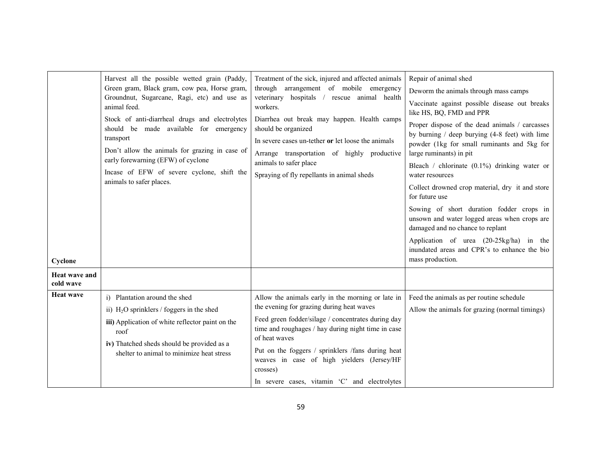|                            | Harvest all the possible wetted grain (Paddy,<br>Green gram, Black gram, cow pea, Horse gram,<br>Groundnut, Sugarcane, Ragi, etc) and use as<br>animal feed.<br>Stock of anti-diarrheal drugs and electrolytes<br>should be made available for emergency<br>transport<br>Don't allow the animals for grazing in case of<br>early forewarning (EFW) of cyclone<br>Incase of EFW of severe cyclone, shift the<br>animals to safer places. | Treatment of the sick, injured and affected animals<br>through arrangement of mobile emergency<br>veterinary hospitals / rescue animal health<br>workers.<br>Diarrhea out break may happen. Health camps<br>should be organized<br>In severe cases un-tether or let loose the animals<br>Arrange transportation of highly productive<br>animals to safer place<br>Spraying of fly repellants in animal sheds | Repair of animal shed<br>Deworm the animals through mass camps<br>Vaccinate against possible disease out breaks<br>like HS, BQ, FMD and PPR<br>Proper dispose of the dead animals / carcasses<br>by burning $/$ deep burying $(4-8$ feet) with lime<br>powder (1kg for small ruminants and 5kg for<br>large ruminants) in pit<br>Bleach / chlorinate $(0.1\%)$ drinking water or<br>water resources<br>Collect drowned crop material, dry it and store<br>for future use<br>Sowing of short duration fodder crops in<br>unsown and water logged areas when crops are<br>damaged and no chance to replant<br>Application of urea (20-25kg/ha) in the<br>inundated areas and CPR's to enhance the bio |
|----------------------------|-----------------------------------------------------------------------------------------------------------------------------------------------------------------------------------------------------------------------------------------------------------------------------------------------------------------------------------------------------------------------------------------------------------------------------------------|--------------------------------------------------------------------------------------------------------------------------------------------------------------------------------------------------------------------------------------------------------------------------------------------------------------------------------------------------------------------------------------------------------------|-----------------------------------------------------------------------------------------------------------------------------------------------------------------------------------------------------------------------------------------------------------------------------------------------------------------------------------------------------------------------------------------------------------------------------------------------------------------------------------------------------------------------------------------------------------------------------------------------------------------------------------------------------------------------------------------------------|
| Cyclone                    |                                                                                                                                                                                                                                                                                                                                                                                                                                         |                                                                                                                                                                                                                                                                                                                                                                                                              | mass production.                                                                                                                                                                                                                                                                                                                                                                                                                                                                                                                                                                                                                                                                                    |
| Heat wave and<br>cold wave |                                                                                                                                                                                                                                                                                                                                                                                                                                         |                                                                                                                                                                                                                                                                                                                                                                                                              |                                                                                                                                                                                                                                                                                                                                                                                                                                                                                                                                                                                                                                                                                                     |
| <b>Heat wave</b>           | i) Plantation around the shed<br>ii) $H_2O$ sprinklers / foggers in the shed<br>iii) Application of white reflector paint on the<br>roof<br>iv) Thatched sheds should be provided as a<br>shelter to animal to minimize heat stress                                                                                                                                                                                                     | Allow the animals early in the morning or late in<br>the evening for grazing during heat waves<br>Feed green fodder/silage / concentrates during day<br>time and roughages / hay during night time in case<br>of heat waves<br>Put on the foggers / sprinklers /fans during heat<br>weaves in case of high yielders (Jersey/HF<br>crosses)<br>In severe cases, vitamin 'C' and electrolytes                  | Feed the animals as per routine schedule<br>Allow the animals for grazing (normal timings)                                                                                                                                                                                                                                                                                                                                                                                                                                                                                                                                                                                                          |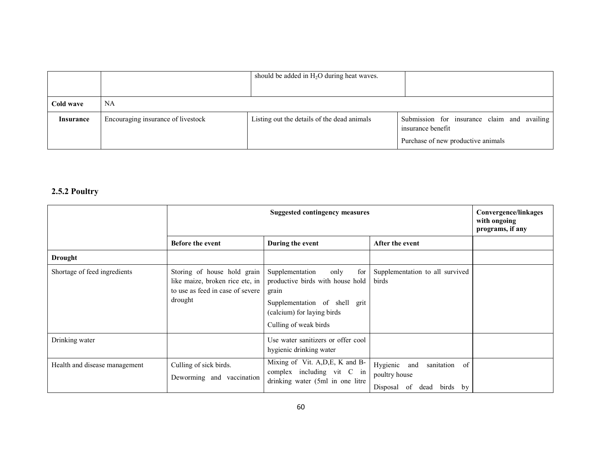|           |                                    | should be added in $H_2O$ during heat waves. |                                                                                                        |
|-----------|------------------------------------|----------------------------------------------|--------------------------------------------------------------------------------------------------------|
| Cold wave | NA                                 |                                              |                                                                                                        |
| Insurance | Encouraging insurance of livestock | Listing out the details of the dead animals  | Submission for insurance claim and availing<br>insurance benefit<br>Purchase of new productive animals |

### 2.5.2 Poultry

|                               | <b>Suggested contingency measures</b>                                                                         |                                                                                                                                                                     |                                                                             | Convergence/linkages<br>with ongoing<br>programs, if any |
|-------------------------------|---------------------------------------------------------------------------------------------------------------|---------------------------------------------------------------------------------------------------------------------------------------------------------------------|-----------------------------------------------------------------------------|----------------------------------------------------------|
|                               | <b>Before the event</b>                                                                                       | During the event                                                                                                                                                    | After the event                                                             |                                                          |
| <b>Drought</b>                |                                                                                                               |                                                                                                                                                                     |                                                                             |                                                          |
| Shortage of feed ingredients  | Storing of house hold grain<br>like maize, broken rice etc, in<br>to use as feed in case of severe<br>drought | for<br>Supplementation<br>only<br>productive birds with house hold<br>grain<br>Supplementation of shell grit<br>(calcium) for laying birds<br>Culling of weak birds | Supplementation to all survived<br>birds                                    |                                                          |
| Drinking water                |                                                                                                               | Use water sanitizers or offer cool<br>hygienic drinking water                                                                                                       |                                                                             |                                                          |
| Health and disease management | Culling of sick birds.<br>Deworming and vaccination                                                           | Mixing of Vit. A, D, E, K and B-<br>complex including vit C in<br>drinking water (5ml in one litre                                                                  | Hygienic and<br>sanitation of<br>poultry house<br>Disposal of dead birds by |                                                          |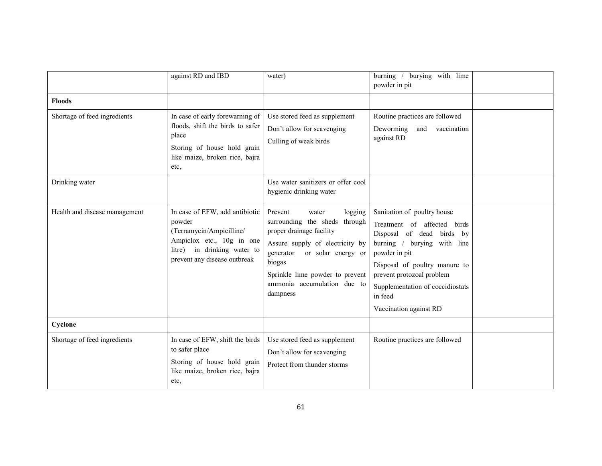|                               | against RD and IBD                                                                                                                                                  | water)                                                                                                                                                                                                                                                 | burying with lime<br>burning $/$<br>powder in pit                                                                                                                                                                                                                              |  |
|-------------------------------|---------------------------------------------------------------------------------------------------------------------------------------------------------------------|--------------------------------------------------------------------------------------------------------------------------------------------------------------------------------------------------------------------------------------------------------|--------------------------------------------------------------------------------------------------------------------------------------------------------------------------------------------------------------------------------------------------------------------------------|--|
| <b>Floods</b>                 |                                                                                                                                                                     |                                                                                                                                                                                                                                                        |                                                                                                                                                                                                                                                                                |  |
| Shortage of feed ingredients  | In case of early forewarning of<br>floods, shift the birds to safer<br>place<br>Storing of house hold grain<br>like maize, broken rice, bajra<br>etc,               | Use stored feed as supplement<br>Don't allow for scavenging<br>Culling of weak birds                                                                                                                                                                   | Routine practices are followed<br>Deworming<br>and vaccination<br>against RD                                                                                                                                                                                                   |  |
| Drinking water                |                                                                                                                                                                     | Use water sanitizers or offer cool<br>hygienic drinking water                                                                                                                                                                                          |                                                                                                                                                                                                                                                                                |  |
| Health and disease management | In case of EFW, add antibiotic<br>powder<br>(Terramycin/Ampicilline/<br>Ampiclox etc., 10g in one<br>in drinking water to<br>litre)<br>prevent any disease outbreak | Prevent<br>logging<br>water<br>surrounding the sheds through<br>proper drainage facility<br>Assure supply of electricity by<br>or solar energy or<br>generator<br>biogas<br>Sprinkle lime powder to prevent<br>ammonia accumulation due to<br>dampness | Sanitation of poultry house<br>Treatment of affected birds<br>Disposal of dead birds by<br>burning / burying with line<br>powder in pit<br>Disposal of poultry manure to<br>prevent protozoal problem<br>Supplementation of coccidiostats<br>in feed<br>Vaccination against RD |  |
| Cyclone                       |                                                                                                                                                                     |                                                                                                                                                                                                                                                        |                                                                                                                                                                                                                                                                                |  |
| Shortage of feed ingredients  | In case of EFW, shift the birds<br>to safer place<br>Storing of house hold grain<br>like maize, broken rice, bajra<br>etc.                                          | Use stored feed as supplement<br>Don't allow for scavenging<br>Protect from thunder storms                                                                                                                                                             | Routine practices are followed                                                                                                                                                                                                                                                 |  |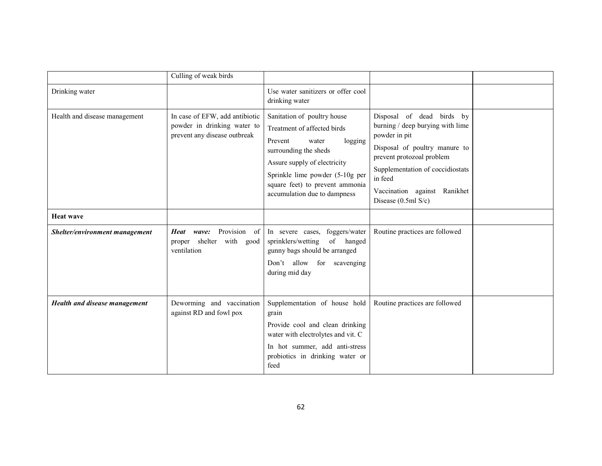|                                | Culling of weak birds                                                                         |                                                                                                                                                                                                                                                          |                                                                                                                                                                                                                                                      |  |
|--------------------------------|-----------------------------------------------------------------------------------------------|----------------------------------------------------------------------------------------------------------------------------------------------------------------------------------------------------------------------------------------------------------|------------------------------------------------------------------------------------------------------------------------------------------------------------------------------------------------------------------------------------------------------|--|
| Drinking water                 |                                                                                               | Use water sanitizers or offer cool<br>drinking water                                                                                                                                                                                                     |                                                                                                                                                                                                                                                      |  |
| Health and disease management  | In case of EFW, add antibiotic<br>powder in drinking water to<br>prevent any disease outbreak | Sanitation of poultry house<br>Treatment of affected birds<br>Prevent<br>water<br>logging<br>surrounding the sheds<br>Assure supply of electricity<br>Sprinkle lime powder (5-10g per<br>square feet) to prevent ammonia<br>accumulation due to dampness | Disposal of dead birds by<br>burning / deep burying with lime<br>powder in pit<br>Disposal of poultry manure to<br>prevent protozoal problem<br>Supplementation of coccidiostats<br>in feed<br>Vaccination against Ranikhet<br>Disease $(0.5ml S/c)$ |  |
| <b>Heat wave</b>               |                                                                                               |                                                                                                                                                                                                                                                          |                                                                                                                                                                                                                                                      |  |
| Shelter/environment management | Provision of<br>Heat wave:<br>shelter with good<br>proper<br>ventilation                      | In severe cases, foggers/water<br>sprinklers/wetting<br>of hanged<br>gunny bags should be arranged<br>Don't allow for scavenging<br>during mid day                                                                                                       | Routine practices are followed                                                                                                                                                                                                                       |  |
| Health and disease management  | Deworming and vaccination<br>against RD and fowl pox                                          | Supplementation of house hold<br>grain<br>Provide cool and clean drinking<br>water with electrolytes and vit. C<br>In hot summer, add anti-stress<br>probiotics in drinking water or<br>feed                                                             | Routine practices are followed                                                                                                                                                                                                                       |  |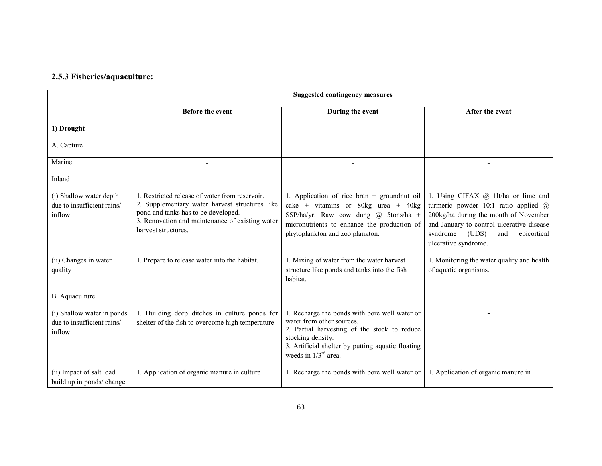### 2.5.3 Fisheries/aquaculture:

|                                                                    | <b>Suggested contingency measures</b>                                                                                                                                                                             |                                                                                                                                                                                                                                   |                                                                                                                                                                                                                                      |
|--------------------------------------------------------------------|-------------------------------------------------------------------------------------------------------------------------------------------------------------------------------------------------------------------|-----------------------------------------------------------------------------------------------------------------------------------------------------------------------------------------------------------------------------------|--------------------------------------------------------------------------------------------------------------------------------------------------------------------------------------------------------------------------------------|
|                                                                    | <b>Before the event</b>                                                                                                                                                                                           | During the event                                                                                                                                                                                                                  | After the event                                                                                                                                                                                                                      |
| 1) Drought                                                         |                                                                                                                                                                                                                   |                                                                                                                                                                                                                                   |                                                                                                                                                                                                                                      |
| A. Capture                                                         |                                                                                                                                                                                                                   |                                                                                                                                                                                                                                   |                                                                                                                                                                                                                                      |
| Marine                                                             | ۰                                                                                                                                                                                                                 | $\overline{\phantom{a}}$                                                                                                                                                                                                          | $\blacksquare$                                                                                                                                                                                                                       |
| Inland                                                             |                                                                                                                                                                                                                   |                                                                                                                                                                                                                                   |                                                                                                                                                                                                                                      |
| (i) Shallow water depth<br>due to insufficient rains/<br>inflow    | 1. Restricted release of water from reservoir.<br>2. Supplementary water harvest structures like<br>pond and tanks has to be developed.<br>3. Renovation and maintenance of existing water<br>harvest structures. | 1. Application of rice bran $+$ groundnut oil<br>cake + vitamins or 80kg urea + 40kg<br>SSP/ha/yr. Raw cow dung @ 5tons/ha +<br>micronutrients to enhance the production of<br>phytoplankton and zoo plankton.                    | 1. Using CIFAX @ 1lt/ha or lime and<br>turmeric powder 10:1 ratio applied @<br>200kg/ha during the month of November<br>and January to control ulcerative disease<br>syndrome<br>(UDS)<br>epicortical<br>and<br>ulcerative syndrome. |
| (ii) Changes in water<br>quality                                   | 1. Prepare to release water into the habitat.                                                                                                                                                                     | 1. Mixing of water from the water harvest<br>structure like ponds and tanks into the fish<br>habitat.                                                                                                                             | 1. Monitoring the water quality and health<br>of aquatic organisms.                                                                                                                                                                  |
| B. Aquaculture                                                     |                                                                                                                                                                                                                   |                                                                                                                                                                                                                                   |                                                                                                                                                                                                                                      |
| (i) Shallow water in ponds<br>due to insufficient rains/<br>inflow | 1. Building deep ditches in culture ponds for<br>shelter of the fish to overcome high temperature                                                                                                                 | 1. Recharge the ponds with bore well water or<br>water from other sources.<br>2. Partial harvesting of the stock to reduce<br>stocking density.<br>3. Artificial shelter by putting aquatic floating<br>weeds in $1/3^{rd}$ area. | ٠                                                                                                                                                                                                                                    |
| (ii) Impact of salt load<br>build up in ponds/ change              | 1. Application of organic manure in culture                                                                                                                                                                       | 1. Recharge the ponds with bore well water or                                                                                                                                                                                     | 1. Application of organic manure in                                                                                                                                                                                                  |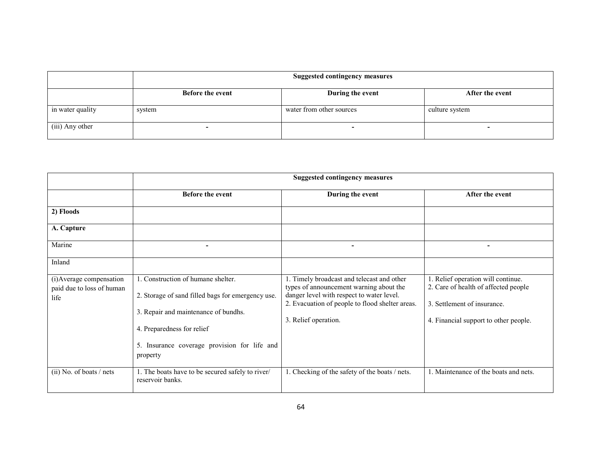|                  | <b>Suggested contingency measures</b> |                          |                 |
|------------------|---------------------------------------|--------------------------|-----------------|
|                  | <b>Before the event</b>               | During the event         | After the event |
| in water quality | system                                | water from other sources | culture system  |
| (iii) Any other  |                                       |                          |                 |

|                                                               | <b>Suggested contingency measures</b>                                                                                                                                                                                     |                                                                                                                                                                                                               |                                                                                                                                                    |
|---------------------------------------------------------------|---------------------------------------------------------------------------------------------------------------------------------------------------------------------------------------------------------------------------|---------------------------------------------------------------------------------------------------------------------------------------------------------------------------------------------------------------|----------------------------------------------------------------------------------------------------------------------------------------------------|
|                                                               | <b>Before the event</b>                                                                                                                                                                                                   | During the event                                                                                                                                                                                              | After the event                                                                                                                                    |
| 2) Floods                                                     |                                                                                                                                                                                                                           |                                                                                                                                                                                                               |                                                                                                                                                    |
| A. Capture                                                    |                                                                                                                                                                                                                           |                                                                                                                                                                                                               |                                                                                                                                                    |
| Marine                                                        |                                                                                                                                                                                                                           |                                                                                                                                                                                                               |                                                                                                                                                    |
| Inland                                                        |                                                                                                                                                                                                                           |                                                                                                                                                                                                               |                                                                                                                                                    |
| (i) Average compensation<br>paid due to loss of human<br>life | 1. Construction of humane shelter.<br>2. Storage of sand filled bags for emergency use.<br>3. Repair and maintenance of bundhs.<br>4. Preparedness for relief<br>5. Insurance coverage provision for life and<br>property | 1. Timely broadcast and telecast and other<br>types of announcement warning about the<br>danger level with respect to water level.<br>2. Evacuation of people to flood shelter areas.<br>3. Relief operation. | 1. Relief operation will continue.<br>2. Care of health of affected people<br>3. Settlement of insurance.<br>4. Financial support to other people. |
| (ii) No. of boats / nets                                      | 1. The boats have to be secured safely to river/<br>reservoir banks.                                                                                                                                                      | 1. Checking of the safety of the boats / nets.                                                                                                                                                                | 1. Maintenance of the boats and nets.                                                                                                              |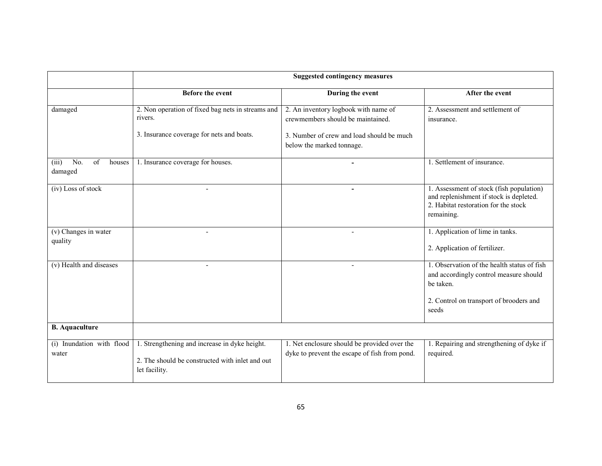|                                                       | <b>Suggested contingency measures</b>                                                                             |                                                                                               |                                                                                                                                               |
|-------------------------------------------------------|-------------------------------------------------------------------------------------------------------------------|-----------------------------------------------------------------------------------------------|-----------------------------------------------------------------------------------------------------------------------------------------------|
|                                                       | <b>Before the event</b>                                                                                           | During the event                                                                              | After the event                                                                                                                               |
| damaged                                               | 2. Non operation of fixed bag nets in streams and<br>rivers.                                                      | 2. An inventory logbook with name of<br>crewmembers should be maintained.                     | 2. Assessment and settlement of<br>insurance.                                                                                                 |
|                                                       | 3. Insurance coverage for nets and boats.                                                                         | 3. Number of crew and load should be much<br>below the marked tonnage.                        |                                                                                                                                               |
| $\overline{No}$ .<br>of<br>(iii)<br>houses<br>damaged | 1. Insurance coverage for houses.                                                                                 | $\blacksquare$                                                                                | 1. Settlement of insurance.                                                                                                                   |
| (iv) Loss of stock                                    |                                                                                                                   |                                                                                               | 1. Assessment of stock (fish population)<br>and replenishment if stock is depleted.<br>2. Habitat restoration for the stock<br>remaining.     |
| (v) Changes in water<br>quality                       |                                                                                                                   |                                                                                               | 1. Application of lime in tanks.<br>2. Application of fertilizer.                                                                             |
| (v) Health and diseases                               |                                                                                                                   |                                                                                               | 1. Observation of the health status of fish<br>and accordingly control measure should<br>be taken.<br>2. Control on transport of brooders and |
|                                                       |                                                                                                                   |                                                                                               | seeds                                                                                                                                         |
| <b>B.</b> Aquaculture                                 |                                                                                                                   |                                                                                               |                                                                                                                                               |
| (i) Inundation with flood<br>water                    | 1. Strengthening and increase in dyke height.<br>2. The should be constructed with inlet and out<br>let facility. | 1. Net enclosure should be provided over the<br>dyke to prevent the escape of fish from pond. | 1. Repairing and strengthening of dyke if<br>required.                                                                                        |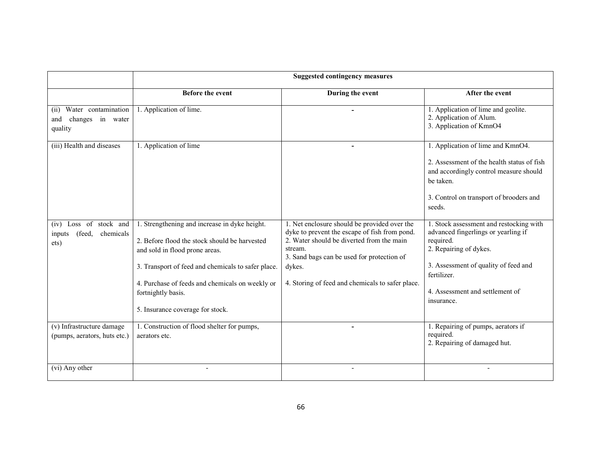|                                                                   | <b>Suggested contingency measures</b>                                                                                                                                                                                                                                                               |                                                                                                                                                                                                                                                                   |                                                                                                                                                                                                                               |
|-------------------------------------------------------------------|-----------------------------------------------------------------------------------------------------------------------------------------------------------------------------------------------------------------------------------------------------------------------------------------------------|-------------------------------------------------------------------------------------------------------------------------------------------------------------------------------------------------------------------------------------------------------------------|-------------------------------------------------------------------------------------------------------------------------------------------------------------------------------------------------------------------------------|
|                                                                   | <b>Before the event</b>                                                                                                                                                                                                                                                                             | During the event                                                                                                                                                                                                                                                  | After the event                                                                                                                                                                                                               |
| Water contamination<br>(ii)<br>changes in water<br>and<br>quality | 1. Application of lime.                                                                                                                                                                                                                                                                             |                                                                                                                                                                                                                                                                   | 1. Application of lime and geolite.<br>2. Application of Alum.<br>3. Application of KmnO4                                                                                                                                     |
| (iii) Health and diseases                                         | 1. Application of lime                                                                                                                                                                                                                                                                              |                                                                                                                                                                                                                                                                   | 1. Application of lime and KmnO4.<br>2. Assessment of the health status of fish<br>and accordingly control measure should<br>be taken.<br>3. Control on transport of brooders and<br>seeds.                                   |
| (iv) Loss of stock and<br>(feed,<br>chemicals<br>inputs<br>ets)   | 1. Strengthening and increase in dyke height.<br>2. Before flood the stock should be harvested<br>and sold in flood prone areas.<br>3. Transport of feed and chemicals to safer place.<br>4. Purchase of feeds and chemicals on weekly or<br>fortnightly basis.<br>5. Insurance coverage for stock. | 1. Net enclosure should be provided over the<br>dyke to prevent the escape of fish from pond.<br>2. Water should be diverted from the main<br>stream.<br>3. Sand bags can be used for protection of<br>dykes.<br>4. Storing of feed and chemicals to safer place. | 1. Stock assessment and restocking with<br>advanced fingerlings or yearling if<br>required.<br>2. Repairing of dykes.<br>3. Assessment of quality of feed and<br>fertilizer.<br>4. Assessment and settlement of<br>insurance. |
| (v) Infrastructure damage<br>(pumps, aerators, huts etc.)         | 1. Construction of flood shelter for pumps,<br>aerators etc.                                                                                                                                                                                                                                        |                                                                                                                                                                                                                                                                   | 1. Repairing of pumps, aerators if<br>required.<br>2. Repairing of damaged hut.                                                                                                                                               |
| (vi) Any other                                                    |                                                                                                                                                                                                                                                                                                     |                                                                                                                                                                                                                                                                   |                                                                                                                                                                                                                               |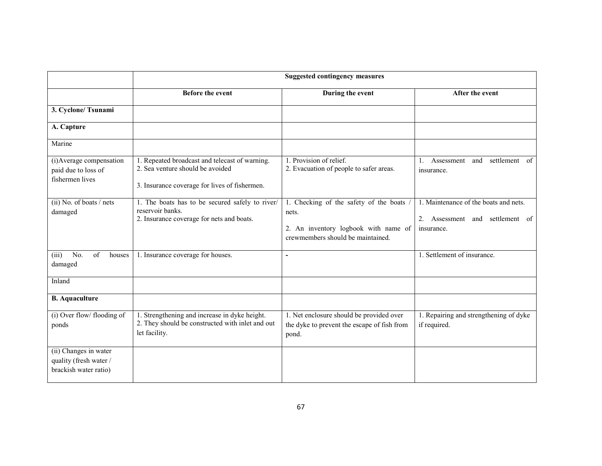|                                                                          | <b>Suggested contingency measures</b>                                                                                               |                                                                                                                                |                                                                                        |
|--------------------------------------------------------------------------|-------------------------------------------------------------------------------------------------------------------------------------|--------------------------------------------------------------------------------------------------------------------------------|----------------------------------------------------------------------------------------|
|                                                                          | <b>Before the event</b>                                                                                                             | During the event                                                                                                               | After the event                                                                        |
| 3. Cyclone/ Tsunami                                                      |                                                                                                                                     |                                                                                                                                |                                                                                        |
| A. Capture                                                               |                                                                                                                                     |                                                                                                                                |                                                                                        |
| Marine                                                                   |                                                                                                                                     |                                                                                                                                |                                                                                        |
| (i) Average compensation<br>paid due to loss of<br>fishermen lives       | 1. Repeated broadcast and telecast of warning.<br>2. Sea venture should be avoided<br>3. Insurance coverage for lives of fishermen. | 1. Provision of relief.<br>2. Evacuation of people to safer areas.                                                             | Assessment<br>settlement of<br>and<br>insurance.                                       |
| $(ii)$ No. of boats / nets<br>damaged                                    | 1. The boats has to be secured safely to river/<br>reservoir banks.<br>2. Insurance coverage for nets and boats.                    | 1. Checking of the safety of the boats /<br>nets.<br>2. An inventory logbook with name of<br>crewmembers should be maintained. | 1. Maintenance of the boats and nets.<br>2. Assessment and settlement of<br>insurance. |
| No.<br>of<br>(iii)<br>houses<br>damaged                                  | 1. Insurance coverage for houses.                                                                                                   | $\blacksquare$                                                                                                                 | 1. Settlement of insurance.                                                            |
| Inland                                                                   |                                                                                                                                     |                                                                                                                                |                                                                                        |
| <b>B.</b> Aquaculture                                                    |                                                                                                                                     |                                                                                                                                |                                                                                        |
| (i) Over flow/ flooding of<br>ponds                                      | 1. Strengthening and increase in dyke height.<br>2. They should be constructed with inlet and out<br>let facility.                  | 1. Net enclosure should be provided over<br>the dyke to prevent the escape of fish from<br>pond.                               | 1. Repairing and strengthening of dyke<br>if required.                                 |
| (ii) Changes in water<br>quality (fresh water /<br>brackish water ratio) |                                                                                                                                     |                                                                                                                                |                                                                                        |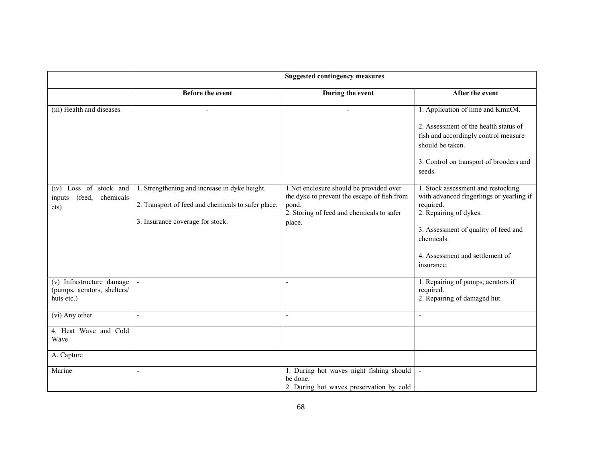|                                                                        | <b>Suggested contingency measures</b>                                                                                                   |                                                                                                                                                        |                                                                                                                       |
|------------------------------------------------------------------------|-----------------------------------------------------------------------------------------------------------------------------------------|--------------------------------------------------------------------------------------------------------------------------------------------------------|-----------------------------------------------------------------------------------------------------------------------|
|                                                                        | <b>Before the event</b>                                                                                                                 | During the event                                                                                                                                       | After the event                                                                                                       |
| (iii) Health and diseases                                              |                                                                                                                                         |                                                                                                                                                        | 1. Application of lime and KmnO4.                                                                                     |
|                                                                        |                                                                                                                                         |                                                                                                                                                        | 2. Assessment of the health status of<br>fish and accordingly control measure<br>should be taken.                     |
|                                                                        |                                                                                                                                         |                                                                                                                                                        | 3. Control on transport of brooders and<br>seeds.                                                                     |
| Loss of stock and<br>(iv)<br>(feed,<br>chemicals<br>inputs<br>ets)     | 1. Strengthening and increase in dyke height.<br>2. Transport of feed and chemicals to safer place.<br>3. Insurance coverage for stock. | 1.Net enclosure should be provided over<br>the dyke to prevent the escape of fish from<br>pond.<br>2. Storing of feed and chemicals to safer<br>place. | 1. Stock assessment and restocking<br>with advanced fingerlings or yearling if<br>required.<br>2. Repairing of dykes. |
|                                                                        |                                                                                                                                         |                                                                                                                                                        | 3. Assessment of quality of feed and<br>chemicals.<br>4. Assessment and settlement of<br>insurance.                   |
| (v) Infrastructure damage<br>(pumps, aerators, shelters/<br>huts etc.) | $\mathbf{r}$                                                                                                                            | $\overline{a}$                                                                                                                                         | 1. Repairing of pumps, aerators if<br>required.<br>2. Repairing of damaged hut.                                       |
| (vi) Any other                                                         | $\blacksquare$                                                                                                                          | $\blacksquare$                                                                                                                                         |                                                                                                                       |
| 4. Heat Wave and Cold<br>Wave                                          |                                                                                                                                         |                                                                                                                                                        |                                                                                                                       |
| A. Capture                                                             |                                                                                                                                         |                                                                                                                                                        |                                                                                                                       |
| Marine                                                                 | $\overline{\phantom{a}}$                                                                                                                | 1. During hot waves night fishing should<br>be done.<br>2. During hot waves preservation by cold                                                       |                                                                                                                       |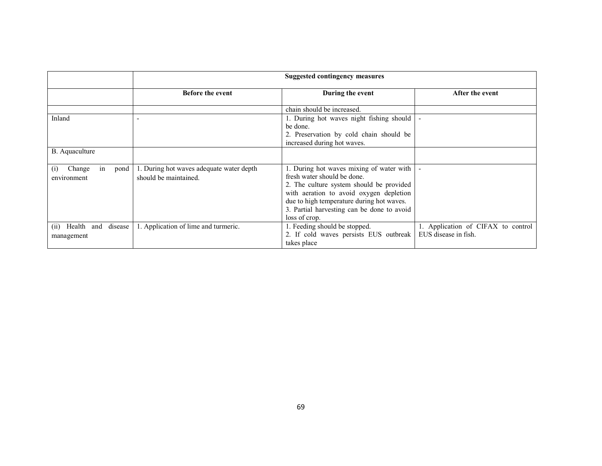| <b>Suggested contingency measures</b>                                                                           |                                                                                                                                                                                                                                                                           |                                                            |
|-----------------------------------------------------------------------------------------------------------------|---------------------------------------------------------------------------------------------------------------------------------------------------------------------------------------------------------------------------------------------------------------------------|------------------------------------------------------------|
| <b>Before the event</b>                                                                                         | During the event                                                                                                                                                                                                                                                          | After the event                                            |
|                                                                                                                 | chain should be increased.                                                                                                                                                                                                                                                |                                                            |
| Inland                                                                                                          | 1. During hot waves night fishing should<br>be done.<br>2. Preservation by cold chain should be<br>increased during hot waves.                                                                                                                                            |                                                            |
| B. Aquaculture                                                                                                  |                                                                                                                                                                                                                                                                           |                                                            |
| 1. During hot waves adequate water depth<br>pond<br>Change<br>in<br>(1)<br>should be maintained.<br>environment | 1. During hot waves mixing of water with<br>fresh water should be done<br>2. The culture system should be provided<br>with aeration to avoid oxygen depletion<br>due to high temperature during hot waves.<br>3. Partial harvesting can be done to avoid<br>loss of crop. |                                                            |
| 1. Application of lime and turmeric.<br>Health<br>disease<br>and<br>(i)<br>management                           | 1. Feeding should be stopped.<br>2. If cold waves persists EUS outbreak<br>takes place                                                                                                                                                                                    | 1. Application of CIFAX to control<br>EUS disease in fish. |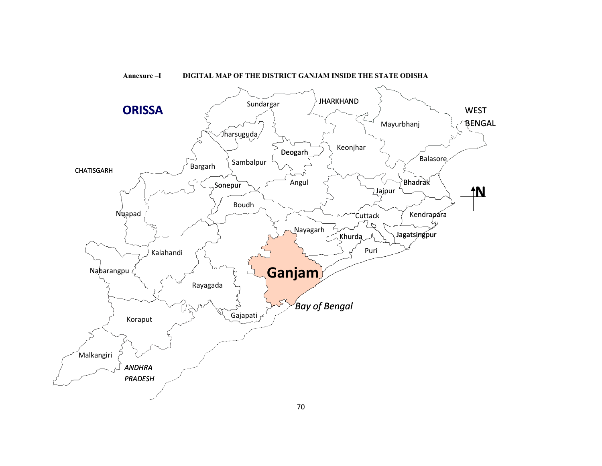

#### Annexure –I DIGITAL MAP OF THE DISTRICT GANJAM INSIDE THE STATE ODISHA